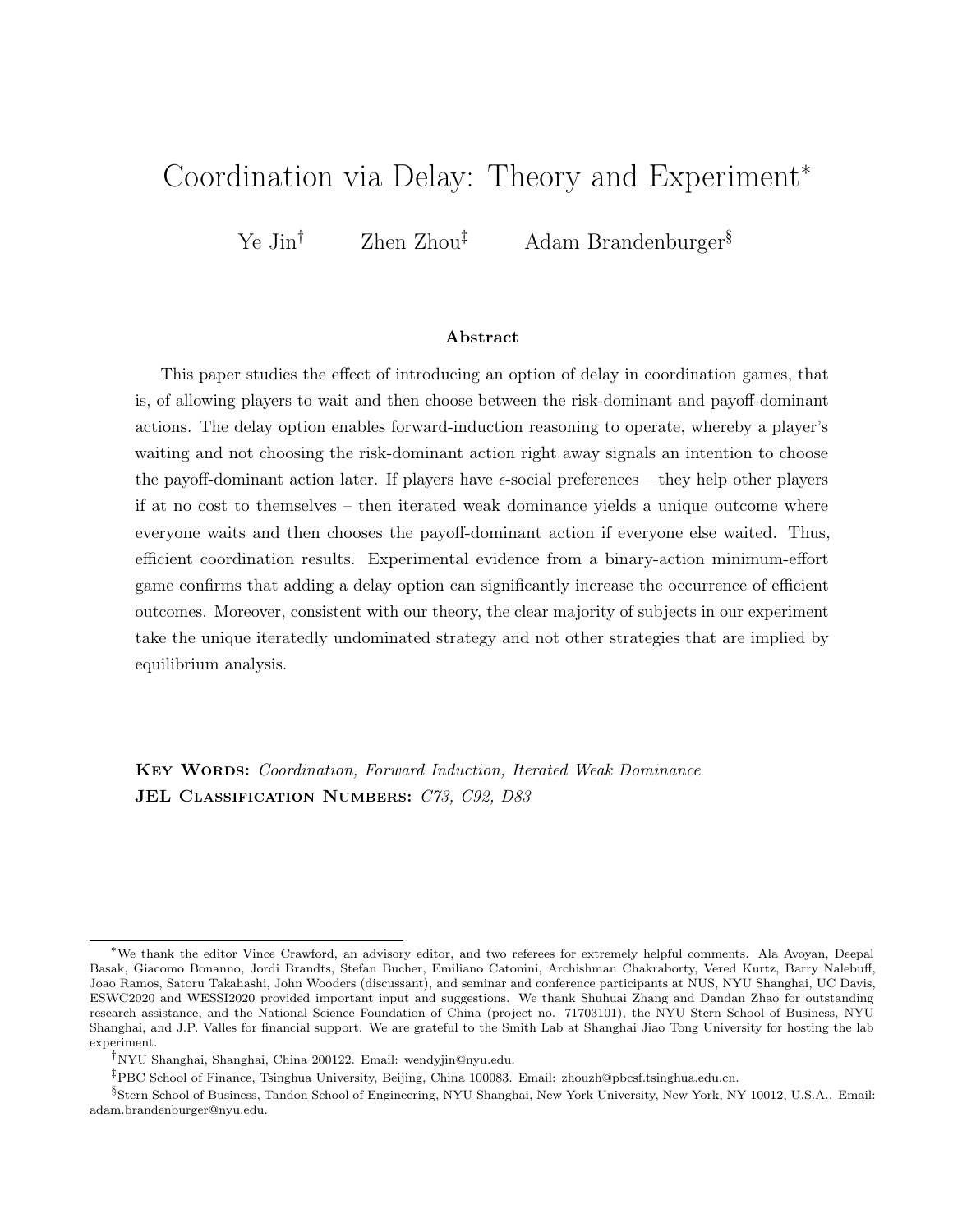# Coordination via Delay: Theory and Experiment<sup>∗</sup>

Ye Jin<sup>†</sup> Zhen Zhou<sup>‡</sup> Adam Brandenburger<sup>§</sup>

#### Abstract

This paper studies the effect of introducing an option of delay in coordination games, that is, of allowing players to wait and then choose between the risk-dominant and payoff-dominant actions. The delay option enables forward-induction reasoning to operate, whereby a player's waiting and not choosing the risk-dominant action right away signals an intention to choose the payoff-dominant action later. If players have  $\epsilon$ -social preferences – they help other players if at no cost to themselves – then iterated weak dominance yields a unique outcome where everyone waits and then chooses the payoff-dominant action if everyone else waited. Thus, efficient coordination results. Experimental evidence from a binary-action minimum-effort game confirms that adding a delay option can significantly increase the occurrence of efficient outcomes. Moreover, consistent with our theory, the clear majority of subjects in our experiment take the unique iteratedly undominated strategy and not other strategies that are implied by equilibrium analysis.

KEY WORDS: Coordination, Forward Induction, Iterated Weak Dominance JEL CLASSIFICATION NUMBERS: C73, C92, D83

<sup>∗</sup>We thank the editor Vince Crawford, an advisory editor, and two referees for extremely helpful comments. Ala Avoyan, Deepal Basak, Giacomo Bonanno, Jordi Brandts, Stefan Bucher, Emiliano Catonini, Archishman Chakraborty, Vered Kurtz, Barry Nalebuff, Joao Ramos, Satoru Takahashi, John Wooders (discussant), and seminar and conference participants at NUS, NYU Shanghai, UC Davis, ESWC2020 and WESSI2020 provided important input and suggestions. We thank Shuhuai Zhang and Dandan Zhao for outstanding research assistance, and the National Science Foundation of China (project no. 71703101), the NYU Stern School of Business, NYU Shanghai, and J.P. Valles for financial support. We are grateful to the Smith Lab at Shanghai Jiao Tong University for hosting the lab experiment.

 $^\dagger\mathbf{N} Y\mathbf{U}$ Shanghai, Shanghai, China 200122. Email: wendyjin@nyu.edu.

<sup>‡</sup>PBC School of Finance, Tsinghua University, Beijing, China 100083. Email: zhouzh@pbcsf.tsinghua.edu.cn.

<sup>§</sup> Stern School of Business, Tandon School of Engineering, NYU Shanghai, New York University, New York, NY 10012, U.S.A.. Email: adam.brandenburger@nyu.edu.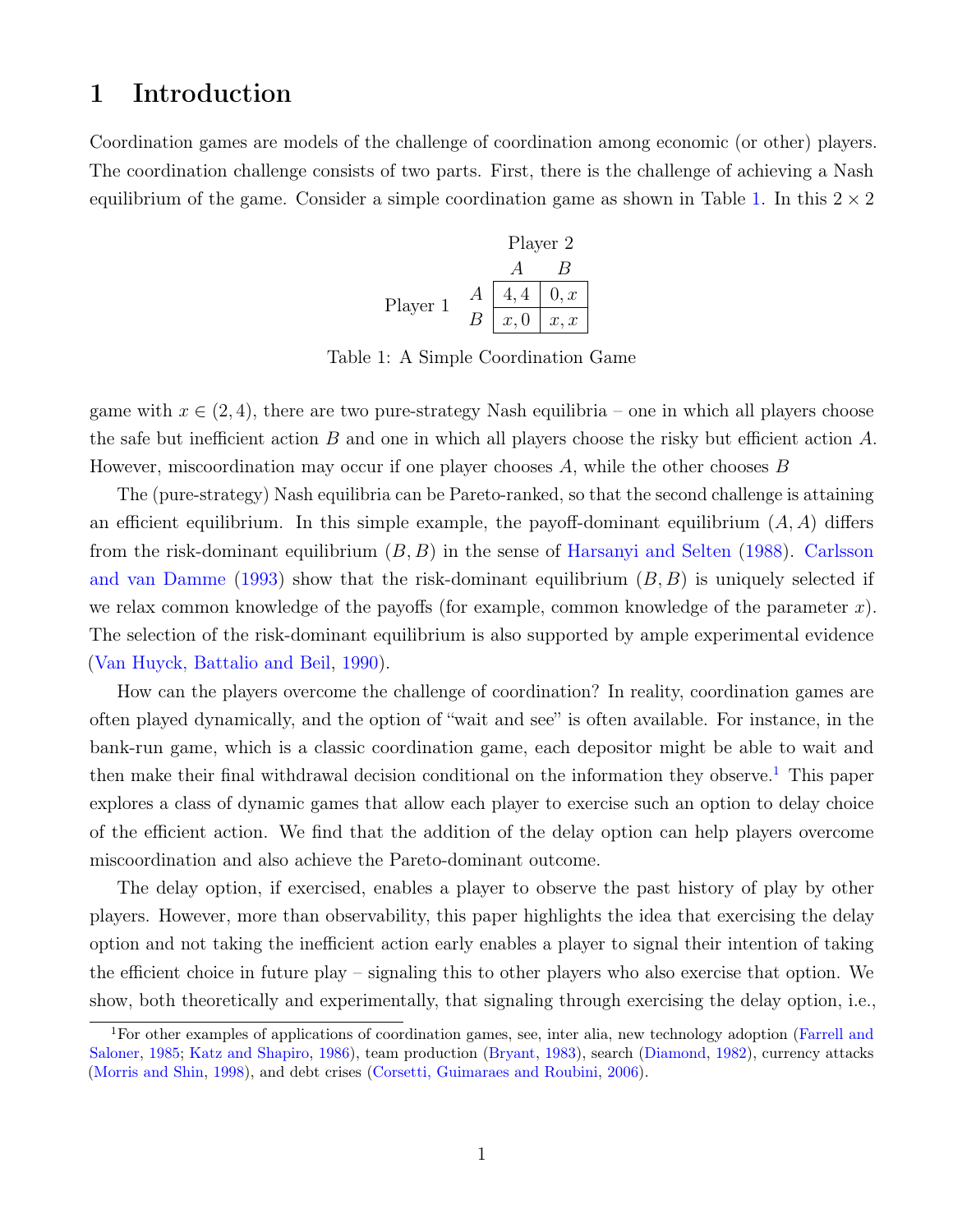# 1 Introduction

<span id="page-1-0"></span>Coordination games are models of the challenge of coordination among economic (or other) players. The coordination challenge consists of two parts. First, there is the challenge of achieving a Nash equilibrium of the game. Consider a simple coordination game as shown in Table [1.](#page-1-0) In this  $2 \times 2$ 

Player 2  
\n
$$
\begin{array}{c|c}\n & A & B \\
\hline\nA & 4, 4 & 0, x \\
B & x, 0 & x, x\n\end{array}
$$

Table 1: A Simple Coordination Game

game with  $x \in (2, 4)$ , there are two pure-strategy Nash equilibria – one in which all players choose the safe but inefficient action B and one in which all players choose the risky but efficient action  $A$ . However, miscoordination may occur if one player chooses  $A$ , while the other chooses  $B$ 

The (pure-strategy) Nash equilibria can be Pareto-ranked, so that the second challenge is attaining an efficient equilibrium. In this simple example, the payoff-dominant equilibrium  $(A, A)$  differs from the risk-dominant equilibrium  $(B, B)$  in the sense of [Harsanyi and Selten](#page-33-0) [\(1988\)](#page-33-0). [Carlsson](#page-32-0) [and van Damme](#page-32-0) [\(1993\)](#page-32-0) show that the risk-dominant equilibrium  $(B, B)$  is uniquely selected if we relax common knowledge of the payoffs (for example, common knowledge of the parameter  $x$ ). The selection of the risk-dominant equilibrium is also supported by ample experimental evidence [\(Van Huyck, Battalio and Beil,](#page-34-0) [1990\)](#page-34-0).

How can the players overcome the challenge of coordination? In reality, coordination games are often played dynamically, and the option of "wait and see" is often available. For instance, in the bank-run game, which is a classic coordination game, each depositor might be able to wait and then make their final withdrawal decision conditional on the information they observe.[1](#page-1-1) This paper explores a class of dynamic games that allow each player to exercise such an option to delay choice of the efficient action. We find that the addition of the delay option can help players overcome miscoordination and also achieve the Pareto-dominant outcome.

The delay option, if exercised, enables a player to observe the past history of play by other players. However, more than observability, this paper highlights the idea that exercising the delay option and not taking the inefficient action early enables a player to signal their intention of taking the efficient choice in future play – signaling this to other players who also exercise that option. We show, both theoretically and experimentally, that signaling through exercising the delay option, i.e.,

<span id="page-1-1"></span><sup>&</sup>lt;sup>1</sup>For other examples of applications of coordination games, see, inter alia, new technology adoption [\(Farrell and](#page-33-1) [Saloner,](#page-33-1) [1985;](#page-33-1) [Katz and Shapiro,](#page-33-2) [1986\)](#page-33-2), team production [\(Bryant,](#page-32-1) [1983\)](#page-32-1), search [\(Diamond,](#page-33-3) [1982\)](#page-33-3), currency attacks [\(Morris and Shin,](#page-34-1) [1998\)](#page-34-1), and debt crises [\(Corsetti, Guimaraes and Roubini,](#page-32-2) [2006\)](#page-32-2).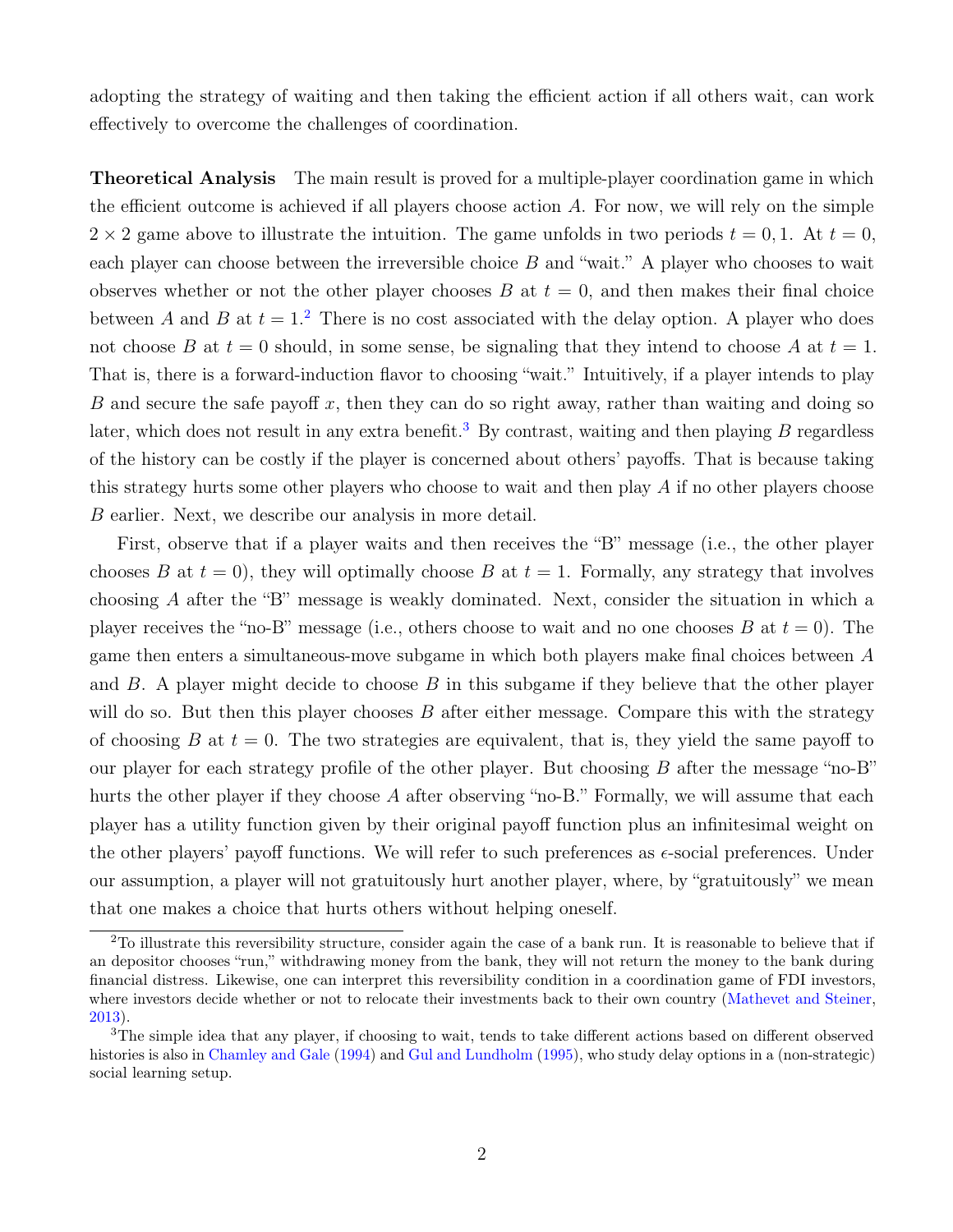adopting the strategy of waiting and then taking the efficient action if all others wait, can work effectively to overcome the challenges of coordination.

Theoretical Analysis The main result is proved for a multiple-player coordination game in which the efficient outcome is achieved if all players choose action  $A$ . For now, we will rely on the simple  $2 \times 2$  game above to illustrate the intuition. The game unfolds in two periods  $t = 0, 1$ . At  $t = 0$ , each player can choose between the irreversible choice  $B$  and "wait." A player who chooses to wait observes whether or not the other player chooses  $B$  at  $t = 0$ , and then makes their final choice between A and B at  $t = 1$ .<sup>[2](#page-2-0)</sup> There is no cost associated with the delay option. A player who does not choose B at  $t = 0$  should, in some sense, be signaling that they intend to choose A at  $t = 1$ . That is, there is a forward-induction flavor to choosing "wait." Intuitively, if a player intends to play B and secure the safe payoff x, then they can do so right away, rather than waiting and doing so later, which does not result in any extra benefit.<sup>[3](#page-2-1)</sup> By contrast, waiting and then playing B regardless of the history can be costly if the player is concerned about others' payoffs. That is because taking this strategy hurts some other players who choose to wait and then play A if no other players choose B earlier. Next, we describe our analysis in more detail.

First, observe that if a player waits and then receives the "B" message (i.e., the other player chooses B at  $t = 0$ , they will optimally choose B at  $t = 1$ . Formally, any strategy that involves choosing A after the "B" message is weakly dominated. Next, consider the situation in which a player receives the "no-B" message (i.e., others choose to wait and no one chooses B at  $t = 0$ ). The game then enters a simultaneous-move subgame in which both players make final choices between A and  $B$ . A player might decide to choose  $B$  in this subgame if they believe that the other player will do so. But then this player chooses  $B$  after either message. Compare this with the strategy of choosing B at  $t = 0$ . The two strategies are equivalent, that is, they yield the same payoff to our player for each strategy profile of the other player. But choosing  $B$  after the message "no-B" hurts the other player if they choose A after observing "no-B." Formally, we will assume that each player has a utility function given by their original payoff function plus an infinitesimal weight on the other players' payoff functions. We will refer to such preferences as  $\epsilon$ -social preferences. Under our assumption, a player will not gratuitously hurt another player, where, by "gratuitously" we mean that one makes a choice that hurts others without helping oneself.

<span id="page-2-0"></span><sup>2</sup>To illustrate this reversibility structure, consider again the case of a bank run. It is reasonable to believe that if an depositor chooses "run," withdrawing money from the bank, they will not return the money to the bank during financial distress. Likewise, one can interpret this reversibility condition in a coordination game of FDI investors, where investors decide whether or not to relocate their investments back to their own country [\(Mathevet and Steiner,](#page-33-4) [2013\)](#page-33-4).

<span id="page-2-1"></span> $3$ The simple idea that any player, if choosing to wait, tends to take different actions based on different observed histories is also in [Chamley and Gale](#page-32-3) [\(1994\)](#page-32-3) and [Gul and Lundholm](#page-33-5) [\(1995\)](#page-33-5), who study delay options in a (non-strategic) social learning setup.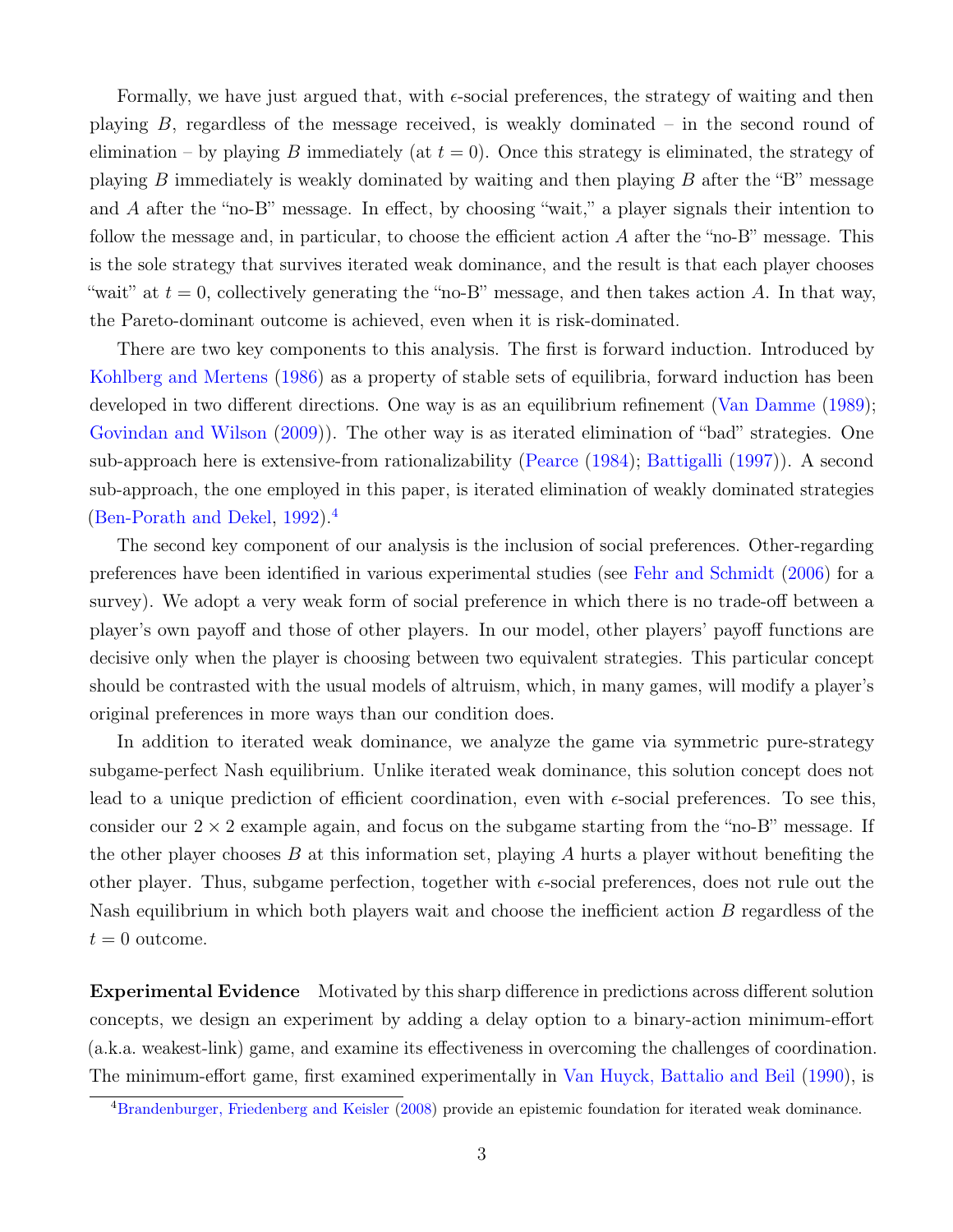Formally, we have just argued that, with  $\epsilon$ -social preferences, the strategy of waiting and then playing B, regardless of the message received, is weakly dominated – in the second round of elimination – by playing B immediately (at  $t = 0$ ). Once this strategy is eliminated, the strategy of playing B immediately is weakly dominated by waiting and then playing B after the "B" message and A after the "no-B" message. In effect, by choosing "wait," a player signals their intention to follow the message and, in particular, to choose the efficient action A after the "no-B" message. This is the sole strategy that survives iterated weak dominance, and the result is that each player chooses "wait" at  $t = 0$ , collectively generating the "no-B" message, and then takes action A. In that way, the Pareto-dominant outcome is achieved, even when it is risk-dominated.

There are two key components to this analysis. The first is forward induction. Introduced by [Kohlberg and Mertens](#page-33-6) [\(1986\)](#page-33-6) as a property of stable sets of equilibria, forward induction has been developed in two different directions. One way is as an equilibrium refinement [\(Van Damme](#page-34-2) [\(1989\)](#page-34-2); [Govindan and Wilson](#page-33-7) [\(2009\)](#page-33-7)). The other way is as iterated elimination of "bad" strategies. One sub-approach here is extensive-from rationalizability [\(Pearce](#page-34-3) [\(1984\)](#page-34-3); [Battigalli](#page-31-0) [\(1997\)](#page-31-0)). A second sub-approach, the one employed in this paper, is iterated elimination of weakly dominated strategies [\(Ben-Porath and Dekel,](#page-31-1) [1992\)](#page-31-1).[4](#page-3-0)

The second key component of our analysis is the inclusion of social preferences. Other-regarding preferences have been identified in various experimental studies (see [Fehr and Schmidt](#page-33-8) [\(2006\)](#page-33-8) for a survey). We adopt a very weak form of social preference in which there is no trade-off between a player's own payoff and those of other players. In our model, other players' payoff functions are decisive only when the player is choosing between two equivalent strategies. This particular concept should be contrasted with the usual models of altruism, which, in many games, will modify a player's original preferences in more ways than our condition does.

In addition to iterated weak dominance, we analyze the game via symmetric pure-strategy subgame-perfect Nash equilibrium. Unlike iterated weak dominance, this solution concept does not lead to a unique prediction of efficient coordination, even with  $\epsilon$ -social preferences. To see this, consider our  $2 \times 2$  example again, and focus on the subgame starting from the "no-B" message. If the other player chooses  $B$  at this information set, playing  $A$  hurts a player without benefiting the other player. Thus, subgame perfection, together with  $\epsilon$ -social preferences, does not rule out the Nash equilibrium in which both players wait and choose the inefficient action B regardless of the  $t = 0$  outcome.

Experimental Evidence Motivated by this sharp difference in predictions across different solution concepts, we design an experiment by adding a delay option to a binary-action minimum-effort (a.k.a. weakest-link) game, and examine its effectiveness in overcoming the challenges of coordination. The minimum-effort game, first examined experimentally in [Van Huyck, Battalio and Beil](#page-34-0) [\(1990\)](#page-34-0), is

<span id="page-3-0"></span><sup>&</sup>lt;sup>4</sup>[Brandenburger, Friedenberg and Keisler](#page-31-2) [\(2008\)](#page-31-2) provide an epistemic foundation for iterated weak dominance.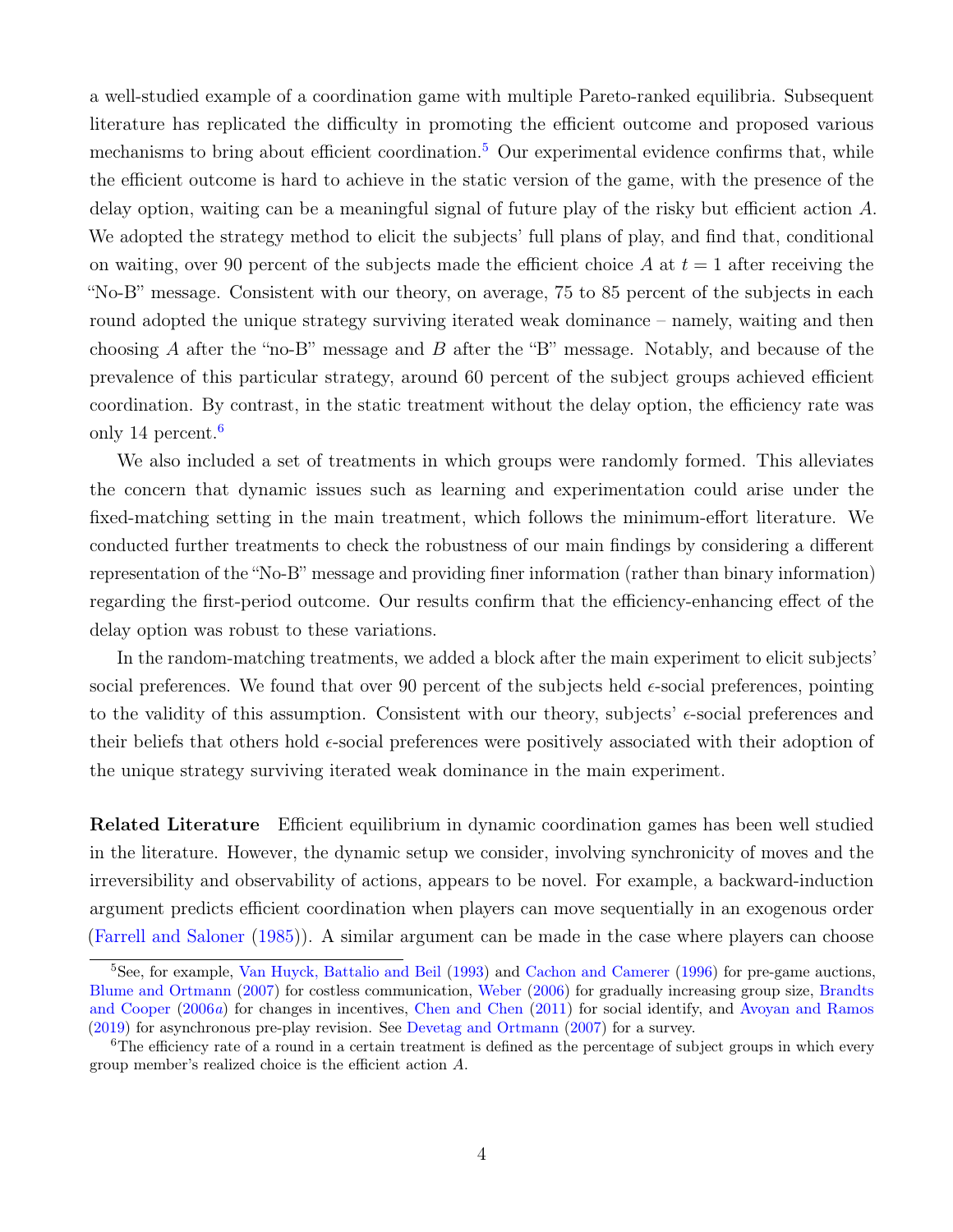a well-studied example of a coordination game with multiple Pareto-ranked equilibria. Subsequent literature has replicated the difficulty in promoting the efficient outcome and proposed various mechanisms to bring about efficient coordination.<sup>[5](#page-4-0)</sup> Our experimental evidence confirms that, while the efficient outcome is hard to achieve in the static version of the game, with the presence of the delay option, waiting can be a meaningful signal of future play of the risky but efficient action A. We adopted the strategy method to elicit the subjects' full plans of play, and find that, conditional on waiting, over 90 percent of the subjects made the efficient choice A at  $t = 1$  after receiving the "No-B" message. Consistent with our theory, on average, 75 to 85 percent of the subjects in each round adopted the unique strategy surviving iterated weak dominance – namely, waiting and then choosing A after the "no-B" message and B after the "B" message. Notably, and because of the prevalence of this particular strategy, around 60 percent of the subject groups achieved efficient coordination. By contrast, in the static treatment without the delay option, the efficiency rate was only 14 percent.<sup>[6](#page-4-1)</sup>

We also included a set of treatments in which groups were randomly formed. This alleviates the concern that dynamic issues such as learning and experimentation could arise under the fixed-matching setting in the main treatment, which follows the minimum-effort literature. We conducted further treatments to check the robustness of our main findings by considering a different representation of the "No-B" message and providing finer information (rather than binary information) regarding the first-period outcome. Our results confirm that the efficiency-enhancing effect of the delay option was robust to these variations.

In the random-matching treatments, we added a block after the main experiment to elicit subjects' social preferences. We found that over 90 percent of the subjects held  $\epsilon$ -social preferences, pointing to the validity of this assumption. Consistent with our theory, subjects'  $\epsilon$ -social preferences and their beliefs that others hold  $\epsilon$ -social preferences were positively associated with their adoption of the unique strategy surviving iterated weak dominance in the main experiment.

Related Literature Efficient equilibrium in dynamic coordination games has been well studied in the literature. However, the dynamic setup we consider, involving synchronicity of moves and the irreversibility and observability of actions, appears to be novel. For example, a backward-induction argument predicts efficient coordination when players can move sequentially in an exogenous order [\(Farrell and Saloner](#page-33-1) [\(1985\)](#page-33-1)). A similar argument can be made in the case where players can choose

<span id="page-4-0"></span><sup>&</sup>lt;sup>5</sup>See, for example, [Van Huyck, Battalio and Beil](#page-34-4) [\(1993\)](#page-34-4) and [Cachon and Camerer](#page-32-4) [\(1996\)](#page-32-4) for pre-game auctions, [Blume and Ortmann](#page-31-3) [\(2007\)](#page-31-3) for costless communication, [Weber](#page-34-5) [\(2006\)](#page-34-5) for gradually increasing group size, [Brandts](#page-31-4) [and Cooper](#page-31-4) [\(2006](#page-31-4)a) for changes in incentives, [Chen and Chen](#page-32-5) [\(2011\)](#page-32-5) for social identify, and [Avoyan and Ramos](#page-31-5) [\(2019\)](#page-31-5) for asynchronous pre-play revision. See [Devetag and Ortmann](#page-33-9) [\(2007\)](#page-33-9) for a survey.

<span id="page-4-1"></span><sup>&</sup>lt;sup>6</sup>The efficiency rate of a round in a certain treatment is defined as the percentage of subject groups in which every group member's realized choice is the efficient action A.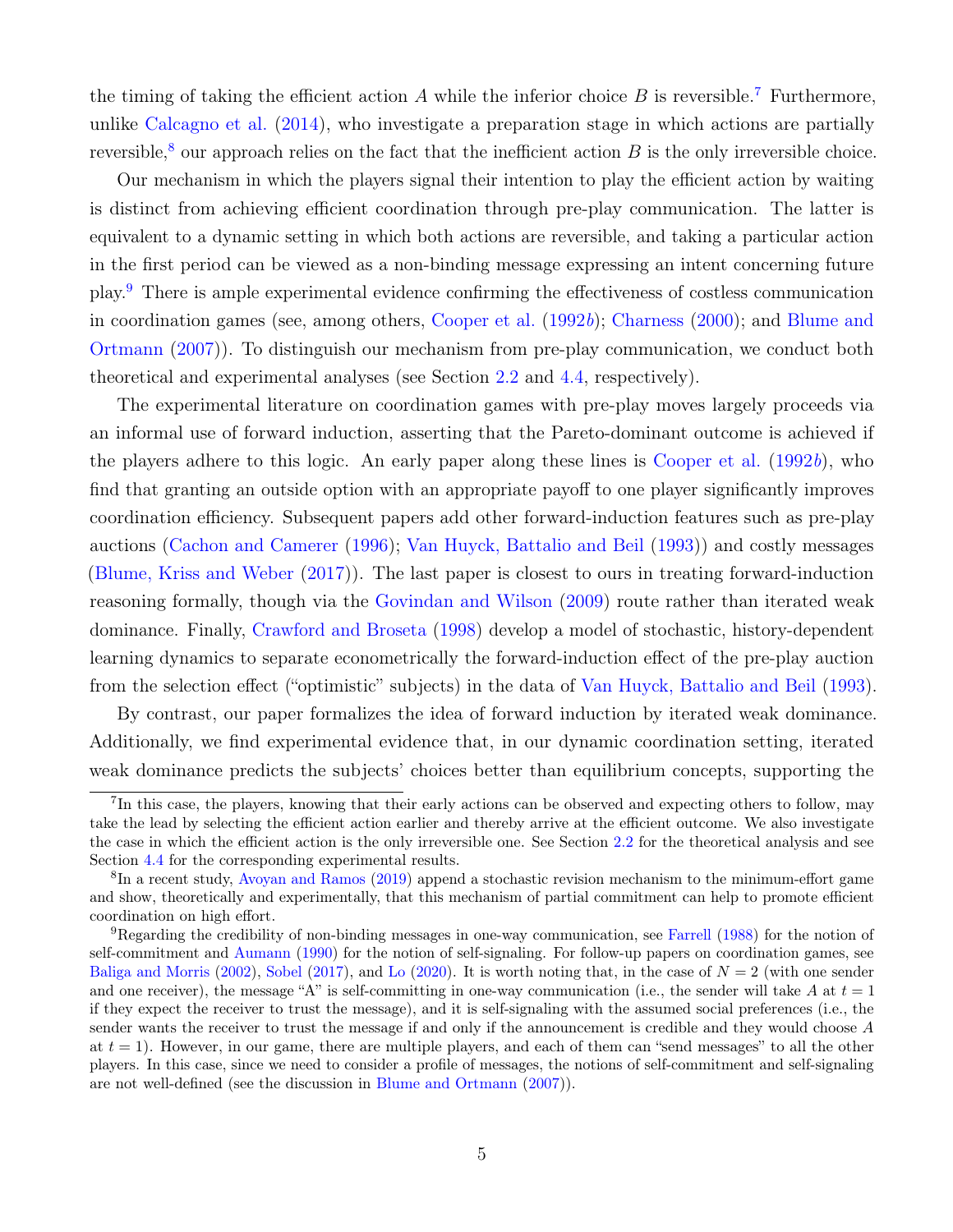the timing of taking the efficient action A while the inferior choice  $B$  is reversible.<sup>[7](#page-5-0)</sup> Furthermore, unlike [Calcagno et al.](#page-32-6) [\(2014\)](#page-32-6), who investigate a preparation stage in which actions are partially reversible,<sup>[8](#page-5-1)</sup> our approach relies on the fact that the inefficient action  $B$  is the only irreversible choice.

Our mechanism in which the players signal their intention to play the efficient action by waiting is distinct from achieving efficient coordination through pre-play communication. The latter is equivalent to a dynamic setting in which both actions are reversible, and taking a particular action in the first period can be viewed as a non-binding message expressing an intent concerning future play.[9](#page-5-2) There is ample experimental evidence confirming the effectiveness of costless communication in coordination games (see, among others, [Cooper et al.](#page-32-7) [\(1992](#page-32-7)b); [Charness](#page-32-8) [\(2000\)](#page-32-8); and [Blume and](#page-31-3) [Ortmann](#page-31-3) [\(2007\)](#page-31-3)). To distinguish our mechanism from pre-play communication, we conduct both theoretical and experimental analyses (see Section [2.2](#page-10-0) and [4.4,](#page-27-0) respectively).

The experimental literature on coordination games with pre-play moves largely proceeds via an informal use of forward induction, asserting that the Pareto-dominant outcome is achieved if the players adhere to this logic. An early paper along these lines is [Cooper et al.](#page-32-7)  $(1992b)$  $(1992b)$ , who find that granting an outside option with an appropriate payoff to one player significantly improves coordination efficiency. Subsequent papers add other forward-induction features such as pre-play auctions [\(Cachon and Camerer](#page-32-4) [\(1996\)](#page-32-4); [Van Huyck, Battalio and Beil](#page-34-4) [\(1993\)](#page-34-4)) and costly messages [\(Blume, Kriss and Weber](#page-31-6) [\(2017\)](#page-31-6)). The last paper is closest to ours in treating forward-induction reasoning formally, though via the [Govindan and Wilson](#page-33-7) [\(2009\)](#page-33-7) route rather than iterated weak dominance. Finally, [Crawford and Broseta](#page-32-9) [\(1998\)](#page-32-9) develop a model of stochastic, history-dependent learning dynamics to separate econometrically the forward-induction effect of the pre-play auction from the selection effect ("optimistic" subjects) in the data of [Van Huyck, Battalio and Beil](#page-34-4) [\(1993\)](#page-34-4).

By contrast, our paper formalizes the idea of forward induction by iterated weak dominance. Additionally, we find experimental evidence that, in our dynamic coordination setting, iterated weak dominance predicts the subjects' choices better than equilibrium concepts, supporting the

<span id="page-5-0"></span><sup>&</sup>lt;sup>7</sup>In this case, the players, knowing that their early actions can be observed and expecting others to follow, may take the lead by selecting the efficient action earlier and thereby arrive at the efficient outcome. We also investigate the case in which the efficient action is the only irreversible one. See Section [2.2](#page-10-0) for the theoretical analysis and see Section [4.4](#page-27-0) for the corresponding experimental results.

<span id="page-5-1"></span><sup>&</sup>lt;sup>8</sup>In a recent study, [Avoyan and Ramos](#page-31-5) [\(2019\)](#page-31-5) append a stochastic revision mechanism to the minimum-effort game and show, theoretically and experimentally, that this mechanism of partial commitment can help to promote efficient coordination on high effort.

<span id="page-5-2"></span><sup>9</sup>Regarding the credibility of non-binding messages in one-way communication, see [Farrell](#page-33-10) [\(1988\)](#page-33-10) for the notion of self-commitment and [Aumann](#page-31-7) [\(1990\)](#page-31-7) for the notion of self-signaling. For follow-up papers on coordination games, see [Baliga and Morris](#page-31-8) [\(2002\)](#page-31-8), [Sobel](#page-34-6) [\(2017\)](#page-34-6), and [Lo](#page-33-11) [\(2020\)](#page-33-11). It is worth noting that, in the case of  $N = 2$  (with one sender and one receiver), the message "A" is self-committing in one-way communication (i.e., the sender will take A at  $t = 1$ ) if they expect the receiver to trust the message), and it is self-signaling with the assumed social preferences (i.e., the sender wants the receiver to trust the message if and only if the announcement is credible and they would choose A at  $t = 1$ ). However, in our game, there are multiple players, and each of them can "send messages" to all the other players. In this case, since we need to consider a profile of messages, the notions of self-commitment and self-signaling are not well-defined (see the discussion in [Blume and Ortmann](#page-31-3) [\(2007\)](#page-31-3)).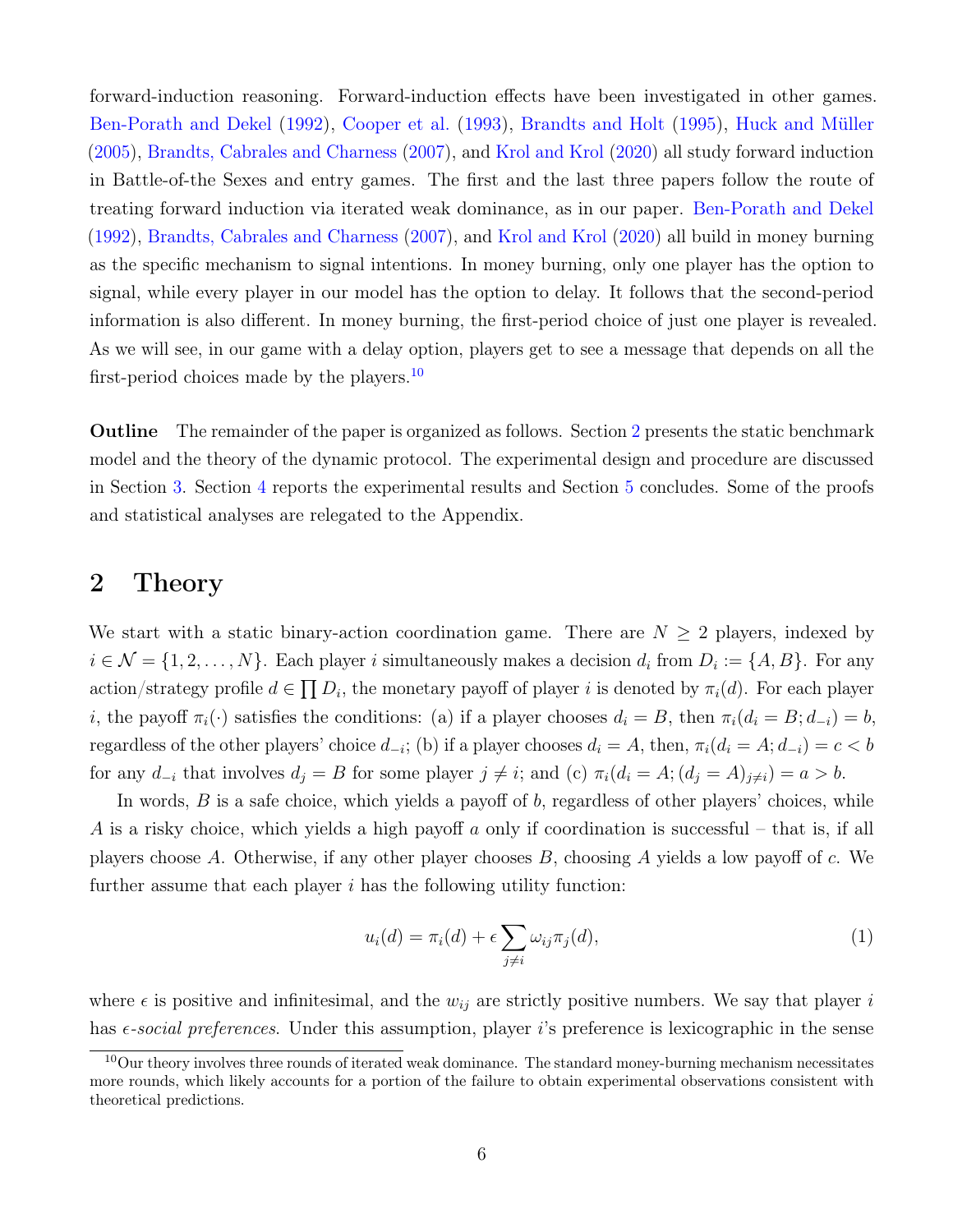forward-induction reasoning. Forward-induction effects have been investigated in other games. [Ben-Porath and Dekel](#page-31-1) [\(1992\)](#page-31-1), [Cooper et al.](#page-32-10) [\(1993\)](#page-32-10), [Brandts and Holt](#page-31-9) [\(1995\)](#page-31-9), [Huck and Müller](#page-33-12) [\(2005\)](#page-33-12), [Brandts, Cabrales and Charness](#page-31-10) [\(2007\)](#page-31-10), and [Krol and Krol](#page-33-13) [\(2020\)](#page-33-13) all study forward induction in Battle-of-the Sexes and entry games. The first and the last three papers follow the route of treating forward induction via iterated weak dominance, as in our paper. [Ben-Porath and Dekel](#page-31-1) [\(1992\)](#page-31-1), [Brandts, Cabrales and Charness](#page-31-10) [\(2007\)](#page-31-10), and [Krol and Krol](#page-33-13) [\(2020\)](#page-33-13) all build in money burning as the specific mechanism to signal intentions. In money burning, only one player has the option to signal, while every player in our model has the option to delay. It follows that the second-period information is also different. In money burning, the first-period choice of just one player is revealed. As we will see, in our game with a delay option, players get to see a message that depends on all the first-period choices made by the players.<sup>[10](#page-6-0)</sup>

Outline The remainder of the paper is organized as follows. Section [2](#page-6-1) presents the static benchmark model and the theory of the dynamic protocol. The experimental design and procedure are discussed in Section [3.](#page-13-0) Section [4](#page-19-0) reports the experimental results and Section [5](#page-30-0) concludes. Some of the proofs and statistical analyses are relegated to the Appendix.

### <span id="page-6-1"></span>2 Theory

We start with a static binary-action coordination game. There are  $N \geq 2$  players, indexed by  $i \in \mathcal{N} = \{1, 2, \ldots, N\}$ . Each player i simultaneously makes a decision  $d_i$  from  $D_i := \{A, B\}$ . For any action/strategy profile  $d \in \prod D_i$ , the monetary payoff of player i is denoted by  $\pi_i(d)$ . For each player i, the payoff  $\pi_i(\cdot)$  satisfies the conditions: (a) if a player chooses  $d_i = B$ , then  $\pi_i(d_i = B; d_{-i}) = b$ , regardless of the other players' choice  $d_{-i}$ ; (b) if a player chooses  $d_i = A$ , then,  $\pi_i(d_i = A; d_{-i}) = c < b$ for any  $d_{-i}$  that involves  $d_j = B$  for some player  $j \neq i$ ; and (c)  $\pi_i(d_i = A; (d_j = A)_{j \neq i}) = a > b$ .

In words,  $B$  is a safe choice, which yields a payoff of  $b$ , regardless of other players' choices, while A is a risky choice, which yields a high payoff a only if coordination is successful – that is, if all players choose A. Otherwise, if any other player chooses  $B$ , choosing A yields a low payoff of c. We further assume that each player  $i$  has the following utility function:

<span id="page-6-2"></span>
$$
u_i(d) = \pi_i(d) + \epsilon \sum_{j \neq i} \omega_{ij} \pi_j(d), \tag{1}
$$

where  $\epsilon$  is positive and infinitesimal, and the  $w_{ij}$  are strictly positive numbers. We say that player i has  $\epsilon$ -social preferences. Under this assumption, player i's preference is lexicographic in the sense

<span id="page-6-0"></span> $10$ Our theory involves three rounds of iterated weak dominance. The standard money-burning mechanism necessitates more rounds, which likely accounts for a portion of the failure to obtain experimental observations consistent with theoretical predictions.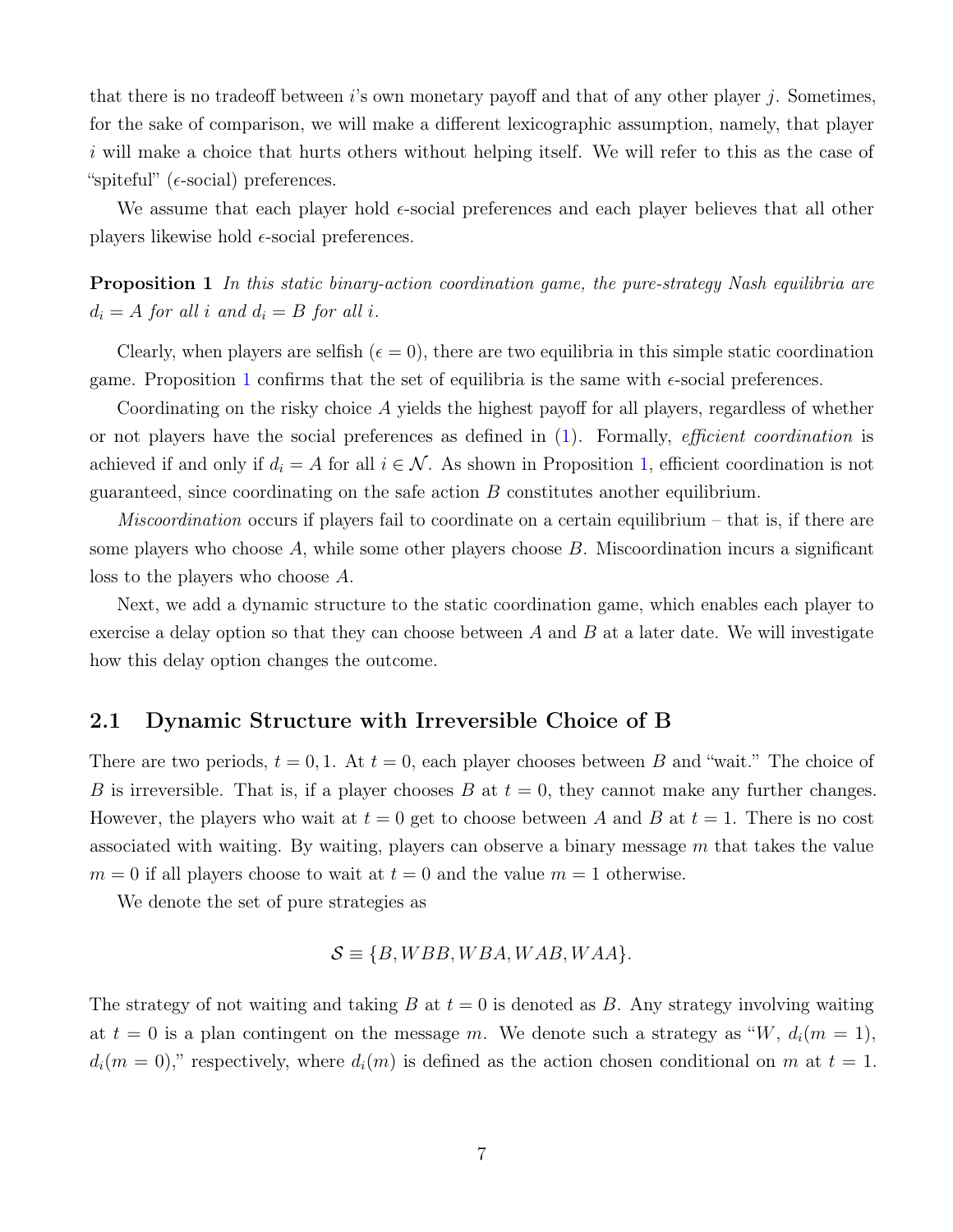that there is no tradeoff between i's own monetary payoff and that of any other player j. Sometimes, for the sake of comparison, we will make a different lexicographic assumption, namely, that player i will make a choice that hurts others without helping itself. We will refer to this as the case of "spiteful" ( $\epsilon$ -social) preferences.

We assume that each player hold  $\epsilon$ -social preferences and each player believes that all other players likewise hold  $\epsilon$ -social preferences.

<span id="page-7-0"></span>**Proposition 1** In this static binary-action coordination game, the pure-strategy Nash equilibria are  $d_i = A$  for all i and  $d_i = B$  for all i.

Clearly, when players are selfish ( $\epsilon = 0$ ), there are two equilibria in this simple static coordination game. Proposition [1](#page-7-0) confirms that the set of equilibria is the same with  $\epsilon$ -social preferences.

Coordinating on the risky choice A yields the highest payoff for all players, regardless of whether or not players have the social preferences as defined in  $(1)$ . Formally, *efficient coordination* is achieved if and only if  $d_i = A$  for all  $i \in \mathcal{N}$ . As shown in Proposition [1,](#page-7-0) efficient coordination is not guaranteed, since coordinating on the safe action  $B$  constitutes another equilibrium.

*Miscoordination* occurs if players fail to coordinate on a certain equilibrium – that is, if there are some players who choose  $A$ , while some other players choose  $B$ . Miscoordination incurs a significant loss to the players who choose A.

Next, we add a dynamic structure to the static coordination game, which enables each player to exercise a delay option so that they can choose between  $A$  and  $B$  at a later date. We will investigate how this delay option changes the outcome.

#### <span id="page-7-1"></span>2.1 Dynamic Structure with Irreversible Choice of B

There are two periods,  $t = 0, 1$ . At  $t = 0$ , each player chooses between B and "wait." The choice of B is irreversible. That is, if a player chooses B at  $t = 0$ , they cannot make any further changes. However, the players who wait at  $t = 0$  get to choose between A and B at  $t = 1$ . There is no cost associated with waiting. By waiting, players can observe a binary message m that takes the value  $m = 0$  if all players choose to wait at  $t = 0$  and the value  $m = 1$  otherwise.

We denote the set of pure strategies as

$$
\mathcal{S} \equiv \{B, WBB, WBA, WAB, WAA\}.
$$

The strategy of not waiting and taking  $B$  at  $t = 0$  is denoted as  $B$ . Any strategy involving waiting at  $t = 0$  is a plan contingent on the message m. We denote such a strategy as "W,  $d_i(m = 1)$ ,  $d_i(m = 0)$ ," respectively, where  $d_i(m)$  is defined as the action chosen conditional on m at  $t = 1$ .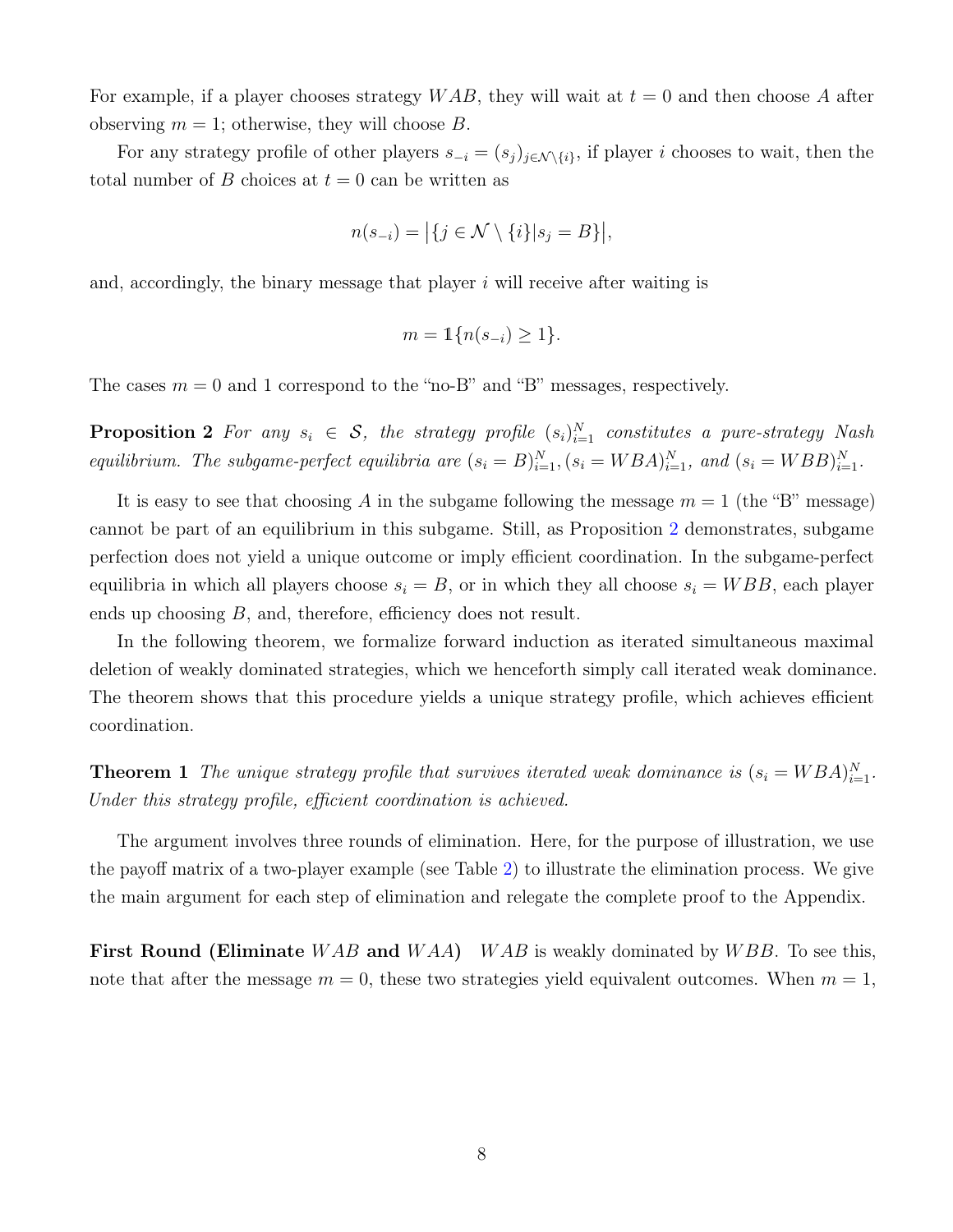For example, if a player chooses strategy  $WAB$ , they will wait at  $t = 0$  and then choose A after observing  $m = 1$ ; otherwise, they will choose  $B$ .

For any strategy profile of other players  $s_{-i} = (s_i)_{i \in \mathcal{N} \setminus \{i\}}$ , if player i chooses to wait, then the total number of B choices at  $t = 0$  can be written as

$$
n(s_{-i}) = |\{j \in \mathcal{N} \setminus \{i\}|s_j = B\}|,
$$

and, accordingly, the binary message that player  $i$  will receive after waiting is

$$
m = \mathbb{1}\{n(s_{-i}) \ge 1\}.
$$

<span id="page-8-0"></span>The cases  $m = 0$  and 1 correspond to the "no-B" and "B" messages, respectively.

**Proposition 2** For any  $s_i \in S$ , the strategy profile  $(s_i)_{i=1}^N$  constitutes a pure-strategy Nash equilibrium. The subgame-perfect equilibria are  $(s_i = B)_{i=1}^N$ ,  $(s_i = WBA)_{i=1}^N$ , and  $(s_i = WBB)_{i=1}^N$ .

It is easy to see that choosing A in the subgame following the message  $m = 1$  (the "B" message) cannot be part of an equilibrium in this subgame. Still, as Proposition [2](#page-8-0) demonstrates, subgame perfection does not yield a unique outcome or imply efficient coordination. In the subgame-perfect equilibria in which all players choose  $s_i = B$ , or in which they all choose  $s_i = WBB$ , each player ends up choosing B, and, therefore, efficiency does not result.

In the following theorem, we formalize forward induction as iterated simultaneous maximal deletion of weakly dominated strategies, which we henceforth simply call iterated weak dominance. The theorem shows that this procedure yields a unique strategy profile, which achieves efficient coordination.

<span id="page-8-1"></span>**Theorem 1** The unique strategy profile that survives iterated weak dominance is  $(s_i = WBA)_{i=1}^N$ . Under this strategy profile, efficient coordination is achieved.

The argument involves three rounds of elimination. Here, for the purpose of illustration, we use the payoff matrix of a two-player example (see Table [2\)](#page-9-0) to illustrate the elimination process. We give the main argument for each step of elimination and relegate the complete proof to the Appendix.

**First Round (Eliminate** WAB and WAA) WAB is weakly dominated by WBB. To see this, note that after the message  $m = 0$ , these two strategies yield equivalent outcomes. When  $m = 1$ ,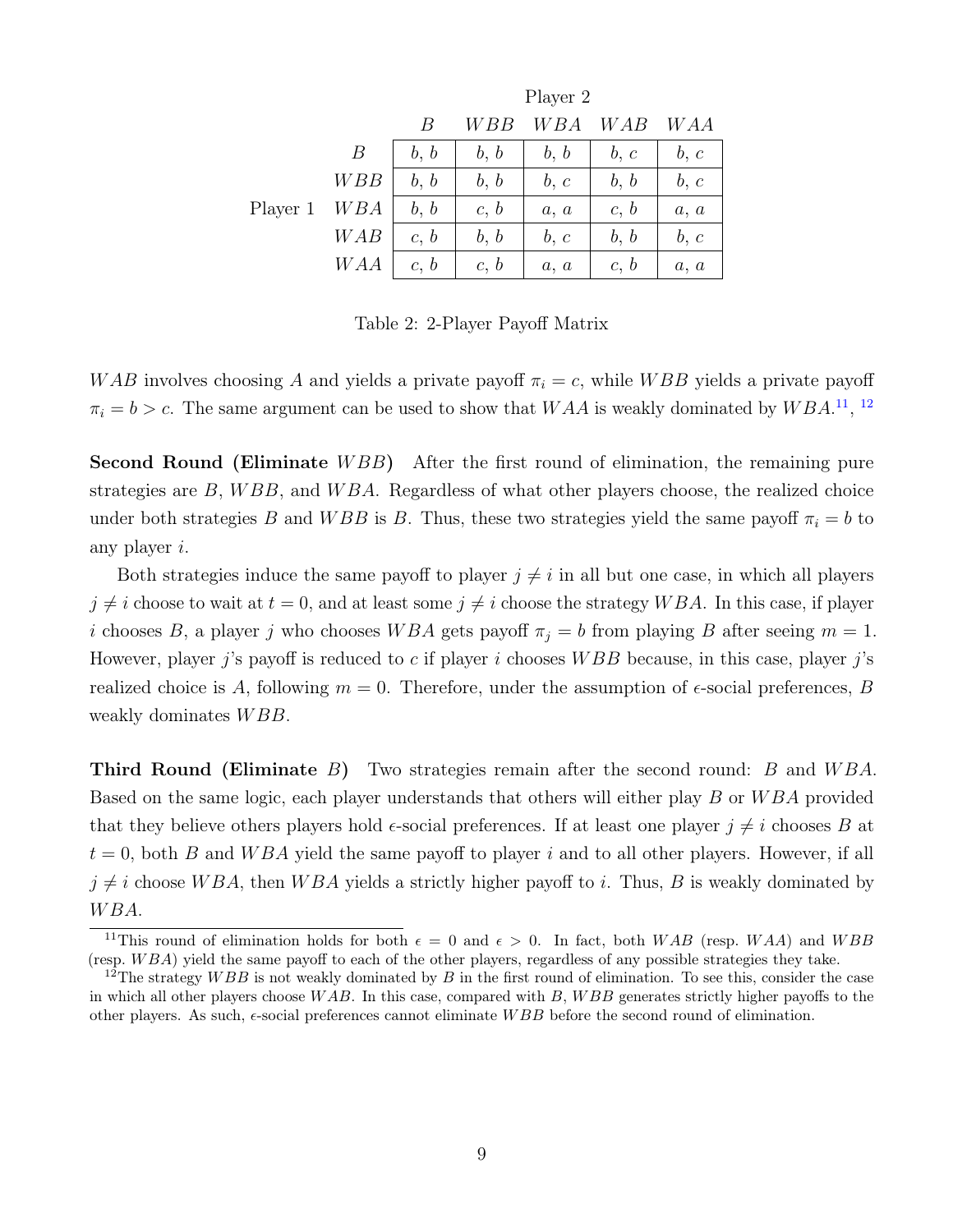<span id="page-9-0"></span>

|          |     | Player 2 |       |      |      |      |  |
|----------|-----|----------|-------|------|------|------|--|
|          |     | B        | W B B | WBA  | WAB  | WAA  |  |
|          | B   | b, b     | b, b  | b, b | b, c | b, c |  |
|          | WBB | b, b     | b, b  | b, c | b, b | b, c |  |
| Player 1 | WBA | b, b     | c, b  | a, a | c, b | a, a |  |
|          | WAB | c, b     | b, b  | b, c | b, b | b, c |  |
|          | WAA | c, b     | c, b  | a, a | c, b | a, a |  |

Table 2: 2-Player Payoff Matrix

WAB involves choosing A and yields a private payoff  $\pi_i = c$ , while WBB yields a private payoff  $\pi_i = b > c$ . The same argument can be used to show that WAA is weakly dominated by WBA.<sup>[11](#page-9-1)</sup>, <sup>[12](#page-9-2)</sup>

**Second Round (Eliminate** WBB) After the first round of elimination, the remaining pure strategies are  $B$ ,  $WBB$ , and  $WBA$ . Regardless of what other players choose, the realized choice under both strategies B and WBB is B. Thus, these two strategies yield the same payoff  $\pi_i = b$  to any player i.

Both strategies induce the same payoff to player  $j \neq i$  in all but one case, in which all players  $j \neq i$  choose to wait at  $t = 0$ , and at least some  $j \neq i$  choose the strategy WBA. In this case, if player i chooses B, a player j who chooses WBA gets payoff  $\pi_j = b$  from playing B after seeing  $m = 1$ . However, player j's payoff is reduced to c if player i chooses  $WBB$  because, in this case, player j's realized choice is A, following  $m = 0$ . Therefore, under the assumption of  $\epsilon$ -social preferences, B weakly dominates  $WBB$ .

**Third Round (Eliminate** B) Two strategies remain after the second round: B and  $WBA$ . Based on the same logic, each player understands that others will either play B or WBA provided that they believe others players hold  $\epsilon$ -social preferences. If at least one player  $j \neq i$  chooses B at  $t = 0$ , both B and WBA yield the same payoff to player i and to all other players. However, if all  $j \neq i$  choose W BA, then W BA yields a strictly higher payoff to i. Thus, B is weakly dominated by W BA.

<span id="page-9-1"></span><sup>&</sup>lt;sup>11</sup>This round of elimination holds for both  $\epsilon = 0$  and  $\epsilon > 0$ . In fact, both WAB (resp. WAA) and WBB (resp.  $WBA$ ) yield the same payoff to each of the other players, regardless of any possible strategies they take.

<span id="page-9-2"></span><sup>&</sup>lt;sup>12</sup>The strategy WBB is not weakly dominated by B in the first round of elimination. To see this, consider the case in which all other players choose  $WAB$ . In this case, compared with B,  $WBB$  generates strictly higher payoffs to the other players. As such,  $\epsilon$ -social preferences cannot eliminate WBB before the second round of elimination.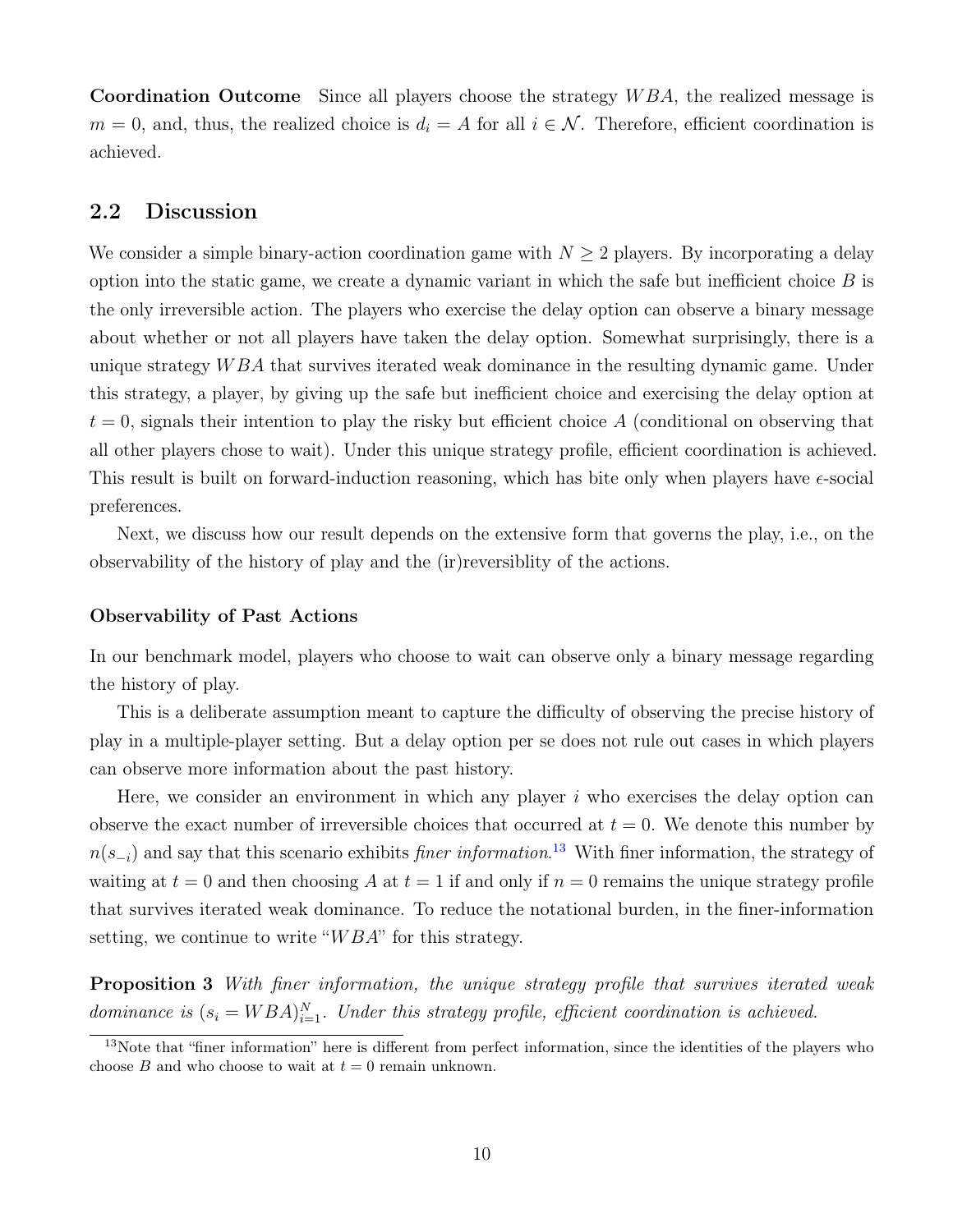Coordination Outcome Since all players choose the strategy WBA, the realized message is  $m = 0$ , and, thus, the realized choice is  $d_i = A$  for all  $i \in \mathcal{N}$ . Therefore, efficient coordination is achieved.

#### <span id="page-10-0"></span>2.2 Discussion

We consider a simple binary-action coordination game with  $N \geq 2$  players. By incorporating a delay option into the static game, we create a dynamic variant in which the safe but inefficient choice  $B$  is the only irreversible action. The players who exercise the delay option can observe a binary message about whether or not all players have taken the delay option. Somewhat surprisingly, there is a unique strategy WBA that survives iterated weak dominance in the resulting dynamic game. Under this strategy, a player, by giving up the safe but inefficient choice and exercising the delay option at  $t = 0$ , signals their intention to play the risky but efficient choice A (conditional on observing that all other players chose to wait). Under this unique strategy profile, efficient coordination is achieved. This result is built on forward-induction reasoning, which has bite only when players have  $\epsilon$ -social preferences.

Next, we discuss how our result depends on the extensive form that governs the play, i.e., on the observability of the history of play and the (ir)reversiblity of the actions.

#### Observability of Past Actions

In our benchmark model, players who choose to wait can observe only a binary message regarding the history of play.

This is a deliberate assumption meant to capture the difficulty of observing the precise history of play in a multiple-player setting. But a delay option per se does not rule out cases in which players can observe more information about the past history.

Here, we consider an environment in which any player  $i$  who exercises the delay option can observe the exact number of irreversible choices that occurred at  $t = 0$ . We denote this number by  $n(s_{-i})$  and say that this scenario exhibits *finer information*.<sup>[13](#page-10-1)</sup> With finer information, the strategy of waiting at  $t = 0$  and then choosing A at  $t = 1$  if and only if  $n = 0$  remains the unique strategy profile that survives iterated weak dominance. To reduce the notational burden, in the finer-information setting, we continue to write " $WBA$ " for this strategy.

<span id="page-10-2"></span>Proposition 3 With finer information, the unique strategy profile that survives iterated weak dominance is  $(s_i = WBA)_{i=1}^N$ . Under this strategy profile, efficient coordination is achieved.

<span id="page-10-1"></span><sup>&</sup>lt;sup>13</sup>Note that "finer information" here is different from perfect information, since the identities of the players who choose B and who choose to wait at  $t = 0$  remain unknown.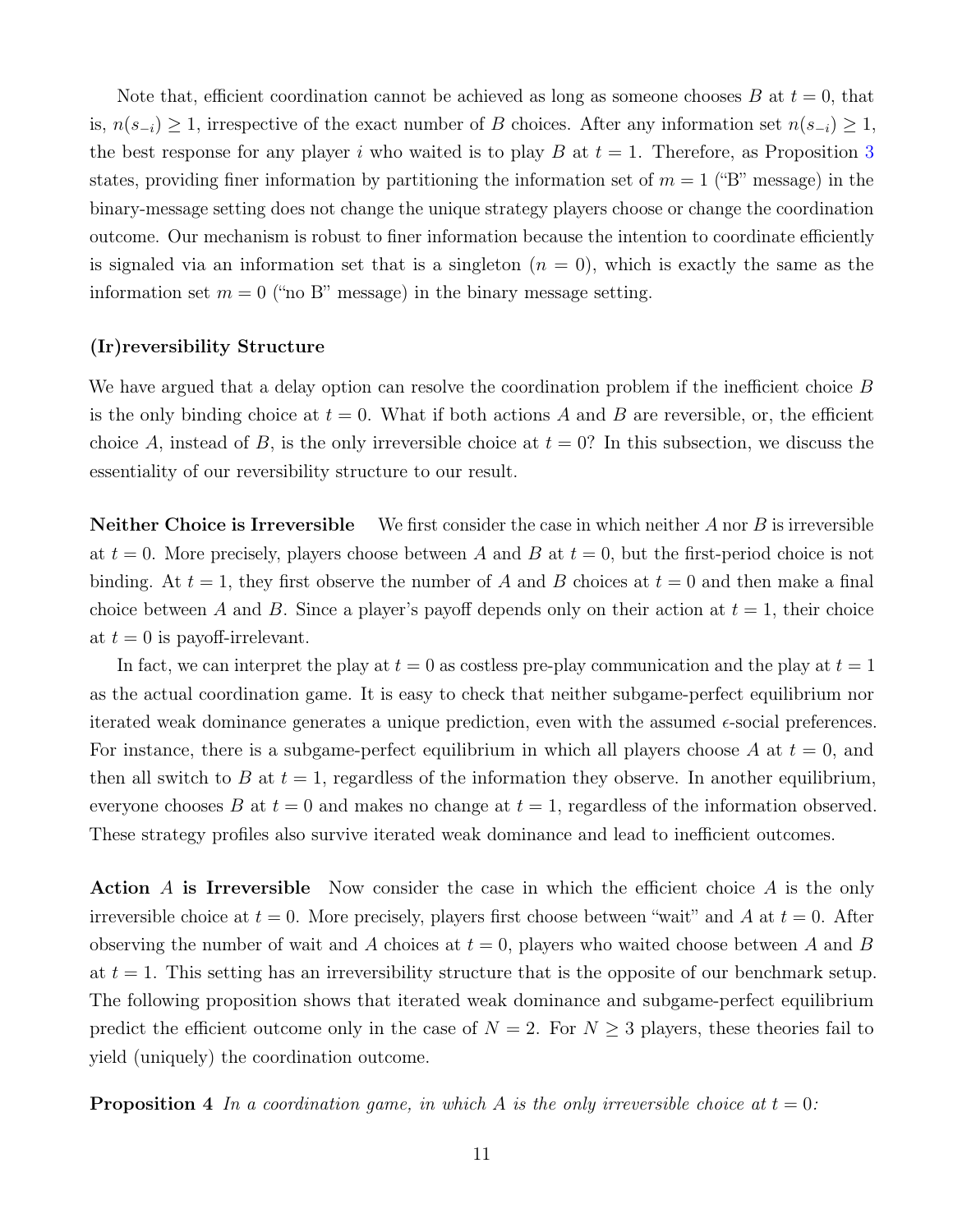Note that, efficient coordination cannot be achieved as long as someone chooses B at  $t = 0$ , that is,  $n(s_{-i}) \geq 1$ , irrespective of the exact number of B choices. After any information set  $n(s_{-i}) \geq 1$ , the best response for any player i who waited is to play B at  $t = 1$ . Therefore, as Proposition [3](#page-10-2) states, providing finer information by partitioning the information set of  $m = 1$  ("B" message) in the binary-message setting does not change the unique strategy players choose or change the coordination outcome. Our mechanism is robust to finer information because the intention to coordinate efficiently is signaled via an information set that is a singleton  $(n = 0)$ , which is exactly the same as the information set  $m = 0$  ("no B" message) in the binary message setting.

#### (Ir)reversibility Structure

We have argued that a delay option can resolve the coordination problem if the inefficient choice B is the only binding choice at  $t = 0$ . What if both actions A and B are reversible, or, the efficient choice A, instead of B, is the only irreversible choice at  $t = 0$ ? In this subsection, we discuss the essentiality of our reversibility structure to our result.

**Neither Choice is Irreversible** We first consider the case in which neither  $A$  nor  $B$  is irreversible at  $t = 0$ . More precisely, players choose between A and B at  $t = 0$ , but the first-period choice is not binding. At  $t = 1$ , they first observe the number of A and B choices at  $t = 0$  and then make a final choice between A and B. Since a player's payoff depends only on their action at  $t = 1$ , their choice at  $t = 0$  is payoff-irrelevant.

In fact, we can interpret the play at  $t = 0$  as costless pre-play communication and the play at  $t = 1$ as the actual coordination game. It is easy to check that neither subgame-perfect equilibrium nor iterated weak dominance generates a unique prediction, even with the assumed  $\epsilon$ -social preferences. For instance, there is a subgame-perfect equilibrium in which all players choose A at  $t = 0$ , and then all switch to B at  $t = 1$ , regardless of the information they observe. In another equilibrium, everyone chooses B at  $t = 0$  and makes no change at  $t = 1$ , regardless of the information observed. These strategy profiles also survive iterated weak dominance and lead to inefficient outcomes.

Action A is Irreversible Now consider the case in which the efficient choice A is the only irreversible choice at  $t = 0$ . More precisely, players first choose between "wait" and A at  $t = 0$ . After observing the number of wait and A choices at  $t = 0$ , players who waited choose between A and B at  $t = 1$ . This setting has an irreversibility structure that is the opposite of our benchmark setup. The following proposition shows that iterated weak dominance and subgame-perfect equilibrium predict the efficient outcome only in the case of  $N = 2$ . For  $N \geq 3$  players, these theories fail to yield (uniquely) the coordination outcome.

<span id="page-11-0"></span>**Proposition 4** In a coordination game, in which A is the only irreversible choice at  $t = 0$ :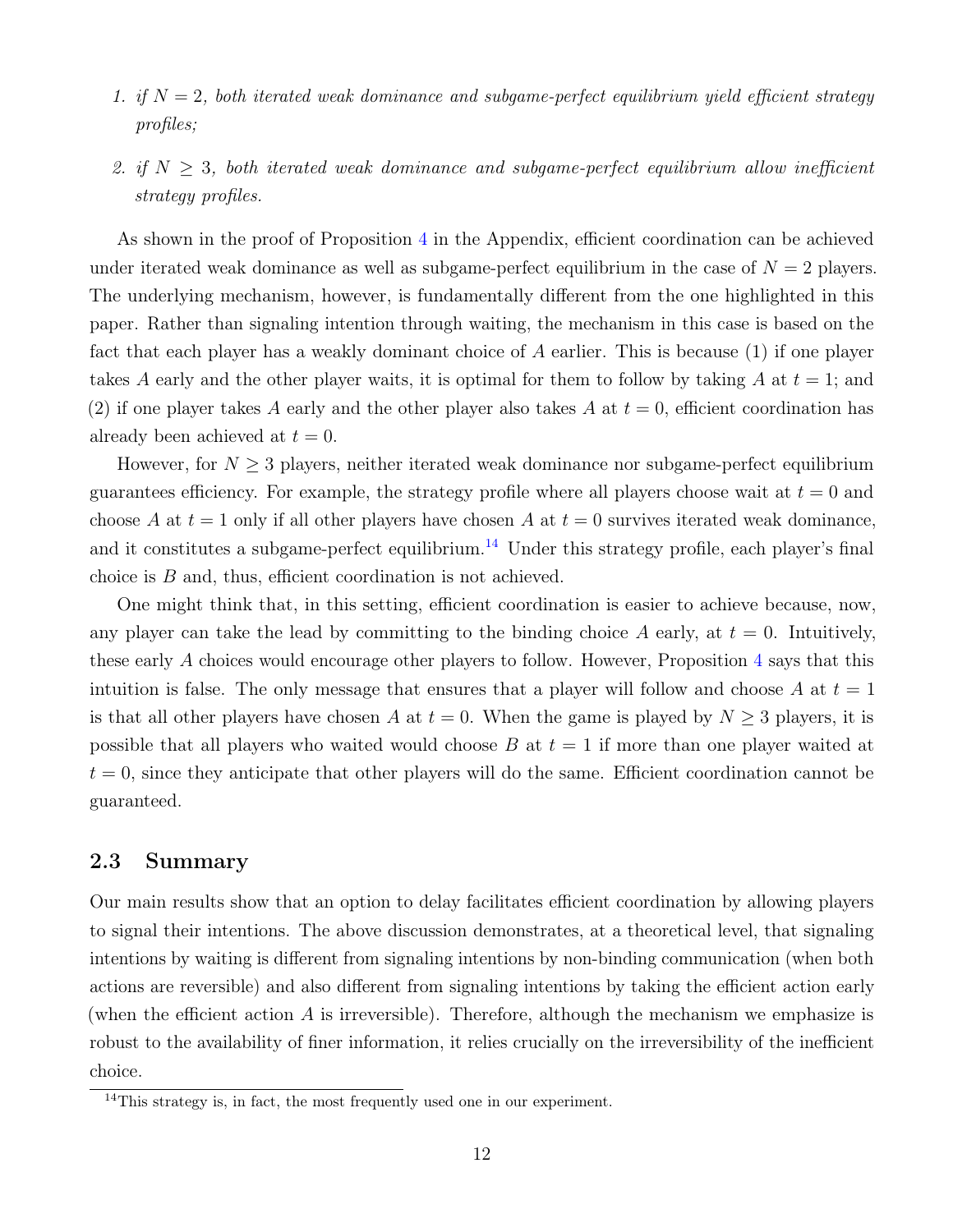- 1. if  $N = 2$ , both iterated weak dominance and subgame-perfect equilibrium yield efficient strategy profiles;
- 2. if  $N \geq 3$ , both iterated weak dominance and subgame-perfect equilibrium allow inefficient strategy profiles.

As shown in the proof of Proposition [4](#page-11-0) in the Appendix, efficient coordination can be achieved under iterated weak dominance as well as subgame-perfect equilibrium in the case of  $N = 2$  players. The underlying mechanism, however, is fundamentally different from the one highlighted in this paper. Rather than signaling intention through waiting, the mechanism in this case is based on the fact that each player has a weakly dominant choice of A earlier. This is because (1) if one player takes A early and the other player waits, it is optimal for them to follow by taking A at  $t = 1$ ; and (2) if one player takes A early and the other player also takes A at  $t = 0$ , efficient coordination has already been achieved at  $t = 0$ .

However, for  $N \geq 3$  players, neither iterated weak dominance nor subgame-perfect equilibrium guarantees efficiency. For example, the strategy profile where all players choose wait at  $t = 0$  and choose A at  $t = 1$  only if all other players have chosen A at  $t = 0$  survives iterated weak dominance, and it constitutes a subgame-perfect equilibrium.<sup>[14](#page-12-0)</sup> Under this strategy profile, each player's final choice is B and, thus, efficient coordination is not achieved.

One might think that, in this setting, efficient coordination is easier to achieve because, now, any player can take the lead by committing to the binding choice A early, at  $t = 0$ . Intuitively, these early A choices would encourage other players to follow. However, Proposition [4](#page-11-0) says that this intuition is false. The only message that ensures that a player will follow and choose A at  $t = 1$ is that all other players have chosen A at  $t = 0$ . When the game is played by  $N \geq 3$  players, it is possible that all players who waited would choose B at  $t = 1$  if more than one player waited at  $t = 0$ , since they anticipate that other players will do the same. Efficient coordination cannot be guaranteed.

#### 2.3 Summary

Our main results show that an option to delay facilitates efficient coordination by allowing players to signal their intentions. The above discussion demonstrates, at a theoretical level, that signaling intentions by waiting is different from signaling intentions by non-binding communication (when both actions are reversible) and also different from signaling intentions by taking the efficient action early (when the efficient action A is irreversible). Therefore, although the mechanism we emphasize is robust to the availability of finer information, it relies crucially on the irreversibility of the inefficient choice.

<span id="page-12-0"></span><sup>&</sup>lt;sup>14</sup>This strategy is, in fact, the most frequently used one in our experiment.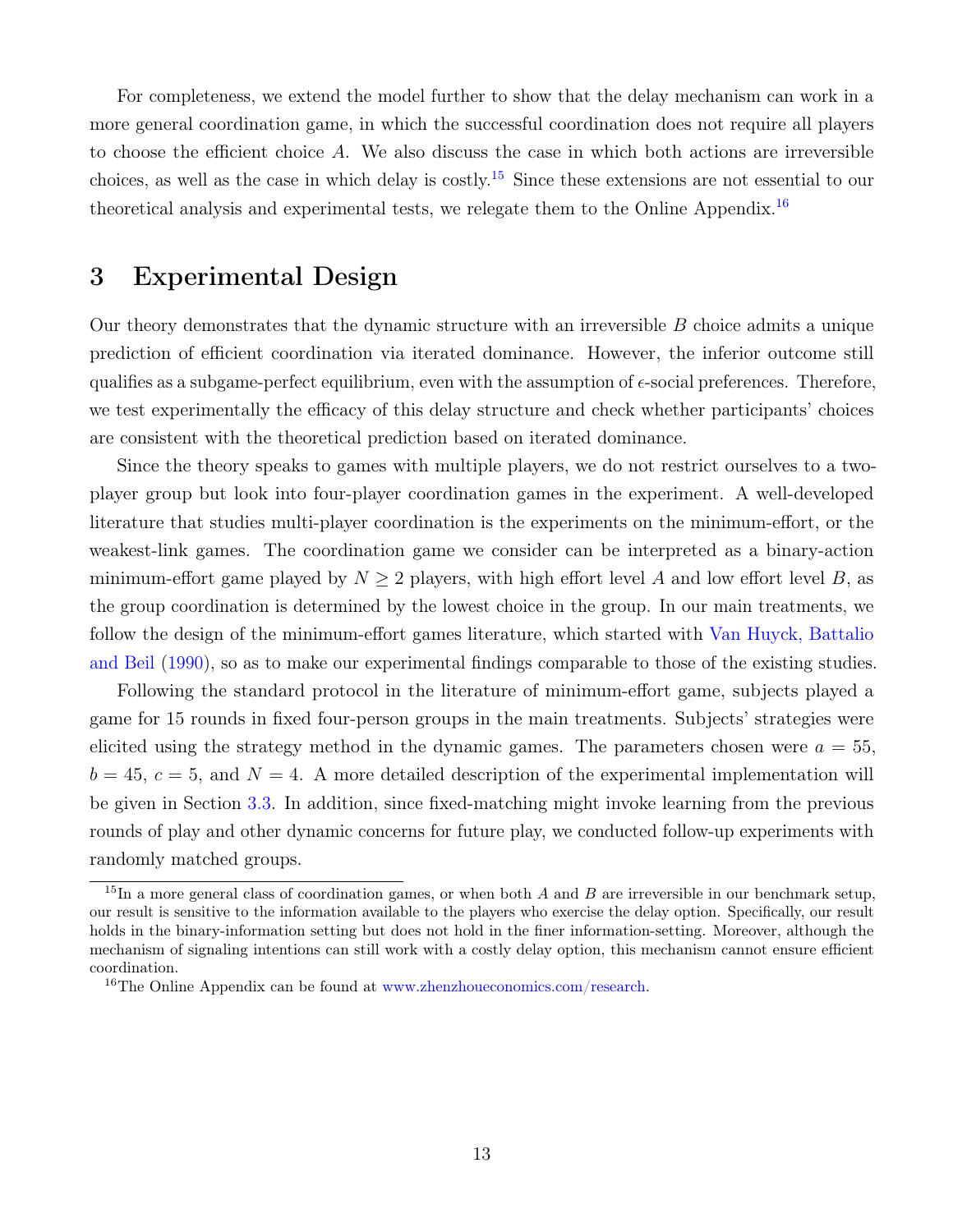For completeness, we extend the model further to show that the delay mechanism can work in a more general coordination game, in which the successful coordination does not require all players to choose the efficient choice A. We also discuss the case in which both actions are irreversible choices, as well as the case in which delay is costly.[15](#page-13-1) Since these extensions are not essential to our theoretical analysis and experimental tests, we relegate them to the Online Appendix.<sup>[16](#page-13-2)</sup>

# <span id="page-13-0"></span>3 Experimental Design

Our theory demonstrates that the dynamic structure with an irreversible  $B$  choice admits a unique prediction of efficient coordination via iterated dominance. However, the inferior outcome still qualifies as a subgame-perfect equilibrium, even with the assumption of  $\epsilon$ -social preferences. Therefore, we test experimentally the efficacy of this delay structure and check whether participants' choices are consistent with the theoretical prediction based on iterated dominance.

Since the theory speaks to games with multiple players, we do not restrict ourselves to a twoplayer group but look into four-player coordination games in the experiment. A well-developed literature that studies multi-player coordination is the experiments on the minimum-effort, or the weakest-link games. The coordination game we consider can be interpreted as a binary-action minimum-effort game played by  $N \geq 2$  players, with high effort level A and low effort level B, as the group coordination is determined by the lowest choice in the group. In our main treatments, we follow the design of the minimum-effort games literature, which started with [Van Huyck, Battalio](#page-34-0) [and Beil](#page-34-0) [\(1990\)](#page-34-0), so as to make our experimental findings comparable to those of the existing studies.

Following the standard protocol in the literature of minimum-effort game, subjects played a game for 15 rounds in fixed four-person groups in the main treatments. Subjects' strategies were elicited using the strategy method in the dynamic games. The parameters chosen were  $a = 55$ ,  $b = 45, c = 5, and N = 4.$  A more detailed description of the experimental implementation will be given in Section [3.3.](#page-16-0) In addition, since fixed-matching might invoke learning from the previous rounds of play and other dynamic concerns for future play, we conducted follow-up experiments with randomly matched groups.

<span id="page-13-1"></span><sup>&</sup>lt;sup>15</sup>In a more general class of coordination games, or when both A and B are irreversible in our benchmark setup, our result is sensitive to the information available to the players who exercise the delay option. Specifically, our result holds in the binary-information setting but does not hold in the finer information-setting. Moreover, although the mechanism of signaling intentions can still work with a costly delay option, this mechanism cannot ensure efficient coordination.

<span id="page-13-2"></span><sup>&</sup>lt;sup>16</sup>The Online Appendix can be found at [www.zhenzhoueconomics.com/research.](https://drive.google.com/file/d/1M74nOlp2TtFqoy7MGyeW5zltyTYb5xkr)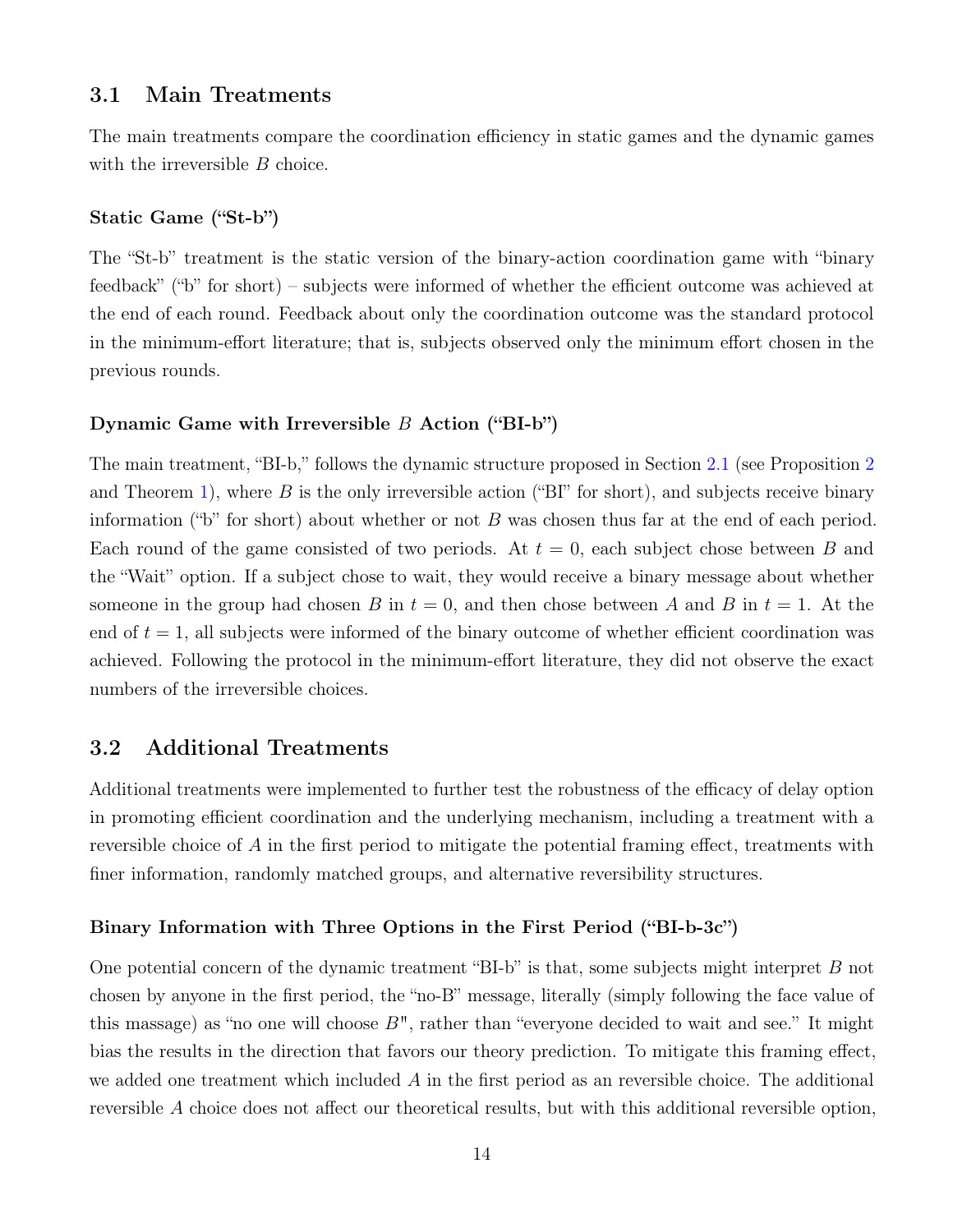#### 3.1 Main Treatments

The main treatments compare the coordination efficiency in static games and the dynamic games with the irreversible B choice.

#### Static Game ("St-b")

The "St-b" treatment is the static version of the binary-action coordination game with "binary feedback" ("b" for short) – subjects were informed of whether the efficient outcome was achieved at the end of each round. Feedback about only the coordination outcome was the standard protocol in the minimum-effort literature; that is, subjects observed only the minimum effort chosen in the previous rounds.

#### Dynamic Game with Irreversible  $B$  Action ("BI-b")

The main treatment, "BI-b," follows the dynamic structure proposed in Section [2.1](#page-7-1) (see Proposition [2](#page-8-0) and Theorem [1\)](#page-8-1), where B is the only irreversible action ("BI" for short), and subjects receive binary information ("b" for short) about whether or not  $B$  was chosen thus far at the end of each period. Each round of the game consisted of two periods. At  $t = 0$ , each subject chose between B and the "Wait" option. If a subject chose to wait, they would receive a binary message about whether someone in the group had chosen B in  $t = 0$ , and then chose between A and B in  $t = 1$ . At the end of  $t = 1$ , all subjects were informed of the binary outcome of whether efficient coordination was achieved. Following the protocol in the minimum-effort literature, they did not observe the exact numbers of the irreversible choices.

#### 3.2 Additional Treatments

Additional treatments were implemented to further test the robustness of the efficacy of delay option in promoting efficient coordination and the underlying mechanism, including a treatment with a reversible choice of A in the first period to mitigate the potential framing effect, treatments with finer information, randomly matched groups, and alternative reversibility structures.

#### Binary Information with Three Options in the First Period ("BI-b-3c")

One potential concern of the dynamic treatment "BI-b" is that, some subjects might interpret B not chosen by anyone in the first period, the "no-B" message, literally (simply following the face value of this massage) as "no one will choose  $B$ ", rather than "everyone decided to wait and see." It might bias the results in the direction that favors our theory prediction. To mitigate this framing effect, we added one treatment which included  $A$  in the first period as an reversible choice. The additional reversible A choice does not affect our theoretical results, but with this additional reversible option,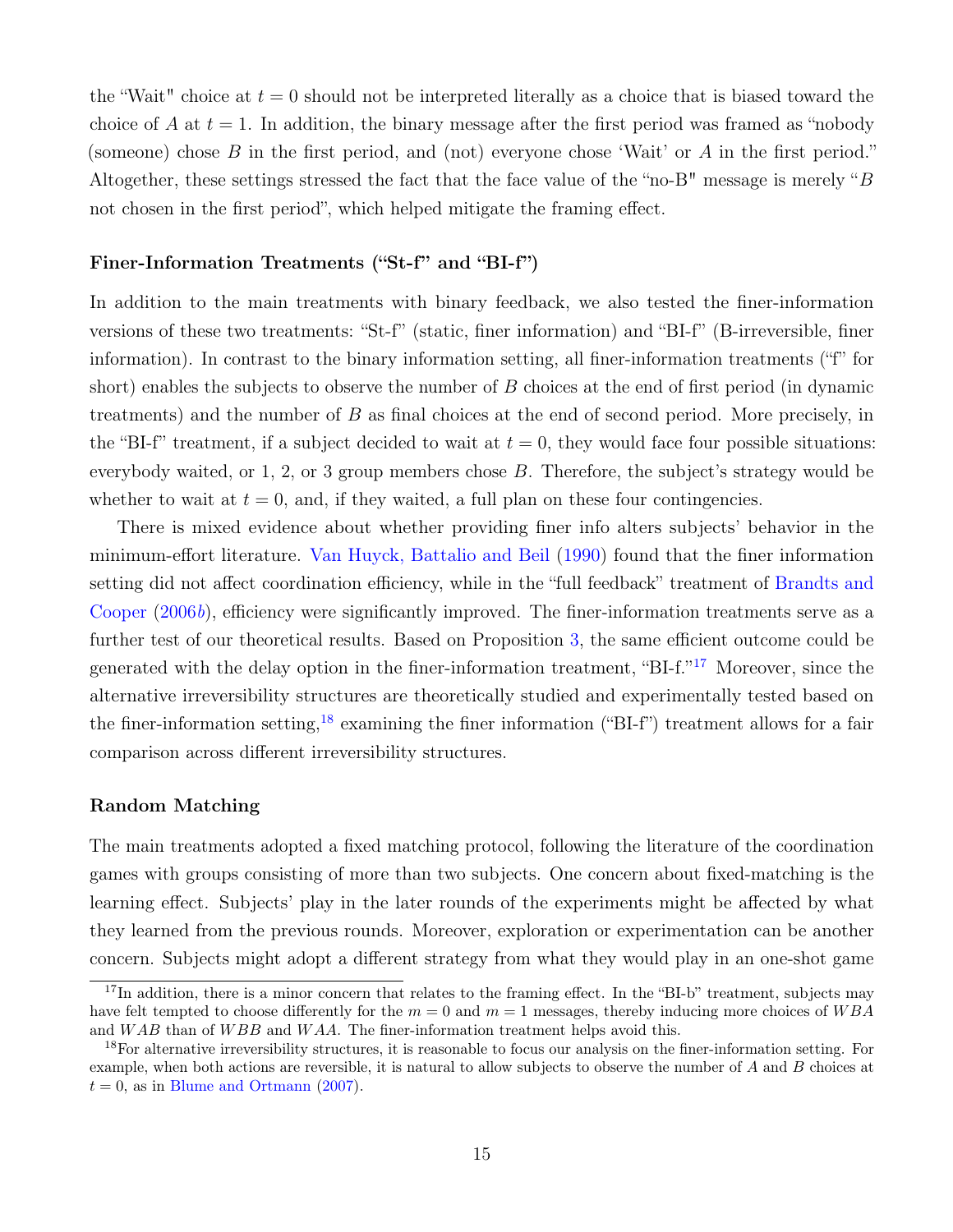the "Wait" choice at  $t = 0$  should not be interpreted literally as a choice that is biased toward the choice of A at  $t = 1$ . In addition, the binary message after the first period was framed as "nobody" (someone) chose B in the first period, and (not) everyone chose 'Wait' or A in the first period." Altogether, these settings stressed the fact that the face value of the "no-B" message is merely "B not chosen in the first period", which helped mitigate the framing effect.

#### Finer-Information Treatments ("St-f" and "BI-f")

In addition to the main treatments with binary feedback, we also tested the finer-information versions of these two treatments: "St-f" (static, finer information) and "BI-f" (B-irreversible, finer information). In contrast to the binary information setting, all finer-information treatments ("f" for short) enables the subjects to observe the number of  $B$  choices at the end of first period (in dynamic treatments) and the number of B as final choices at the end of second period. More precisely, in the "BI-f" treatment, if a subject decided to wait at  $t = 0$ , they would face four possible situations: everybody waited, or 1, 2, or 3 group members chose B. Therefore, the subject's strategy would be whether to wait at  $t = 0$ , and, if they waited, a full plan on these four contingencies.

There is mixed evidence about whether providing finer info alters subjects' behavior in the minimum-effort literature. [Van Huyck, Battalio and Beil](#page-34-0) [\(1990\)](#page-34-0) found that the finer information setting did not affect coordination efficiency, while in the "full feedback" treatment of [Brandts and](#page-31-11) [Cooper](#page-31-11) [\(2006](#page-31-11)b), efficiency were significantly improved. The finer-information treatments serve as a further test of our theoretical results. Based on Proposition [3,](#page-10-2) the same efficient outcome could be generated with the delay option in the finer-information treatment, "BI-f."<sup>[17](#page-15-0)</sup> Moreover, since the alternative irreversibility structures are theoretically studied and experimentally tested based on the finer-information setting,<sup>[18](#page-15-1)</sup> examining the finer information ("BI-f") treatment allows for a fair comparison across different irreversibility structures.

#### Random Matching

The main treatments adopted a fixed matching protocol, following the literature of the coordination games with groups consisting of more than two subjects. One concern about fixed-matching is the learning effect. Subjects' play in the later rounds of the experiments might be affected by what they learned from the previous rounds. Moreover, exploration or experimentation can be another concern. Subjects might adopt a different strategy from what they would play in an one-shot game

<span id="page-15-0"></span> $17$ In addition, there is a minor concern that relates to the framing effect. In the "BI-b" treatment, subjects may have felt tempted to choose differently for the  $m = 0$  and  $m = 1$  messages, thereby inducing more choices of WBA and WAB than of WBB and WAA. The finer-information treatment helps avoid this.

<span id="page-15-1"></span><sup>&</sup>lt;sup>18</sup>For alternative irreversibility structures, it is reasonable to focus our analysis on the finer-information setting. For example, when both actions are reversible, it is natural to allow subjects to observe the number of A and B choices at  $t = 0$ , as in [Blume and Ortmann](#page-31-3) [\(2007\)](#page-31-3).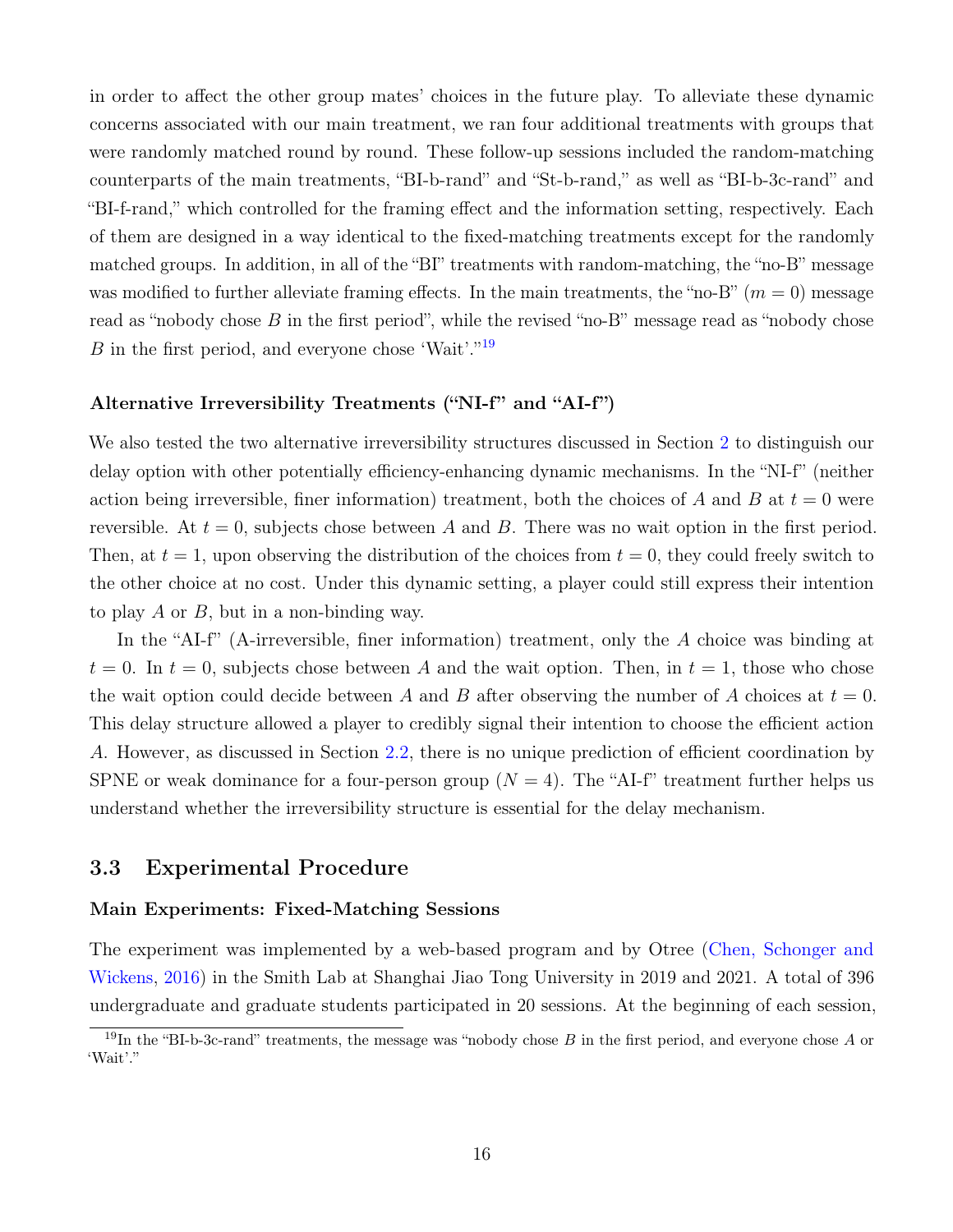in order to affect the other group mates' choices in the future play. To alleviate these dynamic concerns associated with our main treatment, we ran four additional treatments with groups that were randomly matched round by round. These follow-up sessions included the random-matching counterparts of the main treatments, "BI-b-rand" and "St-b-rand," as well as "BI-b-3c-rand" and "BI-f-rand," which controlled for the framing effect and the information setting, respectively. Each of them are designed in a way identical to the fixed-matching treatments except for the randomly matched groups. In addition, in all of the "BI" treatments with random-matching, the "no-B" message was modified to further alleviate framing effects. In the main treatments, the "no-B" ( $m = 0$ ) message read as "nobody chose B in the first period", while the revised "no-B" message read as "nobody chose B in the first period, and everyone chose 'Wait'."<sup>[19](#page-16-1)</sup>

#### Alternative Irreversibility Treatments ("NI-f" and "AI-f")

We also tested the two alternative irreversibility structures discussed in Section [2](#page-6-1) to distinguish our delay option with other potentially efficiency-enhancing dynamic mechanisms. In the "NI-f" (neither action being irreversible, finer information) treatment, both the choices of A and B at  $t = 0$  were reversible. At  $t = 0$ , subjects chose between A and B. There was no wait option in the first period. Then, at  $t = 1$ , upon observing the distribution of the choices from  $t = 0$ , they could freely switch to the other choice at no cost. Under this dynamic setting, a player could still express their intention to play A or B, but in a non-binding way.

In the "AI-f" (A-irreversible, finer information) treatment, only the A choice was binding at  $t = 0$ . In  $t = 0$ , subjects chose between A and the wait option. Then, in  $t = 1$ , those who chose the wait option could decide between A and B after observing the number of A choices at  $t = 0$ . This delay structure allowed a player to credibly signal their intention to choose the efficient action A. However, as discussed in Section [2.2,](#page-10-0) there is no unique prediction of efficient coordination by SPNE or weak dominance for a four-person group  $(N = 4)$ . The "AI-f" treatment further helps us understand whether the irreversibility structure is essential for the delay mechanism.

#### <span id="page-16-0"></span>3.3 Experimental Procedure

#### Main Experiments: Fixed-Matching Sessions

The experiment was implemented by a web-based program and by Otree [\(Chen, Schonger and](#page-32-11) [Wickens,](#page-32-11) [2016\)](#page-32-11) in the Smith Lab at Shanghai Jiao Tong University in 2019 and 2021. A total of 396 undergraduate and graduate students participated in 20 sessions. At the beginning of each session,

<span id="page-16-1"></span><sup>&</sup>lt;sup>19</sup>In the "BI-b-3c-rand" treatments, the message was "nobody chose  $B$  in the first period, and everyone chose  $A$  or 'Wait'."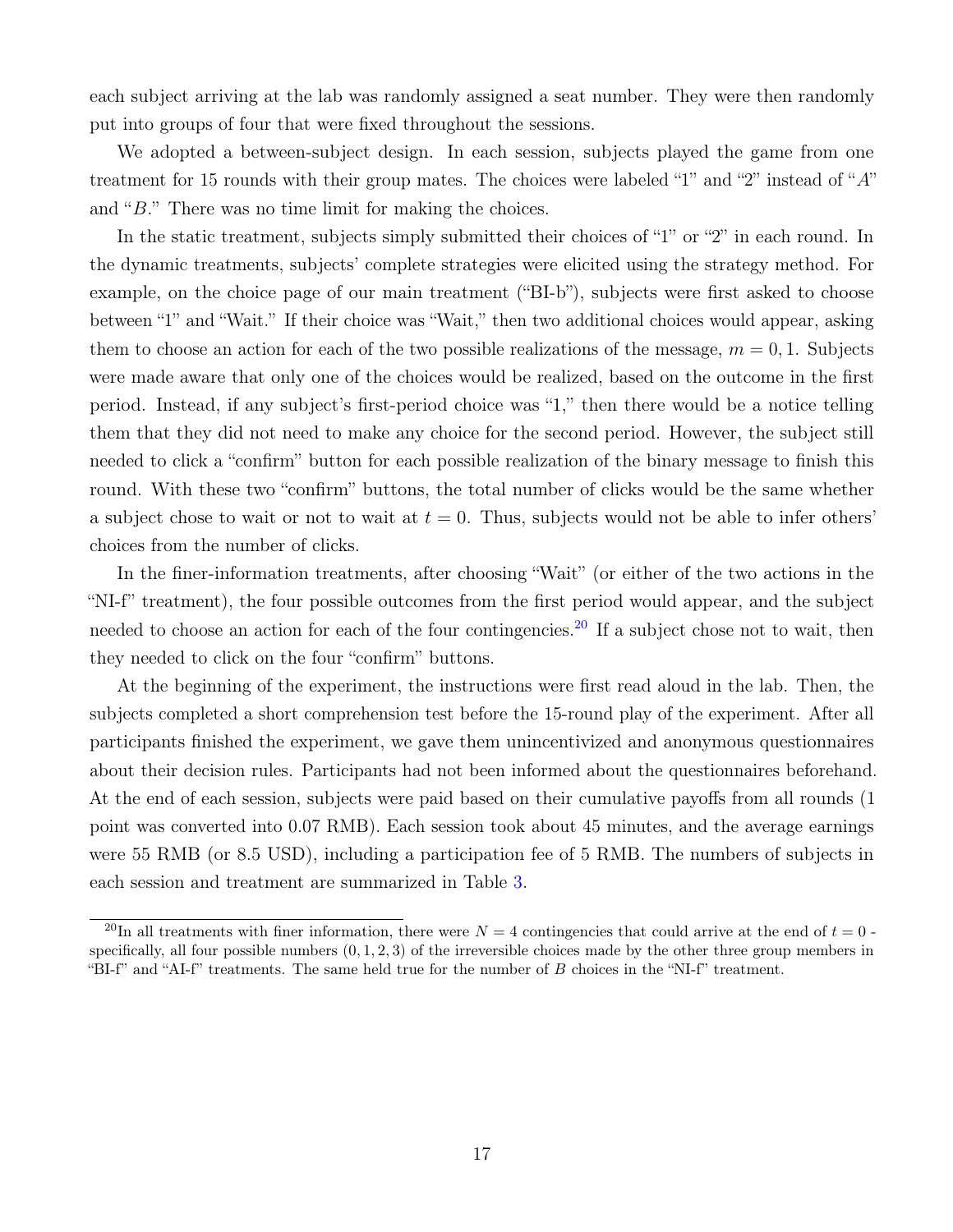each subject arriving at the lab was randomly assigned a seat number. They were then randomly put into groups of four that were fixed throughout the sessions.

We adopted a between-subject design. In each session, subjects played the game from one treatment for 15 rounds with their group mates. The choices were labeled "1" and "2" instead of "A" and "B." There was no time limit for making the choices.

In the static treatment, subjects simply submitted their choices of "1" or "2" in each round. In the dynamic treatments, subjects' complete strategies were elicited using the strategy method. For example, on the choice page of our main treatment ("BI-b"), subjects were first asked to choose between "1" and "Wait." If their choice was "Wait," then two additional choices would appear, asking them to choose an action for each of the two possible realizations of the message,  $m = 0, 1$ . Subjects were made aware that only one of the choices would be realized, based on the outcome in the first period. Instead, if any subject's first-period choice was "1," then there would be a notice telling them that they did not need to make any choice for the second period. However, the subject still needed to click a "confirm" button for each possible realization of the binary message to finish this round. With these two "confirm" buttons, the total number of clicks would be the same whether a subject chose to wait or not to wait at  $t = 0$ . Thus, subjects would not be able to infer others' choices from the number of clicks.

In the finer-information treatments, after choosing "Wait" (or either of the two actions in the "NI-f" treatment), the four possible outcomes from the first period would appear, and the subject needed to choose an action for each of the four contingencies.<sup>[20](#page-17-0)</sup> If a subject chose not to wait, then they needed to click on the four "confirm" buttons.

At the beginning of the experiment, the instructions were first read aloud in the lab. Then, the subjects completed a short comprehension test before the 15-round play of the experiment. After all participants finished the experiment, we gave them unincentivized and anonymous questionnaires about their decision rules. Participants had not been informed about the questionnaires beforehand. At the end of each session, subjects were paid based on their cumulative payoffs from all rounds (1 point was converted into 0.07 RMB). Each session took about 45 minutes, and the average earnings were 55 RMB (or 8.5 USD), including a participation fee of 5 RMB. The numbers of subjects in each session and treatment are summarized in Table [3.](#page-18-0)

<span id="page-17-0"></span><sup>&</sup>lt;sup>20</sup>In all treatments with finer information, there were  $N = 4$  contingencies that could arrive at the end of  $t = 0$ . specifically, all four possible numbers  $(0, 1, 2, 3)$  of the irreversible choices made by the other three group members in "BI-f" and "AI-f" treatments. The same held true for the number of B choices in the "NI-f" treatment.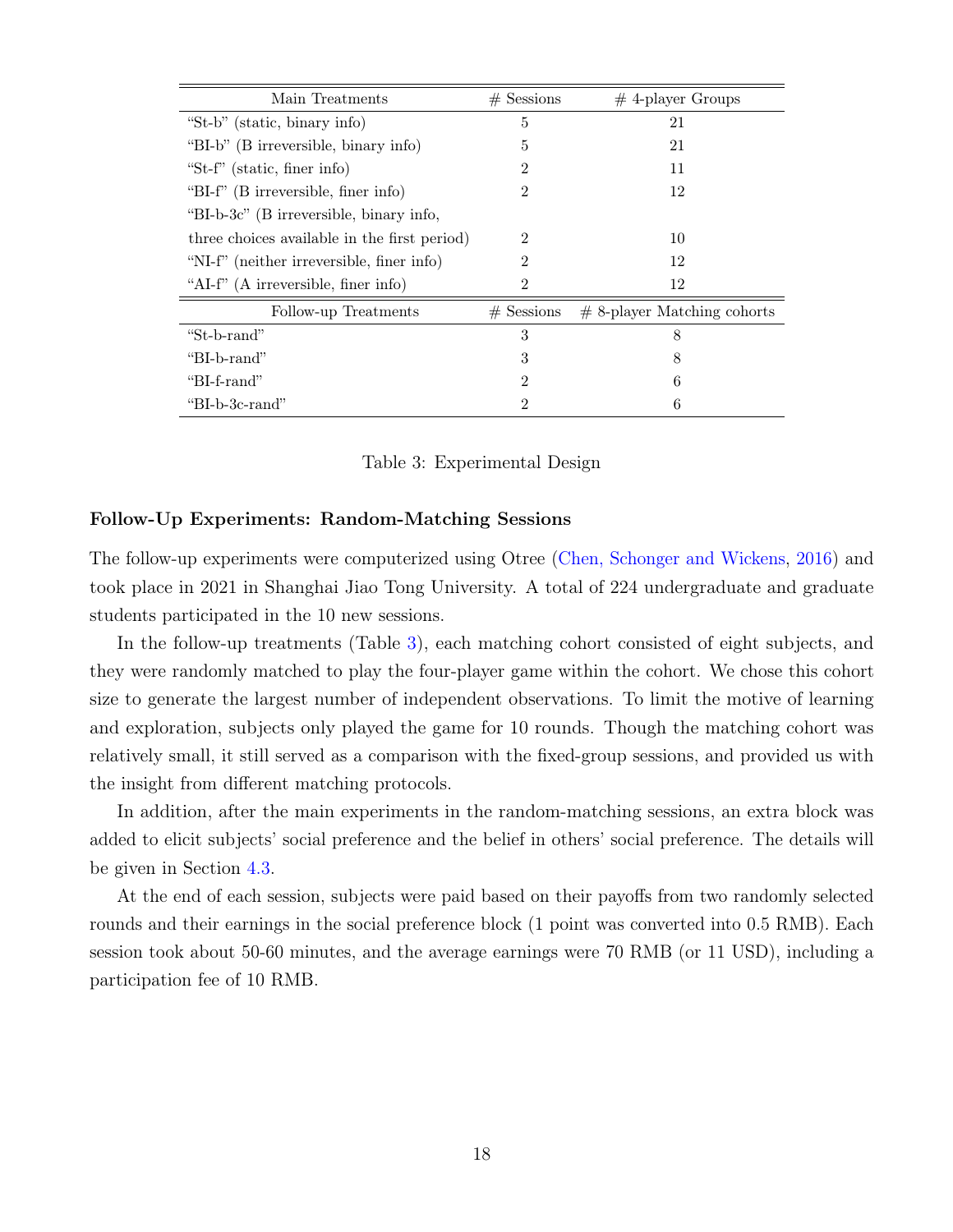<span id="page-18-0"></span>

| Main Treatments                              | $#$ Sessions   | $#$ 4-player Groups           |
|----------------------------------------------|----------------|-------------------------------|
| "St-b" (static, binary info)                 | 5              | 21                            |
| "BI-b" (B irreversible, binary info)         | 5              | 21                            |
| "St-f" (static, finer info)                  | $\overline{2}$ | 11                            |
| "BI-f" (B irreversible, finer info)          | $\overline{2}$ | 12                            |
| "BI-b-3c" (B irreversible, binary info,      |                |                               |
| three choices available in the first period) | $\overline{2}$ | 10                            |
| "NI-f" (neither irreversible, finer info)    | 2              | 12                            |
| "AI-f" (A irreversible, finer info)          | $\overline{2}$ | 12                            |
| Follow-up Treatments                         | $#$ Sessions   | $#$ 8-player Matching cohorts |
| "St-b-rand"                                  | 3              | 8                             |
| "BI-b-rand"                                  | 3              | 8                             |
| "BI-f-rand"                                  | $\overline{2}$ | 6                             |
| "BI-b-3c-rand"                               | $\overline{2}$ | 6                             |

Table 3: Experimental Design

#### Follow-Up Experiments: Random-Matching Sessions

The follow-up experiments were computerized using Otree [\(Chen, Schonger and Wickens,](#page-32-11) [2016\)](#page-32-11) and took place in 2021 in Shanghai Jiao Tong University. A total of 224 undergraduate and graduate students participated in the 10 new sessions.

In the follow-up treatments (Table [3\)](#page-18-0), each matching cohort consisted of eight subjects, and they were randomly matched to play the four-player game within the cohort. We chose this cohort size to generate the largest number of independent observations. To limit the motive of learning and exploration, subjects only played the game for 10 rounds. Though the matching cohort was relatively small, it still served as a comparison with the fixed-group sessions, and provided us with the insight from different matching protocols.

In addition, after the main experiments in the random-matching sessions, an extra block was added to elicit subjects' social preference and the belief in others' social preference. The details will be given in Section [4.3.](#page-25-0)

At the end of each session, subjects were paid based on their payoffs from two randomly selected rounds and their earnings in the social preference block (1 point was converted into 0.5 RMB). Each session took about 50-60 minutes, and the average earnings were 70 RMB (or 11 USD), including a participation fee of 10 RMB.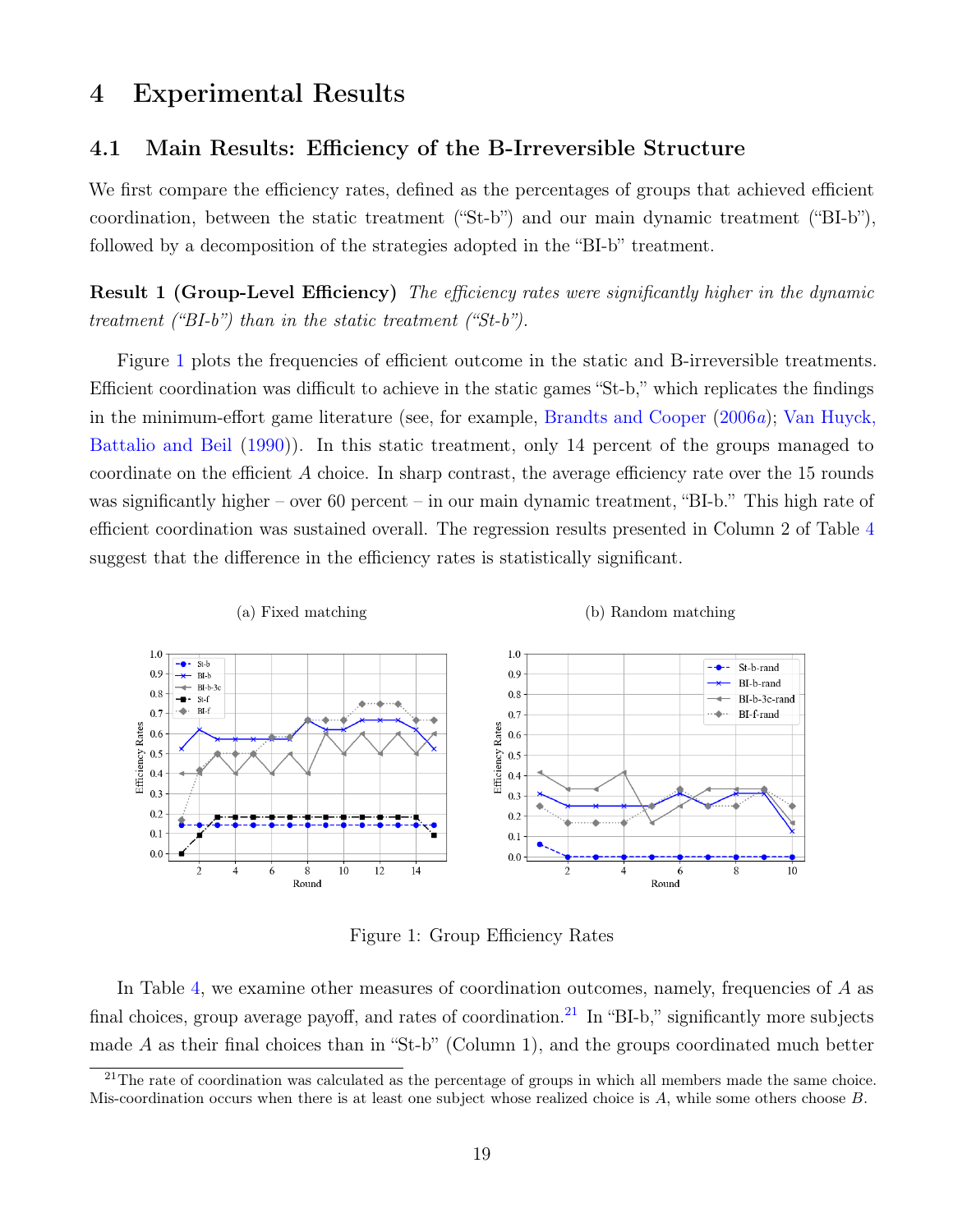### <span id="page-19-0"></span>4 Experimental Results

#### <span id="page-19-3"></span>4.1 Main Results: Efficiency of the B-Irreversible Structure

We first compare the efficiency rates, defined as the percentages of groups that achieved efficient coordination, between the static treatment ("St-b") and our main dynamic treatment ("BI-b"), followed by a decomposition of the strategies adopted in the "BI-b" treatment.

Result 1 (Group-Level Efficiency) The efficiency rates were significantly higher in the dynamic treatment ("BI-b") than in the static treatment ("St-b").

Figure [1](#page-19-1) plots the frequencies of efficient outcome in the static and B-irreversible treatments. Efficient coordination was difficult to achieve in the static games "St-b," which replicates the findings in the minimum-effort game literature (see, for example, [Brandts and Cooper](#page-31-4) [\(2006](#page-31-4)a); [Van Huyck,](#page-34-0) [Battalio and Beil](#page-34-0) [\(1990\)](#page-34-0)). In this static treatment, only 14 percent of the groups managed to coordinate on the efficient A choice. In sharp contrast, the average efficiency rate over the 15 rounds was significantly higher – over 60 percent – in our main dynamic treatment, "BI-b." This high rate of efficient coordination was sustained overall. The regression results presented in Column 2 of Table [4](#page-20-0) suggest that the difference in the efficiency rates is statistically significant.

<span id="page-19-1"></span>

Figure 1: Group Efficiency Rates

In Table [4,](#page-20-0) we examine other measures of coordination outcomes, namely, frequencies of A as final choices, group average payoff, and rates of coordination.<sup>[21](#page-19-2)</sup> In "BI-b," significantly more subjects made A as their final choices than in "St-b" (Column 1), and the groups coordinated much better

<span id="page-19-2"></span> $21$ The rate of coordination was calculated as the percentage of groups in which all members made the same choice. Mis-coordination occurs when there is at least one subject whose realized choice is A, while some others choose B.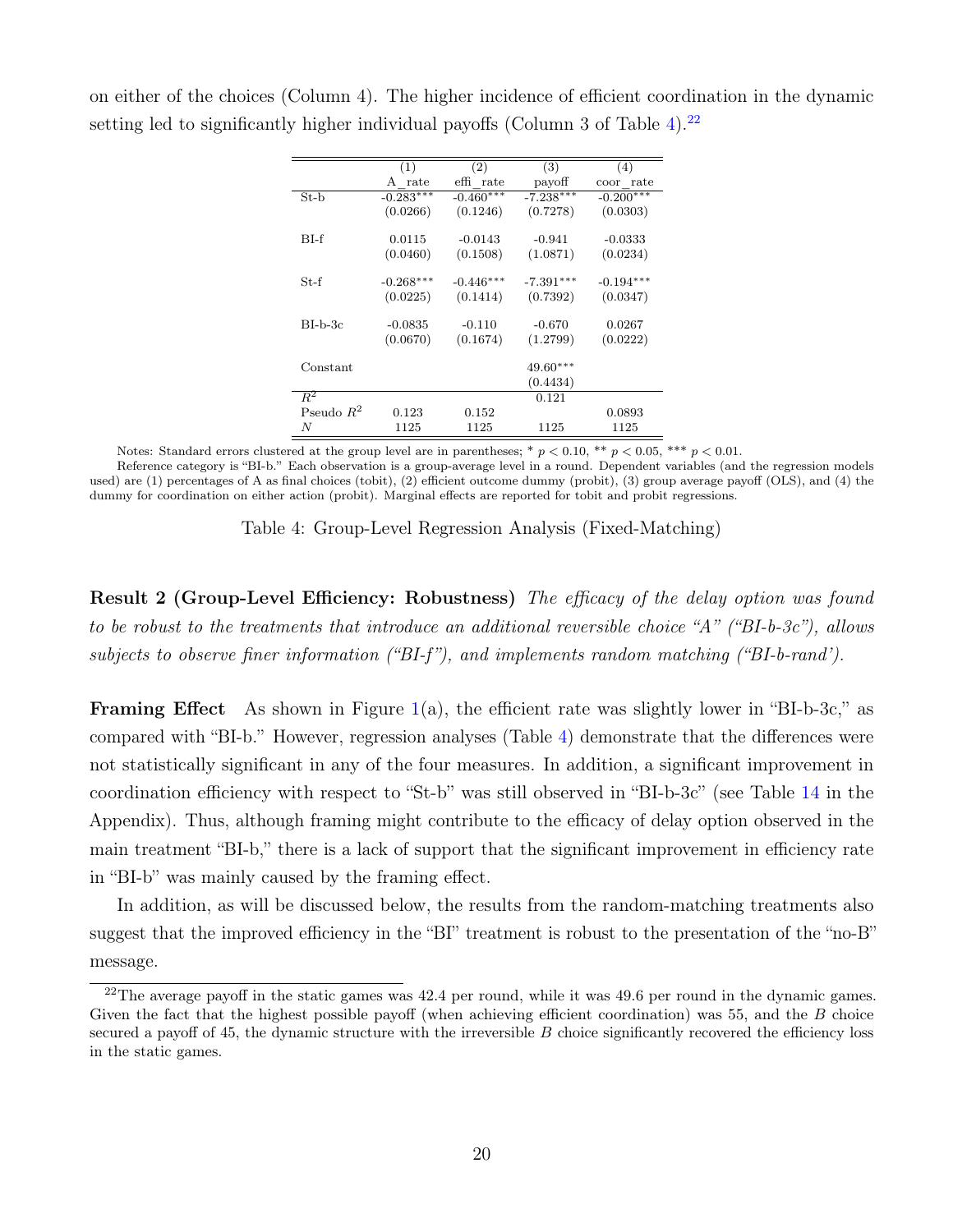|              | (1)         | (2)         | (3)         | (4)          |
|--------------|-------------|-------------|-------------|--------------|
|              | A rate      | effi rate   | payoff      | rate<br>coor |
| $St-b$       | $-0.283***$ | $-0.460***$ | $-7.238***$ | $-0.200***$  |
|              | (0.0266)    | (0.1246)    | (0.7278)    | (0.0303)     |
| $BI-f$       | 0.0115      | $-0.0143$   | $-0.941$    | $-0.0333$    |
|              | (0.0460)    | (0.1508)    | (1.0871)    | (0.0234)     |
| $St-f$       | $-0.268***$ | $-0.446***$ | $-7.391***$ | $-0.194***$  |
|              | (0.0225)    | (0.1414)    | (0.7392)    | (0.0347)     |
| $BI-b-3c$    | $-0.0835$   | $-0.110$    | $-0.670$    | 0.0267       |
|              | (0.0670)    | (0.1674)    | (1.2799)    | (0.0222)     |
| Constant     |             |             | $49.60***$  |              |
|              |             |             | (0.4434)    |              |
| $R^2$        |             |             | 0.121       |              |
| Pseudo $R^2$ | 0.123       | 0.152       |             | 0.0893       |
| N            | 1125        | 1125        | 1125        | 1125         |

<span id="page-20-0"></span>on either of the choices (Column 4). The higher incidence of efficient coordination in the dynamic setting led to significantly higher individual payoffs (Column 3 of Table [4\)](#page-20-0).<sup>[22](#page-20-1)</sup>

Notes: Standard errors clustered at the group level are in parentheses; \*  $p < 0.10$ , \*\*  $p < 0.05$ , \*\*\*  $p < 0.01$ .

Reference category is "BI-b." Each observation is a group-average level in a round. Dependent variables (and the regression models used) are (1) percentages of A as final choices (tobit), (2) efficient outcome dummy (probit), (3) group average payoff (OLS), and (4) the dummy for coordination on either action (probit). Marginal effects are reported for tobit and probit regressions.

|  |  | Table 4: Group-Level Regression Analysis (Fixed-Matching) |
|--|--|-----------------------------------------------------------|
|  |  |                                                           |

Result 2 (Group-Level Efficiency: Robustness) The efficacy of the delay option was found to be robust to the treatments that introduce an additional reversible choice "A" ("BI-b-3c"), allows subjects to observe finer information ("BI-f"), and implements random matching ("BI-b-rand").

**Framing Effect** As shown in Figure  $1(a)$  $1(a)$ , the efficient rate was slightly lower in "BI-b-3c," as compared with "BI-b." However, regression analyses (Table [4\)](#page-20-0) demonstrate that the differences were not statistically significant in any of the four measures. In addition, a significant improvement in coordination efficiency with respect to "St-b" was still observed in "BI-b-3c" (see Table [14](#page-43-0) in the Appendix). Thus, although framing might contribute to the efficacy of delay option observed in the main treatment "BI-b," there is a lack of support that the significant improvement in efficiency rate in "BI-b" was mainly caused by the framing effect.

In addition, as will be discussed below, the results from the random-matching treatments also suggest that the improved efficiency in the "BI" treatment is robust to the presentation of the "no-B" message.

<span id="page-20-1"></span><sup>&</sup>lt;sup>22</sup>The average payoff in the static games was  $42.4$  per round, while it was  $49.6$  per round in the dynamic games. Given the fact that the highest possible payoff (when achieving efficient coordination) was 55, and the B choice secured a payoff of  $45$ , the dynamic structure with the irreversible  $B$  choice significantly recovered the efficiency loss in the static games.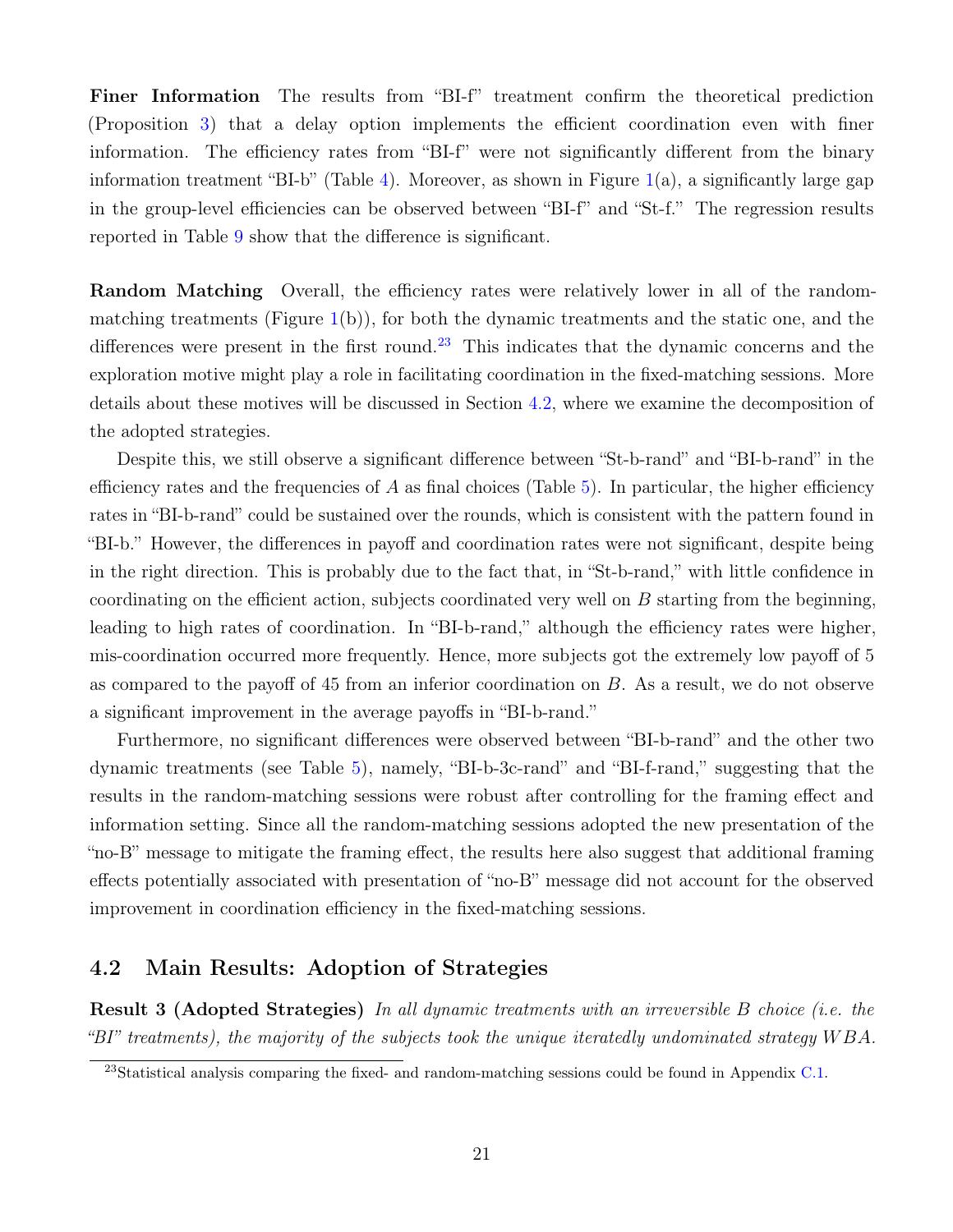Finer Information The results from "BI-f" treatment confirm the theoretical prediction (Proposition [3\)](#page-10-2) that a delay option implements the efficient coordination even with finer information. The efficiency rates from "BI-f" were not significantly different from the binary information treatment "BI-b" (Table [4\)](#page-20-0). Moreover, as shown in Figure  $1(a)$  $1(a)$ , a significantly large gap in the group-level efficiencies can be observed between "BI-f" and "St-f." The regression results reported in Table [9](#page-28-0) show that the difference is significant.

Random Matching Overall, the efficiency rates were relatively lower in all of the randommatching treatments (Figure  $1(b)$  $1(b)$ ), for both the dynamic treatments and the static one, and the differences were present in the first round.<sup>[23](#page-21-0)</sup> This indicates that the dynamic concerns and the exploration motive might play a role in facilitating coordination in the fixed-matching sessions. More details about these motives will be discussed in Section [4.2,](#page-21-1) where we examine the decomposition of the adopted strategies.

Despite this, we still observe a significant difference between "St-b-rand" and "BI-b-rand" in the efficiency rates and the frequencies of A as final choices (Table [5\)](#page-22-0). In particular, the higher efficiency rates in "BI-b-rand" could be sustained over the rounds, which is consistent with the pattern found in "BI-b." However, the differences in payoff and coordination rates were not significant, despite being in the right direction. This is probably due to the fact that, in "St-b-rand," with little confidence in coordinating on the efficient action, subjects coordinated very well on  $B$  starting from the beginning, leading to high rates of coordination. In "BI-b-rand," although the efficiency rates were higher, mis-coordination occurred more frequently. Hence, more subjects got the extremely low payoff of 5 as compared to the payoff of 45 from an inferior coordination on B. As a result, we do not observe a significant improvement in the average payoffs in "BI-b-rand."

Furthermore, no significant differences were observed between "BI-b-rand" and the other two dynamic treatments (see Table [5\)](#page-22-0), namely, "BI-b-3c-rand" and "BI-f-rand," suggesting that the results in the random-matching sessions were robust after controlling for the framing effect and information setting. Since all the random-matching sessions adopted the new presentation of the "no-B" message to mitigate the framing effect, the results here also suggest that additional framing effects potentially associated with presentation of "no-B" message did not account for the observed improvement in coordination efficiency in the fixed-matching sessions.

### <span id="page-21-1"></span>4.2 Main Results: Adoption of Strategies

Result 3 (Adopted Strategies) In all dynamic treatments with an irreversible B choice (i.e. the "BI" treatments), the majority of the subjects took the unique iteratedly undominated strategy W BA.

<span id="page-21-0"></span><sup>&</sup>lt;sup>23</sup>Statistical analysis comparing the fixed- and random-matching sessions could be found in Appendix [C.1.](#page-41-0)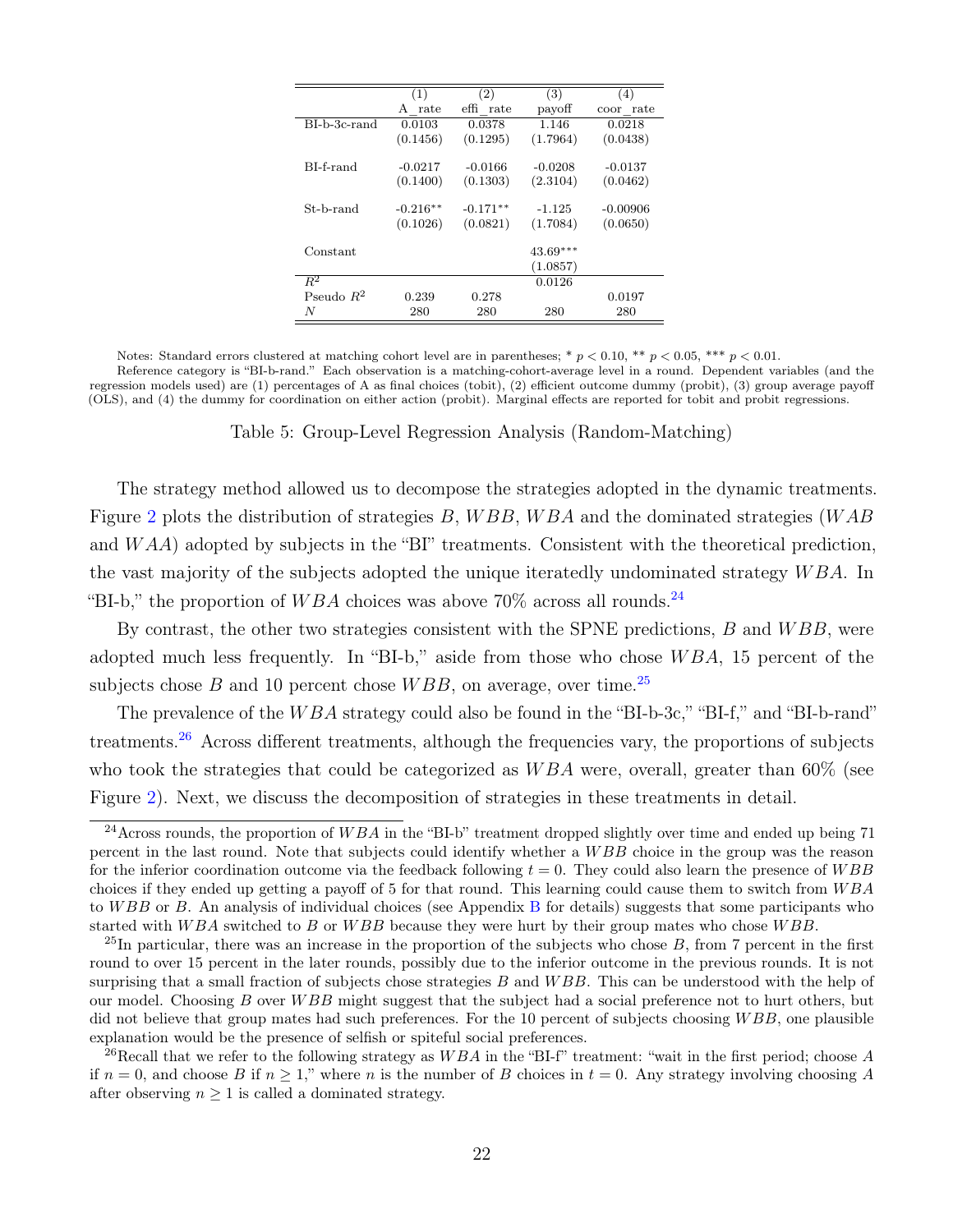<span id="page-22-0"></span>

|              | (1)        | (2)          | (3)        | (4)                   |
|--------------|------------|--------------|------------|-----------------------|
|              | rate<br>A  | effi<br>rate | payoff     | $_{\rm rate}$<br>coor |
| BI-b-3c-rand | 0.0103     | 0.0378       | 1.146      | 0.0218                |
|              | (0.1456)   | (0.1295)     | (1.7964)   | (0.0438)              |
| BL-f-rand    | $-0.0217$  | $-0.0166$    | $-0.0208$  | $-0.0137$             |
|              | (0.1400)   | (0.1303)     | (2.3104)   | (0.0462)              |
| St-b-rand    | $-0.216**$ | $-0.171**$   | $-1.125$   | $-0.00906$            |
|              | (0.1026)   | (0.0821)     | (1.7084)   | (0.0650)              |
| Constant     |            |              | $43.69***$ |                       |
|              |            |              | (1.0857)   |                       |
| $R^2$        |            |              | 0.0126     |                       |
| Pseudo $R^2$ | 0.239      | 0.278        |            | 0.0197                |
| N            | 280        | 280          | 280        | 280                   |

Notes: Standard errors clustered at matching cohort level are in parentheses; \*  $p < 0.10$ , \*\*  $p < 0.05$ , \*\*\*  $p < 0.01$ . Reference category is "BI-b-rand." Each observation is a matching-cohort-average level in a round. Dependent variables (and the regression models used) are (1) percentages of A as final choices (tobit), (2) efficient outcome dummy (probit), (3) group average payoff (OLS), and (4) the dummy for coordination on either action (probit). Marginal effects are reported for tobit and probit regressions.

Table 5: Group-Level Regression Analysis (Random-Matching)

The strategy method allowed us to decompose the strategies adopted in the dynamic treatments. Figure [2](#page-23-0) plots the distribution of strategies  $B$ ,  $WBB$ ,  $WBA$  and the dominated strategies (WAB and  $WAA$ ) adopted by subjects in the "BI" treatments. Consistent with the theoretical prediction, the vast majority of the subjects adopted the unique iteratedly undominated strategy WBA. In "BI-b," the proportion of WBA choices was above 70% across all rounds.<sup>[24](#page-22-1)</sup>

By contrast, the other two strategies consistent with the SPNE predictions,  $B$  and  $WBB$ , were adopted much less frequently. In "BI-b," aside from those who chose  $WBA$ , 15 percent of the subjects chose B and 10 percent chose  $WBB$ , on average, over time.<sup>[25](#page-22-2)</sup>

The prevalence of the WBA strategy could also be found in the "BI-b-3c," "BI-f," and "BI-b-rand" treatments.[26](#page-22-3) Across different treatments, although the frequencies vary, the proportions of subjects who took the strategies that could be categorized as  $WBA$  were, overall, greater than 60% (see Figure [2\)](#page-23-0). Next, we discuss the decomposition of strategies in these treatments in detail.

<span id="page-22-1"></span><sup>&</sup>lt;sup>24</sup> Across rounds, the proportion of WBA in the "BI-b" treatment dropped slightly over time and ended up being 71 percent in the last round. Note that subjects could identify whether a W BB choice in the group was the reason for the inferior coordination outcome via the feedback following  $t = 0$ . They could also learn the presence of  $WBB$ choices if they ended up getting a payoff of 5 for that round. This learning could cause them to switch from  $WBA$ to W[B](#page-39-0)B or B. An analysis of individual choices (see Appendix B for details) suggests that some participants who started with  $WBA$  switched to B or  $WBB$  because they were hurt by their group mates who chose  $WBB$ .

<span id="page-22-2"></span><sup>&</sup>lt;sup>25</sup>In particular, there was an increase in the proportion of the subjects who chose  $B$ , from 7 percent in the first round to over 15 percent in the later rounds, possibly due to the inferior outcome in the previous rounds. It is not surprising that a small fraction of subjects chose strategies  $B$  and  $WBB$ . This can be understood with the help of our model. Choosing B over WBB might suggest that the subject had a social preference not to hurt others, but did not believe that group mates had such preferences. For the 10 percent of subjects choosing WBB, one plausible explanation would be the presence of selfish or spiteful social preferences.

<span id="page-22-3"></span><sup>&</sup>lt;sup>26</sup>Recall that we refer to the following strategy as  $WBA$  in the "BI-f" treatment: "wait in the first period; choose A if  $n = 0$ , and choose B if  $n \geq 1$ ," where n is the number of B choices in  $t = 0$ . Any strategy involving choosing A after observing  $n \geq 1$  is called a dominated strategy.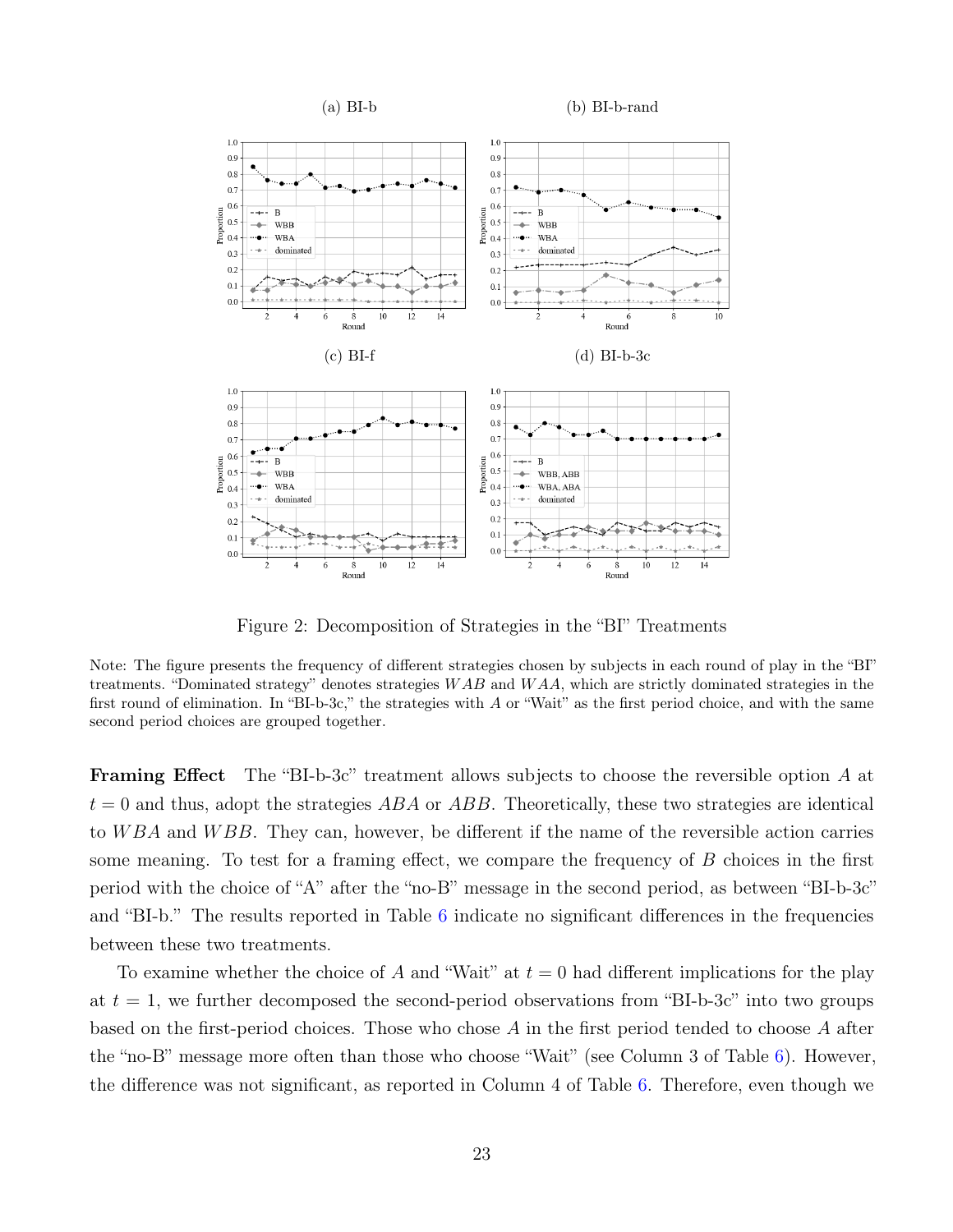<span id="page-23-0"></span>

Figure 2: Decomposition of Strategies in the "BI" Treatments

Note: The figure presents the frequency of different strategies chosen by subjects in each round of play in the "BI" treatments. "Dominated strategy" denotes strategies  $WAB$  and  $WAA$ , which are strictly dominated strategies in the first round of elimination. In "BI-b-3c," the strategies with A or "Wait" as the first period choice, and with the same second period choices are grouped together.

Framing Effect The "BI-b-3c" treatment allows subjects to choose the reversible option A at  $t = 0$  and thus, adopt the strategies ABA or ABB. Theoretically, these two strategies are identical to  $WBA$  and  $WBB$ . They can, however, be different if the name of the reversible action carries some meaning. To test for a framing effect, we compare the frequency of  $B$  choices in the first period with the choice of "A" after the "no-B" message in the second period, as between "BI-b-3c" and "BI-b." The results reported in Table [6](#page-24-0) indicate no significant differences in the frequencies between these two treatments.

To examine whether the choice of A and "Wait" at  $t = 0$  had different implications for the play at  $t = 1$ , we further decomposed the second-period observations from "BI-b-3c" into two groups based on the first-period choices. Those who chose A in the first period tended to choose A after the "no-B" message more often than those who choose "Wait" (see Column 3 of Table [6\)](#page-24-0). However, the difference was not significant, as reported in Column 4 of Table [6.](#page-24-0) Therefore, even though we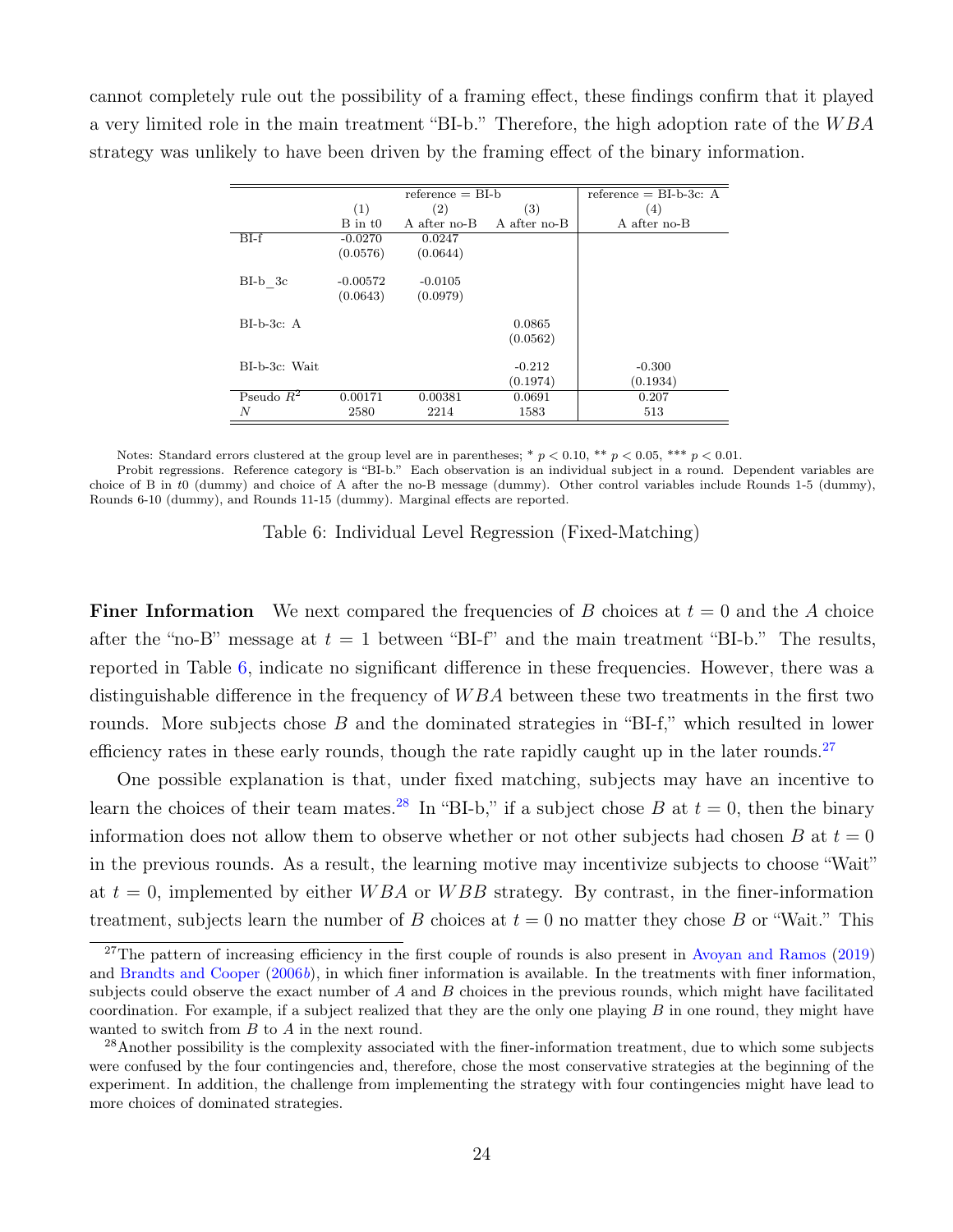<span id="page-24-0"></span>cannot completely rule out the possibility of a framing effect, these findings confirm that it played a very limited role in the main treatment "BI-b." Therefore, the high adoption rate of the  $WBA$ strategy was unlikely to have been driven by the framing effect of the binary information.

|               |             | $reference = BL-b$ |              | reference $=$ BI-b-3c: A |
|---------------|-------------|--------------------|--------------|--------------------------|
|               | (1)         | (2)                | (3)          | (4)                      |
|               | $B$ in $t0$ | A after no-B       | A after no-B | A after no-B             |
| $BI-f$        | $-0.0270$   | 0.0247             |              |                          |
|               | (0.0576)    | (0.0644)           |              |                          |
| $BI-b$ 3c     | $-0.00572$  | $-0.0105$          |              |                          |
|               | (0.0643)    | (0.0979)           |              |                          |
| $BI-b-3c$ : A |             |                    | 0.0865       |                          |
|               |             |                    | (0.0562)     |                          |
| BI-b-3c: Wait |             |                    | $-0.212$     | $-0.300$                 |
|               |             |                    | (0.1974)     | (0.1934)                 |
| Pseudo $R^2$  | 0.00171     | 0.00381            | 0.0691       | 0.207                    |
| N             | 2580        | 2214               | 1583         | 513                      |

Notes: Standard errors clustered at the group level are in parentheses; \*  $p < 0.10$ , \*\*  $p < 0.05$ , \*\*\*  $p < 0.01$ .

Probit regressions. Reference category is "BI-b." Each observation is an individual subject in a round. Dependent variables are choice of B in t0 (dummy) and choice of A after the no-B message (dummy). Other control variables include Rounds 1-5 (dummy), Rounds 6-10 (dummy), and Rounds 11-15 (dummy). Marginal effects are reported.

Table 6: Individual Level Regression (Fixed-Matching)

**Finer Information** We next compared the frequencies of B choices at  $t = 0$  and the A choice after the "no-B" message at  $t = 1$  between "BI-f" and the main treatment "BI-b." The results, reported in Table [6,](#page-24-0) indicate no significant difference in these frequencies. However, there was a distinguishable difference in the frequency of  $WBA$  between these two treatments in the first two rounds. More subjects chose B and the dominated strategies in "BI-f," which resulted in lower efficiency rates in these early rounds, though the rate rapidly caught up in the later rounds.<sup>[27](#page-24-1)</sup>

One possible explanation is that, under fixed matching, subjects may have an incentive to learn the choices of their team mates.<sup>[28](#page-24-2)</sup> In "BI-b," if a subject chose B at  $t = 0$ , then the binary information does not allow them to observe whether or not other subjects had chosen B at  $t = 0$ in the previous rounds. As a result, the learning motive may incentivize subjects to choose "Wait" at  $t = 0$ , implemented by either WBA or WBB strategy. By contrast, in the finer-information treatment, subjects learn the number of B choices at  $t = 0$  no matter they chose B or "Wait." This

<span id="page-24-1"></span><sup>&</sup>lt;sup>27</sup>The pattern of increasing efficiency in the first couple of rounds is also present in [Avoyan and Ramos](#page-31-5)  $(2019)$ and [Brandts and Cooper](#page-31-11)  $(2006b)$  $(2006b)$ , in which finer information is available. In the treatments with finer information, subjects could observe the exact number of  $A$  and  $B$  choices in the previous rounds, which might have facilitated coordination. For example, if a subject realized that they are the only one playing  $B$  in one round, they might have wanted to switch from B to A in the next round.

<span id="page-24-2"></span> $^{28}$ Another possibility is the complexity associated with the finer-information treatment, due to which some subjects were confused by the four contingencies and, therefore, chose the most conservative strategies at the beginning of the experiment. In addition, the challenge from implementing the strategy with four contingencies might have lead to more choices of dominated strategies.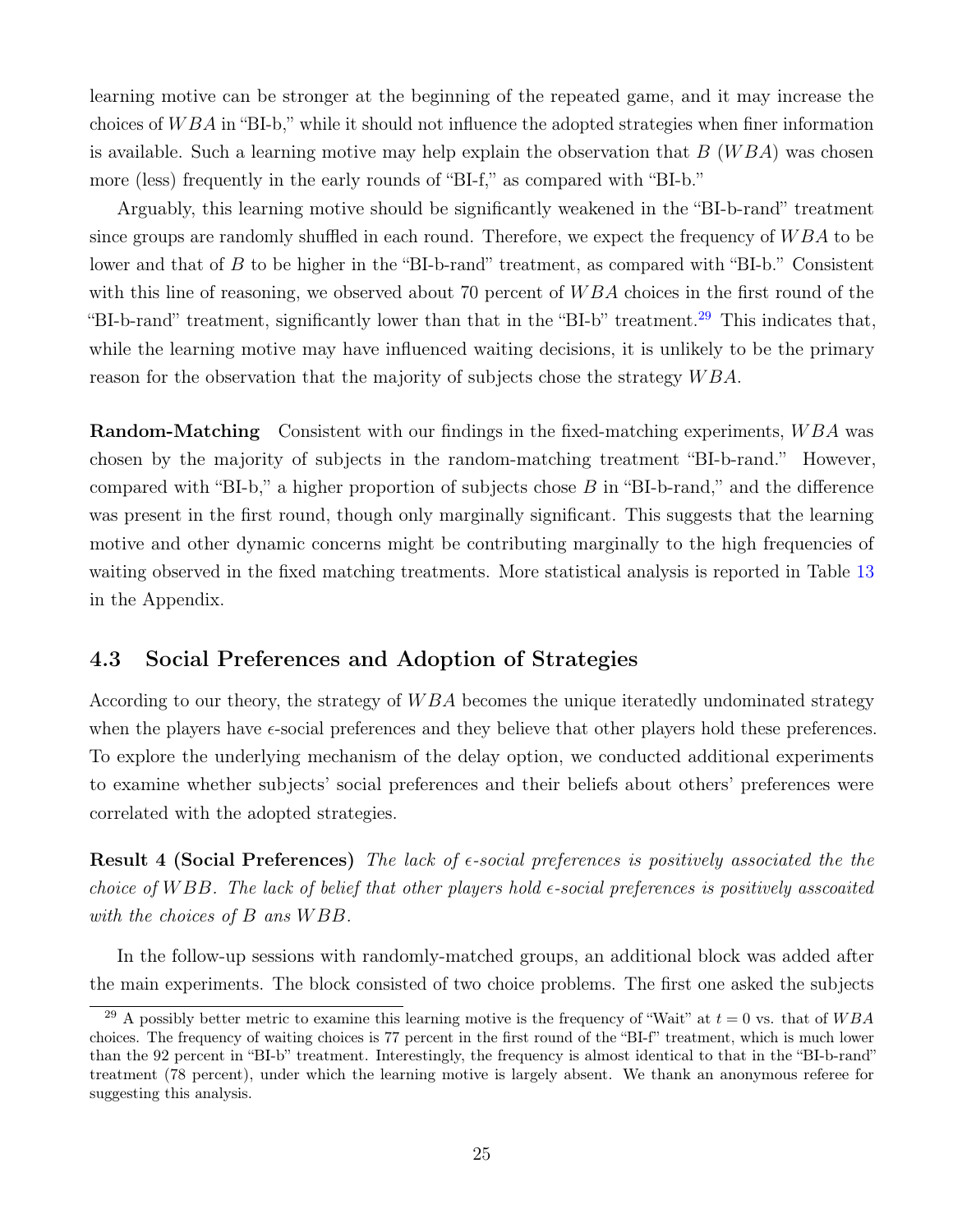learning motive can be stronger at the beginning of the repeated game, and it may increase the choices of  $WBA$  in "BI-b," while it should not influence the adopted strategies when finer information is available. Such a learning motive may help explain the observation that  $B(WBA)$  was chosen more (less) frequently in the early rounds of "BI-f," as compared with "BI-b."

Arguably, this learning motive should be significantly weakened in the "BI-b-rand" treatment since groups are randomly shuffled in each round. Therefore, we expect the frequency of  $WBA$  to be lower and that of B to be higher in the "BI-b-rand" treatment, as compared with "BI-b." Consistent with this line of reasoning, we observed about 70 percent of  $WBA$  choices in the first round of the "BI-b-rand" treatment, significantly lower than that in the "BI-b" treatment.<sup>[29](#page-25-1)</sup> This indicates that, while the learning motive may have influenced waiting decisions, it is unlikely to be the primary reason for the observation that the majority of subjects chose the strategy  $WBA$ .

**Random-Matching** Consistent with our findings in the fixed-matching experiments, WBA was chosen by the majority of subjects in the random-matching treatment "BI-b-rand." However, compared with "BI-b," a higher proportion of subjects chose  $B$  in "BI-b-rand," and the difference was present in the first round, though only marginally significant. This suggests that the learning motive and other dynamic concerns might be contributing marginally to the high frequencies of waiting observed in the fixed matching treatments. More statistical analysis is reported in Table [13](#page-43-1) in the Appendix.

#### <span id="page-25-0"></span>4.3 Social Preferences and Adoption of Strategies

According to our theory, the strategy of WBA becomes the unique iteratedly undominated strategy when the players have  $\epsilon$ -social preferences and they believe that other players hold these preferences. To explore the underlying mechanism of the delay option, we conducted additional experiments to examine whether subjects' social preferences and their beliefs about others' preferences were correlated with the adopted strategies.

**Result 4 (Social Preferences)** The lack of  $\epsilon$ -social preferences is positively associated the the choice of WBB. The lack of belief that other players hold  $\epsilon$ -social preferences is positively asscoaited with the choices of B ans WBB.

In the follow-up sessions with randomly-matched groups, an additional block was added after the main experiments. The block consisted of two choice problems. The first one asked the subjects

<span id="page-25-1"></span><sup>&</sup>lt;sup>29</sup> A possibly better metric to examine this learning motive is the frequency of "Wait" at  $t = 0$  vs. that of  $WBA$ choices. The frequency of waiting choices is 77 percent in the first round of the "BI-f" treatment, which is much lower than the 92 percent in "BI-b" treatment. Interestingly, the frequency is almost identical to that in the "BI-b-rand" treatment (78 percent), under which the learning motive is largely absent. We thank an anonymous referee for suggesting this analysis.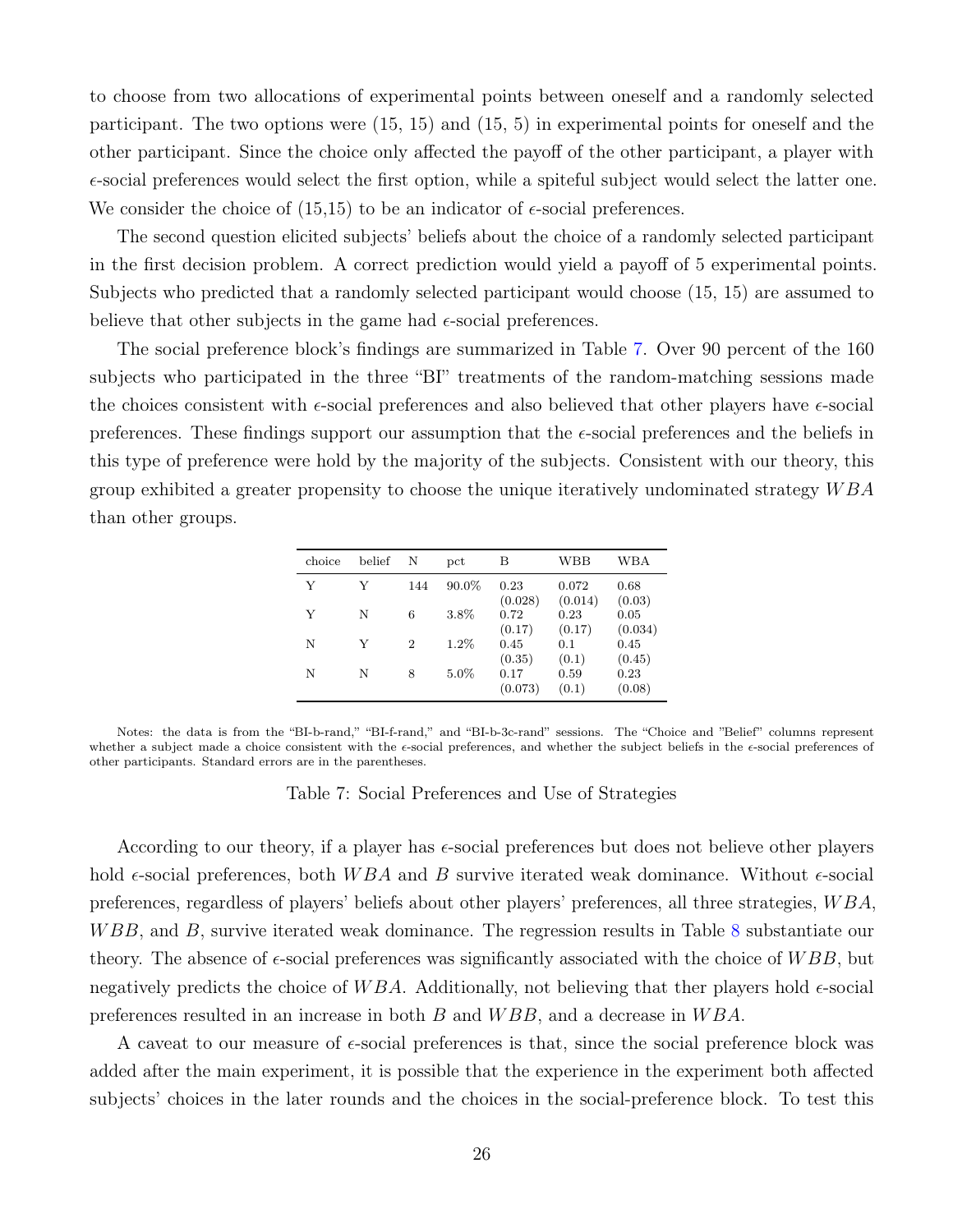to choose from two allocations of experimental points between oneself and a randomly selected participant. The two options were (15, 15) and (15, 5) in experimental points for oneself and the other participant. Since the choice only affected the payoff of the other participant, a player with  $\epsilon$ -social preferences would select the first option, while a spiteful subject would select the latter one. We consider the choice of  $(15,15)$  to be an indicator of  $\epsilon$ -social preferences.

The second question elicited subjects' beliefs about the choice of a randomly selected participant in the first decision problem. A correct prediction would yield a payoff of 5 experimental points. Subjects who predicted that a randomly selected participant would choose (15, 15) are assumed to believe that other subjects in the game had  $\epsilon$ -social preferences.

The social preference block's findings are summarized in Table [7.](#page-26-0) Over 90 percent of the 160 subjects who participated in the three "BI" treatments of the random-matching sessions made the choices consistent with  $\epsilon$ -social preferences and also believed that other players have  $\epsilon$ -social preferences. These findings support our assumption that the  $\epsilon$ -social preferences and the beliefs in this type of preference were hold by the majority of the subjects. Consistent with our theory, this group exhibited a greater propensity to choose the unique iteratively undominated strategy  $WBA$ than other groups.

| choice | belief | N                           | $_{\rm{pct}}$ | В               | WBB              | WBA             |
|--------|--------|-----------------------------|---------------|-----------------|------------------|-----------------|
| Y      | V      | 144                         | $90.0\%$      | 0.23<br>(0.028) | 0.072<br>(0.014) | 0.68<br>(0.03)  |
| Y      | N      | 6                           | 3.8%          | 0.72<br>(0.17)  | 0.23<br>(0.17)   | 0.05<br>(0.034) |
| N      | V      | $\mathcal{D}_{\mathcal{L}}$ | $1.2\%$       | 0.45<br>(0.35)  | 0.1<br>(0.1)     | 0.45<br>(0.45)  |
| N      | N      | 8                           | $5.0\%$       | 0.17<br>(0.073) | 0.59<br>(0.1)    | 0.23<br>(0.08)  |

<span id="page-26-0"></span>Notes: the data is from the "BI-b-rand," "BI-f-rand," and "BI-b-3c-rand" sessions. The "Choice and "Belief" columns represent whether a subject made a choice consistent with the  $\epsilon$ -social preferences, and whether the subject beliefs in the  $\epsilon$ -social preferences of other participants. Standard errors are in the parentheses.

Table 7: Social Preferences and Use of Strategies

According to our theory, if a player has  $\epsilon$ -social preferences but does not believe other players hold  $\epsilon$ -social preferences, both WBA and B survive iterated weak dominance. Without  $\epsilon$ -social preferences, regardless of players' beliefs about other players' preferences, all three strategies, W BA, WBB, and B, survive iterated weak dominance. The regression results in Table [8](#page-27-1) substantiate our theory. The absence of  $\epsilon$ -social preferences was significantly associated with the choice of  $WBB$ , but negatively predicts the choice of WBA. Additionally, not believing that ther players hold  $\epsilon$ -social preferences resulted in an increase in both B and W BB, and a decrease in W BA.

A caveat to our measure of  $\epsilon$ -social preferences is that, since the social preference block was added after the main experiment, it is possible that the experience in the experiment both affected subjects' choices in the later rounds and the choices in the social-preference block. To test this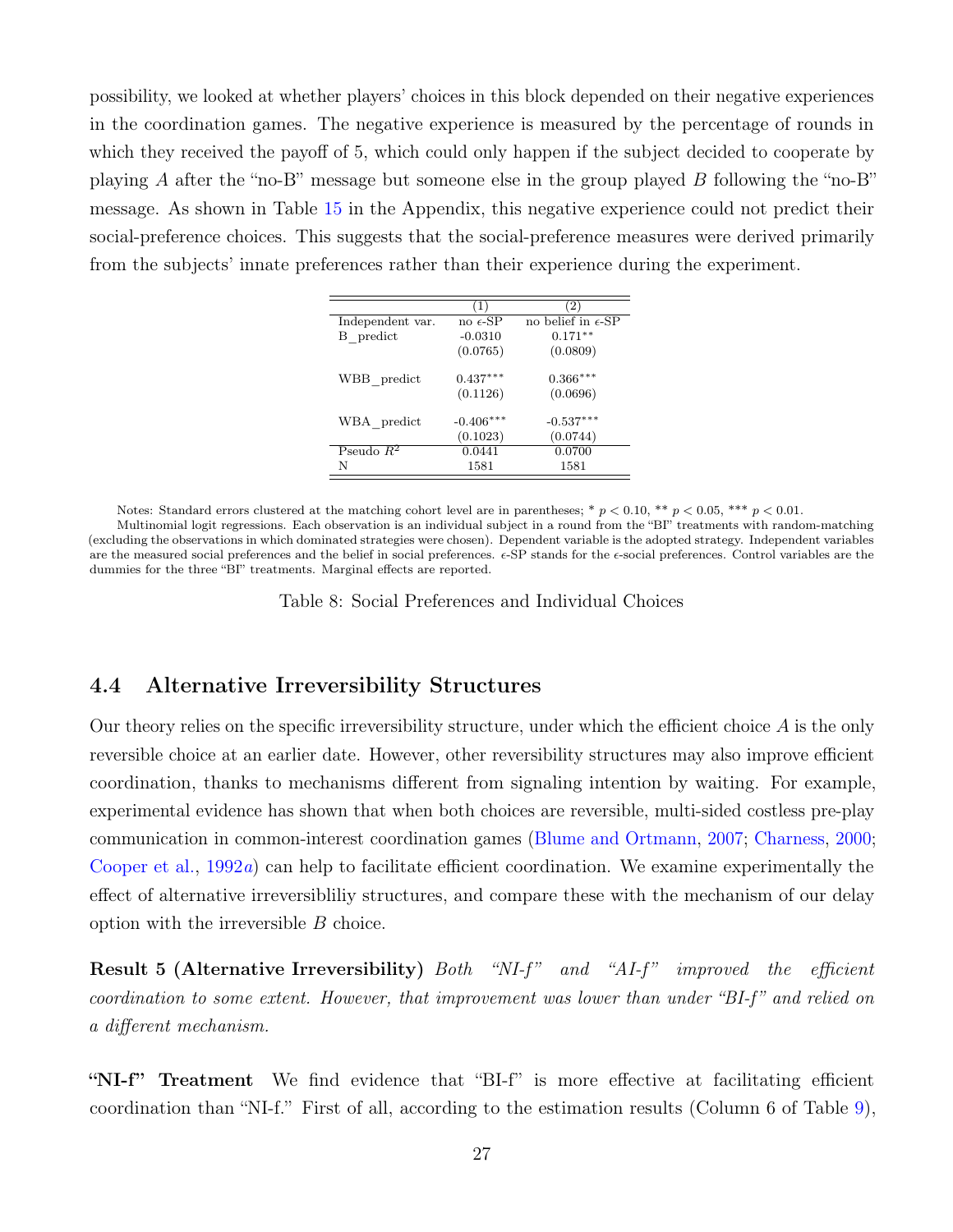<span id="page-27-1"></span>possibility, we looked at whether players' choices in this block depended on their negative experiences in the coordination games. The negative experience is measured by the percentage of rounds in which they received the payoff of 5, which could only happen if the subject decided to cooperate by playing A after the "no-B" message but someone else in the group played B following the "no-B" message. As shown in Table [15](#page-43-2) in the Appendix, this negative experience could not predict their social-preference choices. This suggests that the social-preference measures were derived primarily from the subjects' innate preferences rather than their experience during the experiment.

|                  | (1)               | (2)                         |
|------------------|-------------------|-----------------------------|
| Independent var. | no $\epsilon$ -SP | no belief in $\epsilon$ -SP |
| B predict        | $-0.0310$         | $0.171**$                   |
|                  | (0.0765)          | (0.0809)                    |
| WBB_predict      | $0.437***$        | $0.366***$                  |
|                  | (0.1126)          | (0.0696)                    |
| WBA predict      | $-0.406***$       | $-0.537***$                 |
|                  | (0.1023)          | (0.0744)                    |
| Pseudo $R^2$     | 0.0441            | 0.0700                      |
| N                | 1581              | 1581                        |

Notes: Standard errors clustered at the matching cohort level are in parentheses; \*  $p < 0.10$ , \*\*  $p < 0.05$ , \*\*\*  $p < 0.01$ .

Multinomial logit regressions. Each observation is an individual subject in a round from the "BI" treatments with random-matching (excluding the observations in which dominated strategies were chosen). Dependent variable is the adopted strategy. Independent variables are the measured social preferences and the belief in social preferences.  $\epsilon$ -SP stands for the  $\epsilon$ -social preferences. Control variables are the dummies for the three "BI" treatments. Marginal effects are reported.

Table 8: Social Preferences and Individual Choices

#### <span id="page-27-0"></span>4.4 Alternative Irreversibility Structures

Our theory relies on the specific irreversibility structure, under which the efficient choice  $A$  is the only reversible choice at an earlier date. However, other reversibility structures may also improve efficient coordination, thanks to mechanisms different from signaling intention by waiting. For example, experimental evidence has shown that when both choices are reversible, multi-sided costless pre-play communication in common-interest coordination games [\(Blume and Ortmann,](#page-31-3) [2007;](#page-31-3) [Charness,](#page-32-8) [2000;](#page-32-8) [Cooper et al.,](#page-32-12) [1992](#page-32-12)a) can help to facilitate efficient coordination. We examine experimentally the effect of alternative irreversibliliy structures, and compare these with the mechanism of our delay option with the irreversible B choice.

Result 5 (Alternative Irreversibility) Both "NI-f" and "AI-f" improved the efficient coordination to some extent. However, that improvement was lower than under "BI-f" and relied on a different mechanism.

"NI-f" Treatment We find evidence that "BI-f" is more effective at facilitating efficient coordination than "NI-f." First of all, according to the estimation results (Column 6 of Table [9\)](#page-28-0),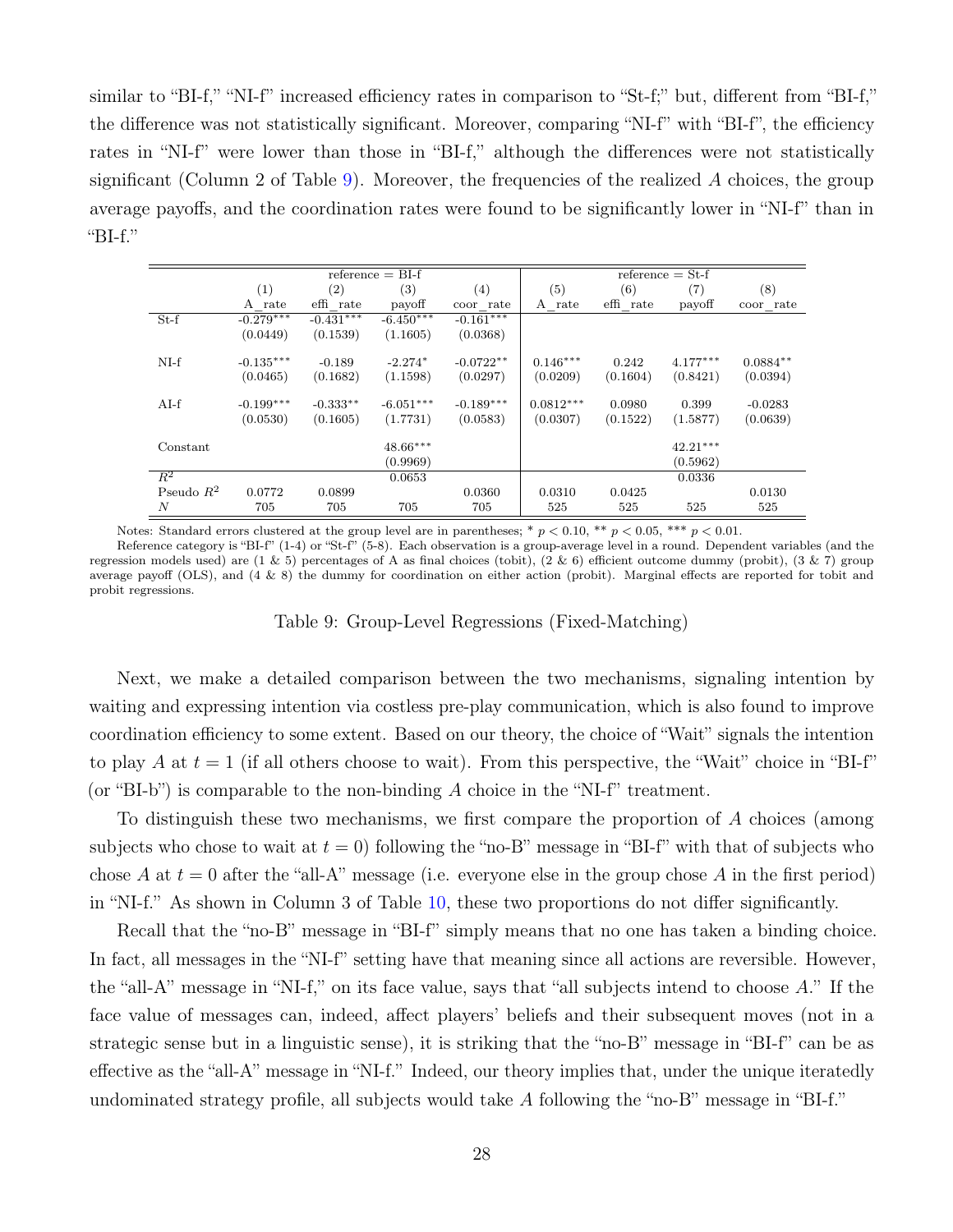similar to "BI-f," "NI-f" increased efficiency rates in comparison to "St-f;" but, different from "BI-f," the difference was not statistically significant. Moreover, comparing "NI-f" with "BI-f", the efficiency rates in "NI-f" were lower than those in "BI-f," although the differences were not statistically significant (Column 2 of Table [9\)](#page-28-0). Moreover, the frequencies of the realized A choices, the group average payoffs, and the coordination rates were found to be significantly lower in "NI-f" than in "BI-f."

<span id="page-28-0"></span>

|                  |             |             | $reference = BI-f$ |             |             |           | $reference = St-f$ |            |
|------------------|-------------|-------------|--------------------|-------------|-------------|-----------|--------------------|------------|
|                  | (1)         | (2)         | (3)                | (4)         | (5)         | (6)       | (7)                | (8)        |
|                  | A rate      | effi rate   | payoff             | coor rate   | A rate      | effi rate | payoff             | coor rate  |
| $St-f$           | $-0.279***$ | $-0.431***$ | $-6.450***$        | $-0.161***$ |             |           |                    |            |
|                  | (0.0449)    | (0.1539)    | (1.1605)           | (0.0368)    |             |           |                    |            |
| $NI-f$           | $-0.135***$ | $-0.189$    | $-2.274*$          | $-0.0722**$ | $0.146***$  | 0.242     | $4.177***$         | $0.0884**$ |
|                  | (0.0465)    | (0.1682)    | (1.1598)           | (0.0297)    | (0.0209)    | (0.1604)  | (0.8421)           | (0.0394)   |
| $AI-f$           | $-0.199***$ | $-0.333**$  | $-6.051***$        | $-0.189***$ | $0.0812***$ | 0.0980    | 0.399              | $-0.0283$  |
|                  | (0.0530)    | (0.1605)    | (1.7731)           | (0.0583)    | (0.0307)    | (0.1522)  | (1.5877)           | (0.0639)   |
| Constant         |             |             | $48.66***$         |             |             |           | $42.21***$         |            |
|                  |             |             | (0.9969)           |             |             |           | (0.5962)           |            |
| $R^2$            |             |             | 0.0653             |             |             |           | 0.0336             |            |
| Pseudo $R^2$     | 0.0772      | 0.0899      |                    | 0.0360      | 0.0310      | 0.0425    |                    | 0.0130     |
| $\boldsymbol{N}$ | 705         | 705         | 705                | 705         | 525         | 525       | 525                | 525        |

Notes: Standard errors clustered at the group level are in parentheses; \*  $p < 0.10$ , \*\*  $p < 0.05$ , \*\*\*  $p < 0.01$ .

Reference category is "BI-f" (1-4) or "St-f" (5-8). Each observation is a group-average level in a round. Dependent variables (and the regression models used) are  $(1 \& 5)$  percentages of A as final choices (tobit),  $(2 \& 6)$  efficient outcome dummy (probit),  $(3 \& 7)$  group average payoff (OLS), and (4 & 8) the dummy for coordination on either action (probit). Marginal effects are reported for tobit and probit regressions.

Table 9: Group-Level Regressions (Fixed-Matching)

Next, we make a detailed comparison between the two mechanisms, signaling intention by waiting and expressing intention via costless pre-play communication, which is also found to improve coordination efficiency to some extent. Based on our theory, the choice of "Wait" signals the intention to play A at  $t = 1$  (if all others choose to wait). From this perspective, the "Wait" choice in "BI-f" (or "BI-b") is comparable to the non-binding  $A$  choice in the "NI-f" treatment.

To distinguish these two mechanisms, we first compare the proportion of A choices (among subjects who chose to wait at  $t = 0$ ) following the "no-B" message in "BI-f" with that of subjects who chose A at  $t = 0$  after the "all-A" message (i.e. everyone else in the group chose A in the first period) in "NI-f." As shown in Column 3 of Table [10,](#page-29-0) these two proportions do not differ significantly.

Recall that the "no-B" message in "BI-f" simply means that no one has taken a binding choice. In fact, all messages in the "NI-f" setting have that meaning since all actions are reversible. However, the "all-A" message in "NI-f," on its face value, says that "all subjects intend to choose A." If the face value of messages can, indeed, affect players' beliefs and their subsequent moves (not in a strategic sense but in a linguistic sense), it is striking that the "no-B" message in "BI-f" can be as effective as the "all-A" message in "NI-f." Indeed, our theory implies that, under the unique iteratedly undominated strategy profile, all subjects would take A following the "no-B" message in "BI-f."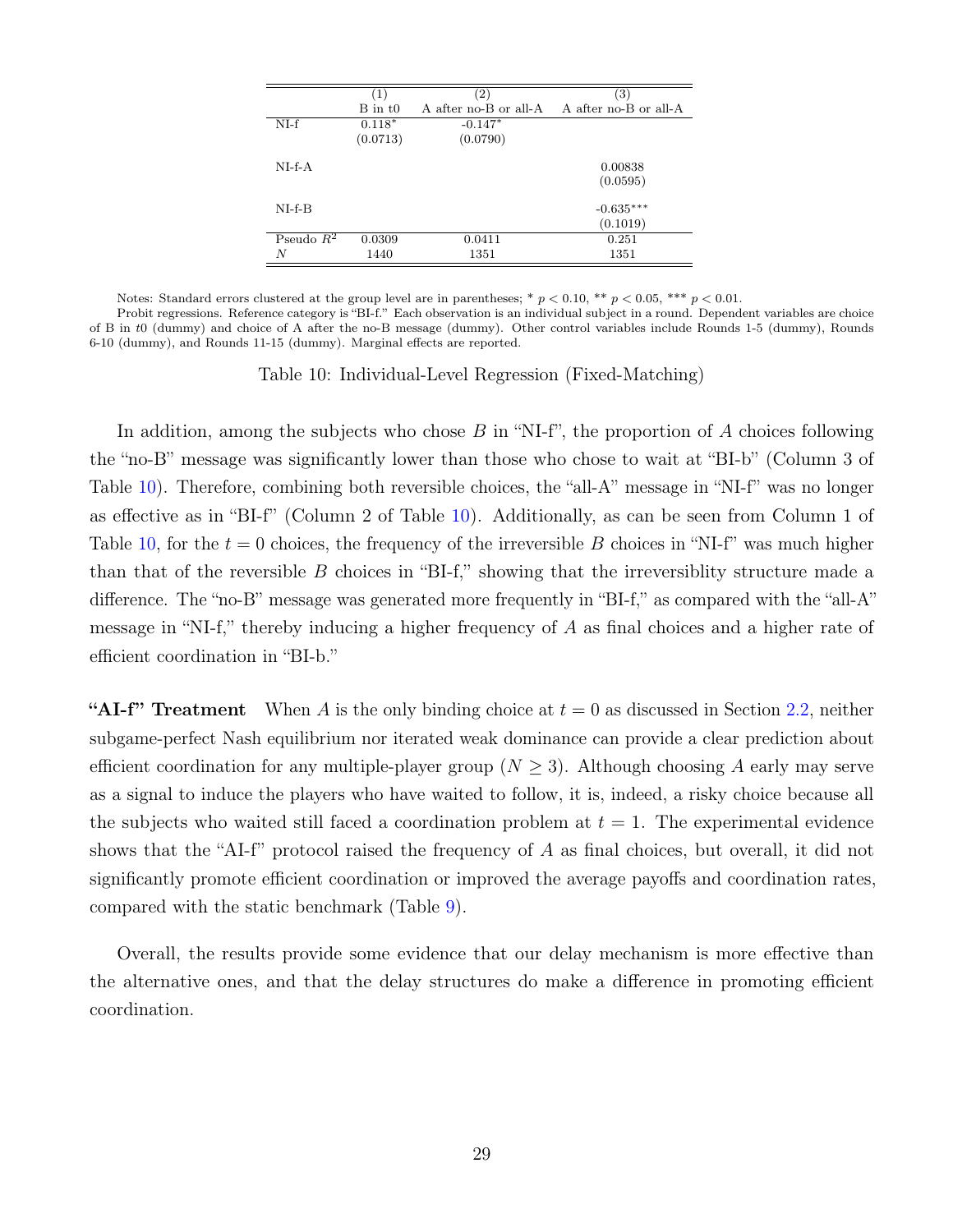<span id="page-29-0"></span>

|              | $\left(1\right)$ | $\left( 2\right)$     | (3)                   |
|--------------|------------------|-----------------------|-----------------------|
|              | $B$ in $t0$      | A after no-B or all-A | A after no-B or all-A |
| $NI-f$       | $0.118*$         | $-0.147*$             |                       |
|              | (0.0713)         | (0.0790)              |                       |
| $NI-f-A$     |                  |                       | 0.00838<br>(0.0595)   |
| $NI-f-B$     |                  |                       | $-0.635***$           |
|              |                  |                       | (0.1019)              |
| Pseudo $R^2$ | 0.0309           | 0.0411                | 0.251                 |
| N            | 1440             | 1351                  | 1351                  |

Notes: Standard errors clustered at the group level are in parentheses; \*  $p < 0.10$ , \*\*  $p < 0.05$ , \*\*\*  $p < 0.01$ .

Probit regressions. Reference category is "BI-f." Each observation is an individual subject in a round. Dependent variables are choice of B in t0 (dummy) and choice of A after the no-B message (dummy). Other control variables include Rounds 1-5 (dummy), Rounds 6-10 (dummy), and Rounds 11-15 (dummy). Marginal effects are reported.

Table 10: Individual-Level Regression (Fixed-Matching)

In addition, among the subjects who chose  $B$  in "NI-f", the proportion of  $A$  choices following the "no-B" message was significantly lower than those who chose to wait at "BI-b" (Column 3 of Table [10\)](#page-29-0). Therefore, combining both reversible choices, the "all-A" message in "NI-f" was no longer as effective as in "BI-f" (Column 2 of Table [10\)](#page-29-0). Additionally, as can be seen from Column 1 of Table [10,](#page-29-0) for the  $t = 0$  choices, the frequency of the irreversible B choices in "NI-f" was much higher than that of the reversible  $B$  choices in "BI-f," showing that the irreversiblity structure made a difference. The "no-B" message was generated more frequently in "BI-f," as compared with the "all-A" message in "NI-f," thereby inducing a higher frequency of A as final choices and a higher rate of efficient coordination in "BI-b."

"AI-f" Treatment When A is the only binding choice at  $t = 0$  as discussed in Section [2.2,](#page-10-0) neither subgame-perfect Nash equilibrium nor iterated weak dominance can provide a clear prediction about efficient coordination for any multiple-player group ( $N \geq 3$ ). Although choosing A early may serve as a signal to induce the players who have waited to follow, it is, indeed, a risky choice because all the subjects who waited still faced a coordination problem at  $t = 1$ . The experimental evidence shows that the "AI-f" protocol raised the frequency of A as final choices, but overall, it did not significantly promote efficient coordination or improved the average payoffs and coordination rates, compared with the static benchmark (Table [9\)](#page-28-0).

Overall, the results provide some evidence that our delay mechanism is more effective than the alternative ones, and that the delay structures do make a difference in promoting efficient coordination.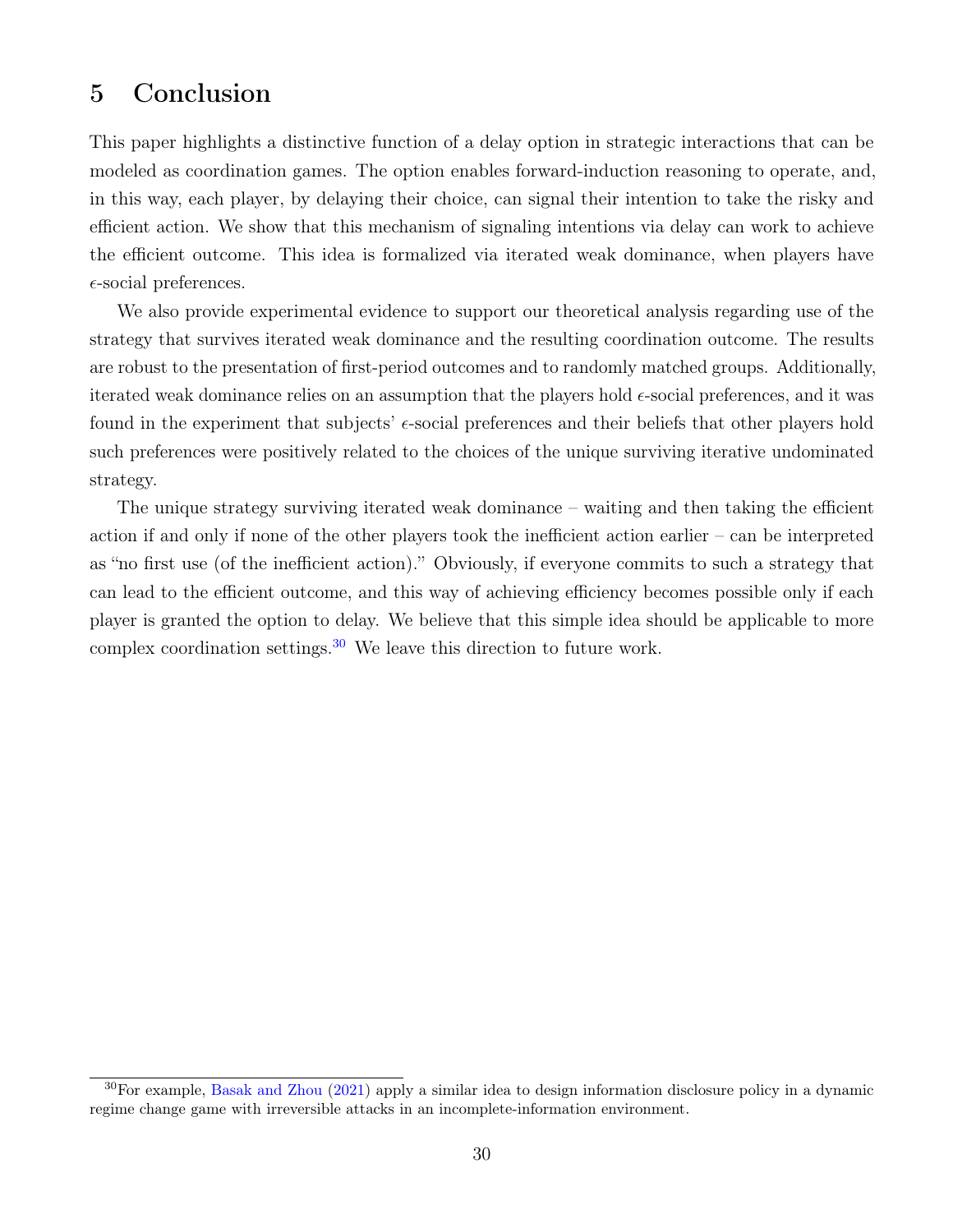# <span id="page-30-0"></span>5 Conclusion

This paper highlights a distinctive function of a delay option in strategic interactions that can be modeled as coordination games. The option enables forward-induction reasoning to operate, and, in this way, each player, by delaying their choice, can signal their intention to take the risky and efficient action. We show that this mechanism of signaling intentions via delay can work to achieve the efficient outcome. This idea is formalized via iterated weak dominance, when players have  $\epsilon$ -social preferences.

We also provide experimental evidence to support our theoretical analysis regarding use of the strategy that survives iterated weak dominance and the resulting coordination outcome. The results are robust to the presentation of first-period outcomes and to randomly matched groups. Additionally, iterated weak dominance relies on an assumption that the players hold  $\epsilon$ -social preferences, and it was found in the experiment that subjects'  $\epsilon$ -social preferences and their beliefs that other players hold such preferences were positively related to the choices of the unique surviving iterative undominated strategy.

The unique strategy surviving iterated weak dominance – waiting and then taking the efficient action if and only if none of the other players took the inefficient action earlier – can be interpreted as "no first use (of the inefficient action)." Obviously, if everyone commits to such a strategy that can lead to the efficient outcome, and this way of achieving efficiency becomes possible only if each player is granted the option to delay. We believe that this simple idea should be applicable to more complex coordination settings.[30](#page-30-1) We leave this direction to future work.

<span id="page-30-1"></span><sup>30</sup>For example, [Basak and Zhou](#page-31-12) [\(2021\)](#page-31-12) apply a similar idea to design information disclosure policy in a dynamic regime change game with irreversible attacks in an incomplete-information environment.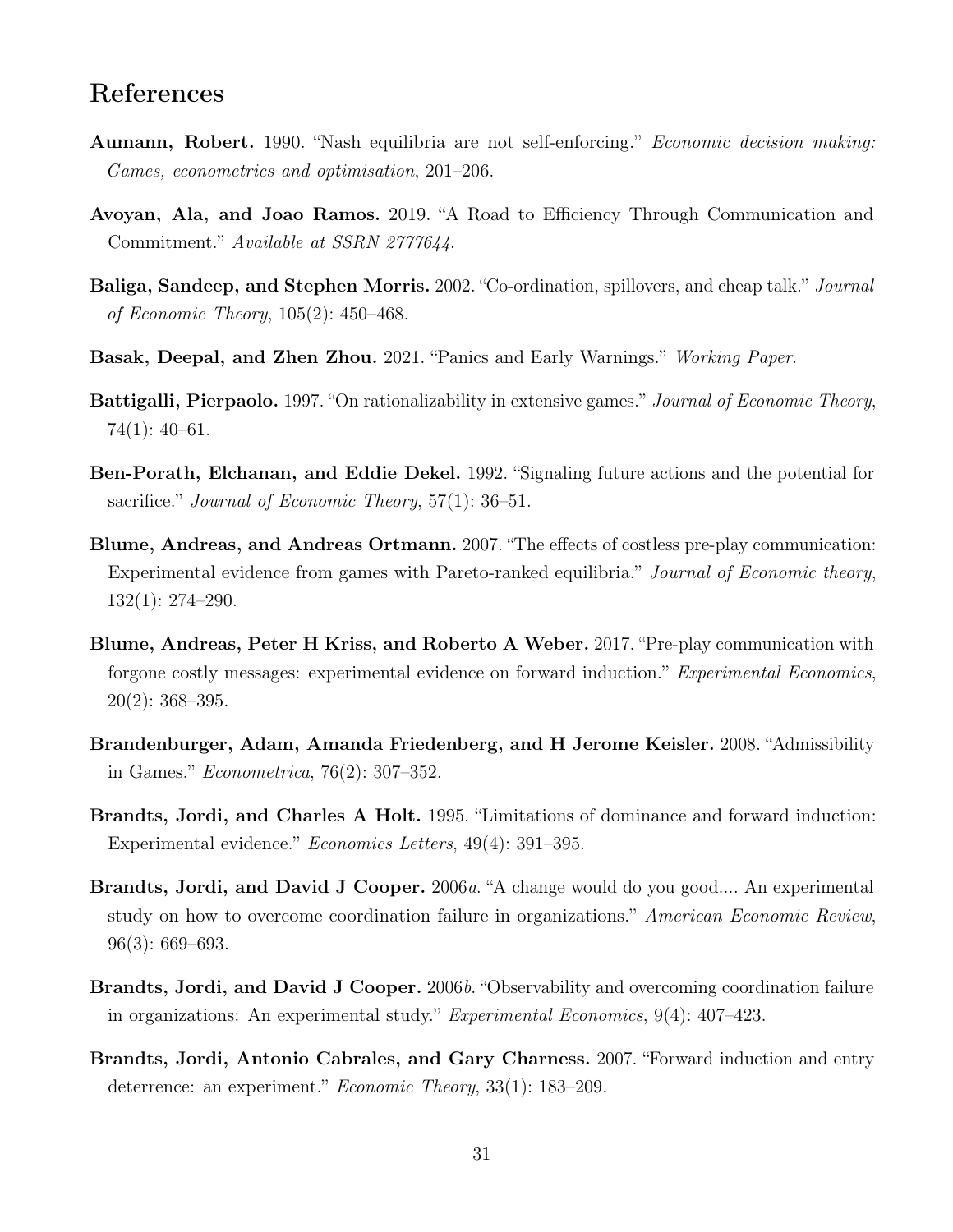### References

- <span id="page-31-7"></span>Aumann, Robert. 1990. "Nash equilibria are not self-enforcing." Economic decision making: Games, econometrics and optimisation, 201–206.
- <span id="page-31-5"></span>Avoyan, Ala, and Joao Ramos. 2019. "A Road to Efficiency Through Communication and Commitment." Available at SSRN 2777644.
- <span id="page-31-8"></span>Baliga, Sandeep, and Stephen Morris. 2002. "Co-ordination, spillovers, and cheap talk." Journal of Economic Theory, 105(2): 450–468.
- <span id="page-31-12"></span>Basak, Deepal, and Zhen Zhou. 2021. "Panics and Early Warnings." Working Paper.
- <span id="page-31-0"></span>Battigalli, Pierpaolo. 1997. "On rationalizability in extensive games." Journal of Economic Theory, 74(1): 40–61.
- <span id="page-31-1"></span>Ben-Porath, Elchanan, and Eddie Dekel. 1992. "Signaling future actions and the potential for sacrifice." *Journal of Economic Theory*, 57(1): 36–51.
- <span id="page-31-3"></span>Blume, Andreas, and Andreas Ortmann. 2007. "The effects of costless pre-play communication: Experimental evidence from games with Pareto-ranked equilibria." Journal of Economic theory, 132(1): 274–290.
- <span id="page-31-6"></span>Blume, Andreas, Peter H Kriss, and Roberto A Weber. 2017. "Pre-play communication with forgone costly messages: experimental evidence on forward induction." *Experimental Economics*,  $20(2): 368 - 395.$
- <span id="page-31-2"></span>Brandenburger, Adam, Amanda Friedenberg, and H Jerome Keisler. 2008. "Admissibility in Games." Econometrica, 76(2): 307–352.
- <span id="page-31-9"></span>Brandts, Jordi, and Charles A Holt. 1995. "Limitations of dominance and forward induction: Experimental evidence." Economics Letters, 49(4): 391–395.
- <span id="page-31-4"></span>Brandts, Jordi, and David J Cooper. 2006a. "A change would do you good.... An experimental study on how to overcome coordination failure in organizations." American Economic Review, 96(3): 669–693.
- <span id="page-31-11"></span>Brandts, Jordi, and David J Cooper. 2006b. "Observability and overcoming coordination failure in organizations: An experimental study." Experimental Economics, 9(4): 407–423.
- <span id="page-31-10"></span>Brandts, Jordi, Antonio Cabrales, and Gary Charness. 2007. "Forward induction and entry deterrence: an experiment." *Economic Theory*, 33(1): 183–209.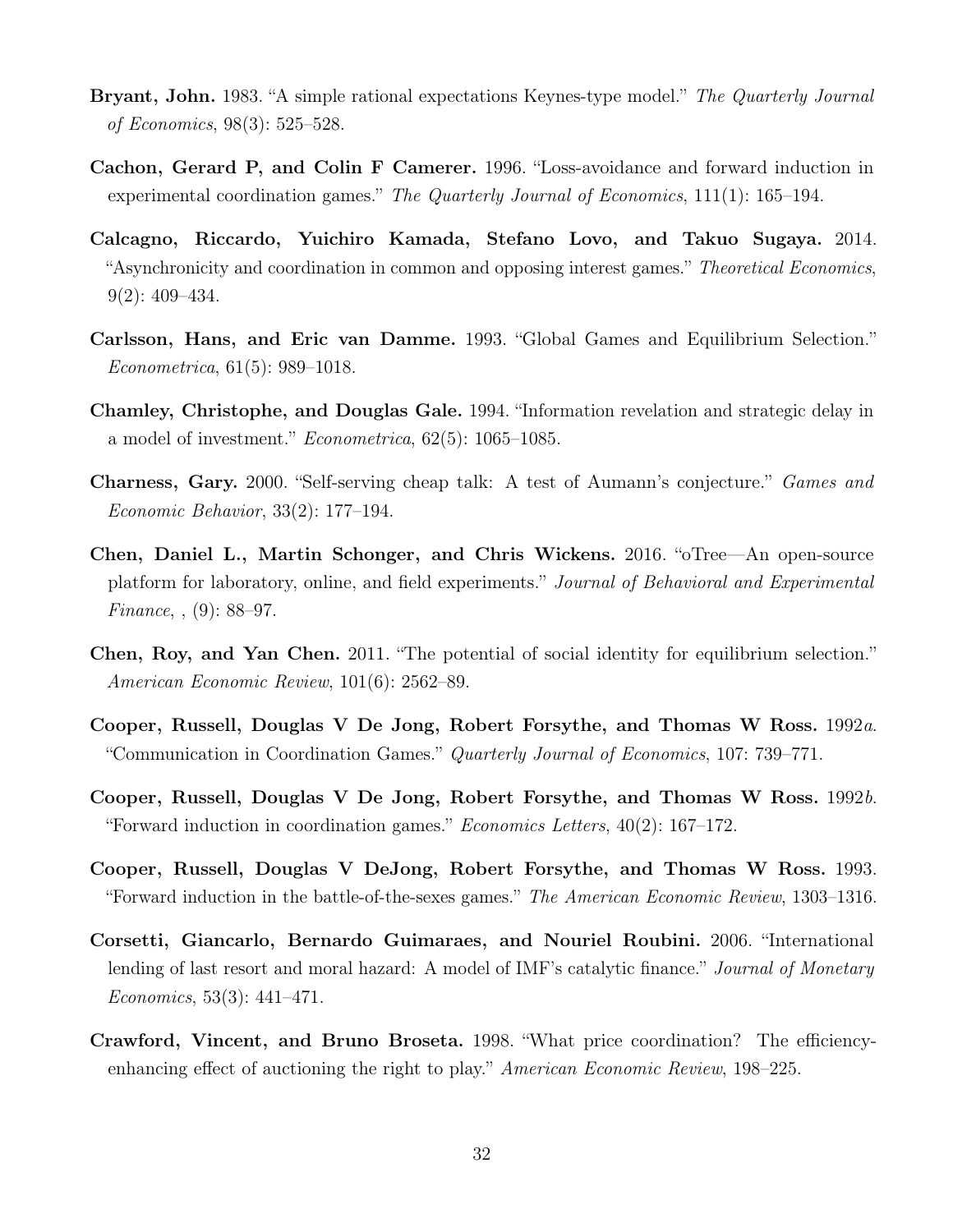- <span id="page-32-1"></span>Bryant, John. 1983. "A simple rational expectations Keynes-type model." The Quarterly Journal of Economics, 98(3): 525–528.
- <span id="page-32-4"></span>Cachon, Gerard P, and Colin F Camerer. 1996. "Loss-avoidance and forward induction in experimental coordination games." The Quarterly Journal of Economics, 111(1): 165–194.
- <span id="page-32-6"></span>Calcagno, Riccardo, Yuichiro Kamada, Stefano Lovo, and Takuo Sugaya. 2014. "Asynchronicity and coordination in common and opposing interest games." Theoretical Economics, 9(2): 409–434.
- <span id="page-32-0"></span>Carlsson, Hans, and Eric van Damme. 1993. "Global Games and Equilibrium Selection." Econometrica, 61(5): 989–1018.
- <span id="page-32-3"></span>Chamley, Christophe, and Douglas Gale. 1994. "Information revelation and strategic delay in a model of investment." Econometrica, 62(5): 1065–1085.
- <span id="page-32-8"></span>Charness, Gary. 2000. "Self-serving cheap talk: A test of Aumann's conjecture." Games and Economic Behavior, 33(2): 177–194.
- <span id="page-32-11"></span>Chen, Daniel L., Martin Schonger, and Chris Wickens. 2016. "oTree—An open-source platform for laboratory, online, and field experiments." Journal of Behavioral and Experimental Finance, , (9): 88–97.
- <span id="page-32-5"></span>Chen, Roy, and Yan Chen. 2011. "The potential of social identity for equilibrium selection." American Economic Review, 101(6): 2562–89.
- <span id="page-32-12"></span>Cooper, Russell, Douglas V De Jong, Robert Forsythe, and Thomas W Ross. 1992a. "Communication in Coordination Games." Quarterly Journal of Economics, 107: 739–771.
- <span id="page-32-7"></span>Cooper, Russell, Douglas V De Jong, Robert Forsythe, and Thomas W Ross. 1992b. "Forward induction in coordination games." *Economics Letters*,  $40(2)$ : 167–172.
- <span id="page-32-10"></span>Cooper, Russell, Douglas V DeJong, Robert Forsythe, and Thomas W Ross. 1993. "Forward induction in the battle-of-the-sexes games." The American Economic Review, 1303–1316.
- <span id="page-32-2"></span>Corsetti, Giancarlo, Bernardo Guimaraes, and Nouriel Roubini. 2006. "International lending of last resort and moral hazard: A model of IMF's catalytic finance." *Journal of Monetary* Economics, 53(3): 441–471.
- <span id="page-32-9"></span>Crawford, Vincent, and Bruno Broseta. 1998. "What price coordination? The efficiencyenhancing effect of auctioning the right to play." American Economic Review, 198-225.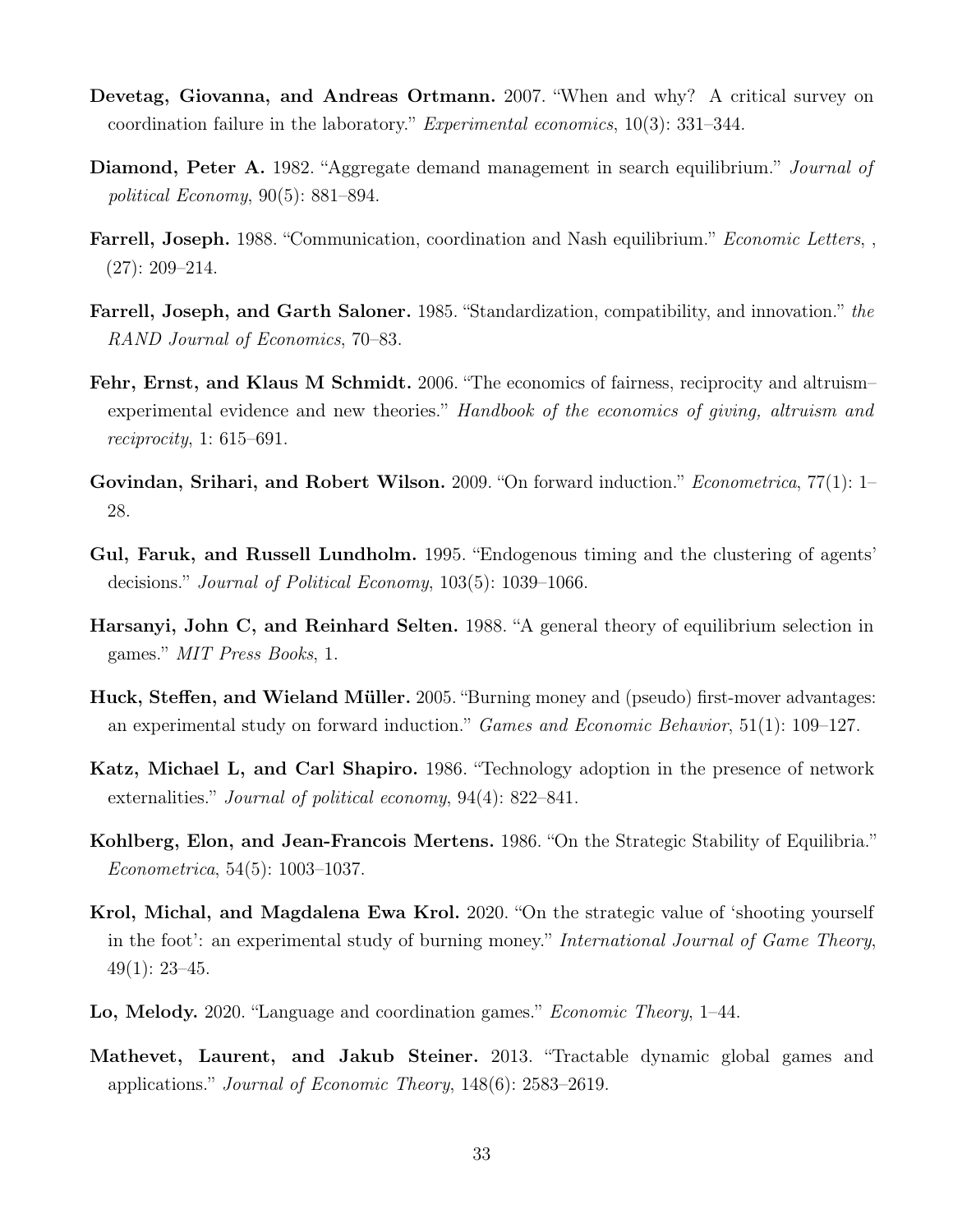- <span id="page-33-9"></span>Devetag, Giovanna, and Andreas Ortmann. 2007. "When and why? A critical survey on coordination failure in the laboratory." Experimental economics, 10(3): 331–344.
- <span id="page-33-3"></span>Diamond, Peter A. 1982. "Aggregate demand management in search equilibrium." Journal of political Economy, 90(5): 881–894.
- <span id="page-33-10"></span>Farrell, Joseph. 1988. "Communication, coordination and Nash equilibrium." Economic Letters, , (27): 209–214.
- <span id="page-33-1"></span>Farrell, Joseph, and Garth Saloner. 1985. "Standardization, compatibility, and innovation." the RAND Journal of Economics, 70–83.
- <span id="page-33-8"></span>Fehr, Ernst, and Klaus M Schmidt. 2006. "The economics of fairness, reciprocity and altruismexperimental evidence and new theories." Handbook of the economics of giving, altruism and reciprocity, 1: 615–691.
- <span id="page-33-7"></span>Govindan, Srihari, and Robert Wilson. 2009. "On forward induction." *Econometrica*, 77(1): 1– 28.
- <span id="page-33-5"></span>Gul, Faruk, and Russell Lundholm. 1995. "Endogenous timing and the clustering of agents' decisions." Journal of Political Economy, 103(5): 1039–1066.
- <span id="page-33-0"></span>Harsanyi, John C, and Reinhard Selten. 1988. "A general theory of equilibrium selection in games." MIT Press Books, 1.
- <span id="page-33-12"></span>Huck, Steffen, and Wieland Müller. 2005. "Burning money and (pseudo) first-mover advantages: an experimental study on forward induction." Games and Economic Behavior, 51(1): 109–127.
- <span id="page-33-2"></span>Katz, Michael L, and Carl Shapiro. 1986. "Technology adoption in the presence of network externalities." *Journal of political economy*, 94(4): 822–841.
- <span id="page-33-6"></span>Kohlberg, Elon, and Jean-Francois Mertens. 1986. "On the Strategic Stability of Equilibria." Econometrica, 54(5): 1003–1037.
- <span id="page-33-13"></span>Krol, Michal, and Magdalena Ewa Krol. 2020. "On the strategic value of 'shooting yourself in the foot': an experimental study of burning money." International Journal of Game Theory,  $49(1): 23-45.$
- <span id="page-33-11"></span>Lo, Melody. 2020. "Language and coordination games." Economic Theory, 1–44.
- <span id="page-33-4"></span>Mathevet, Laurent, and Jakub Steiner. 2013. "Tractable dynamic global games and applications." Journal of Economic Theory, 148(6): 2583–2619.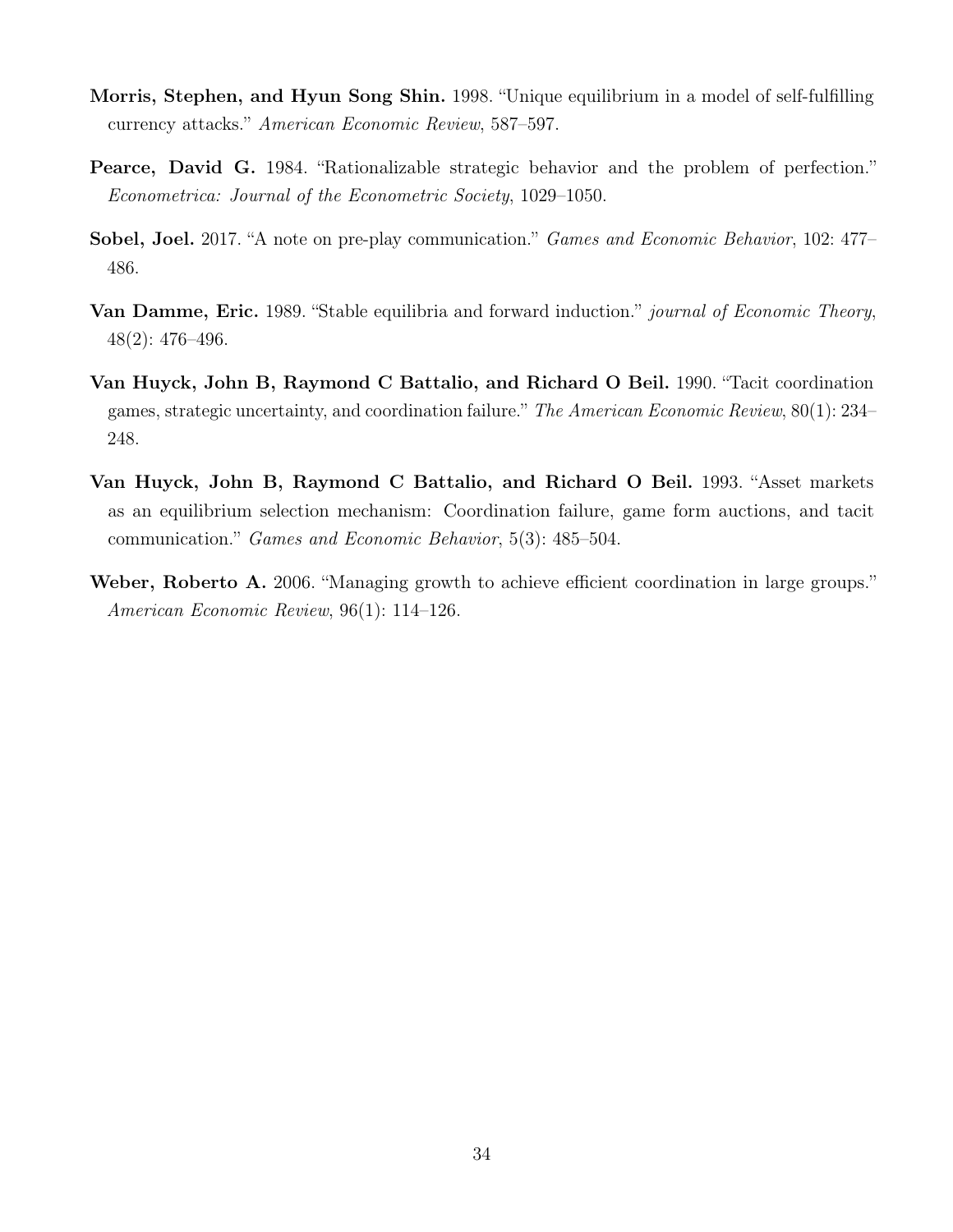- <span id="page-34-1"></span>Morris, Stephen, and Hyun Song Shin. 1998. "Unique equilibrium in a model of self-fulfilling currency attacks." American Economic Review, 587–597.
- <span id="page-34-3"></span>Pearce, David G. 1984. "Rationalizable strategic behavior and the problem of perfection." Econometrica: Journal of the Econometric Society, 1029–1050.
- <span id="page-34-6"></span>Sobel, Joel. 2017. "A note on pre-play communication." Games and Economic Behavior, 102: 477– 486.
- <span id="page-34-2"></span>**Van Damme, Eric.** 1989. "Stable equilibria and forward induction." *journal of Economic Theory*, 48(2): 476–496.
- <span id="page-34-0"></span>Van Huyck, John B, Raymond C Battalio, and Richard O Beil. 1990. "Tacit coordination games, strategic uncertainty, and coordination failure." The American Economic Review, 80(1): 234– 248.
- <span id="page-34-4"></span>Van Huyck, John B, Raymond C Battalio, and Richard O Beil. 1993. "Asset markets as an equilibrium selection mechanism: Coordination failure, game form auctions, and tacit communication." Games and Economic Behavior, 5(3): 485–504.
- <span id="page-34-5"></span>Weber, Roberto A. 2006. "Managing growth to achieve efficient coordination in large groups." American Economic Review, 96(1): 114–126.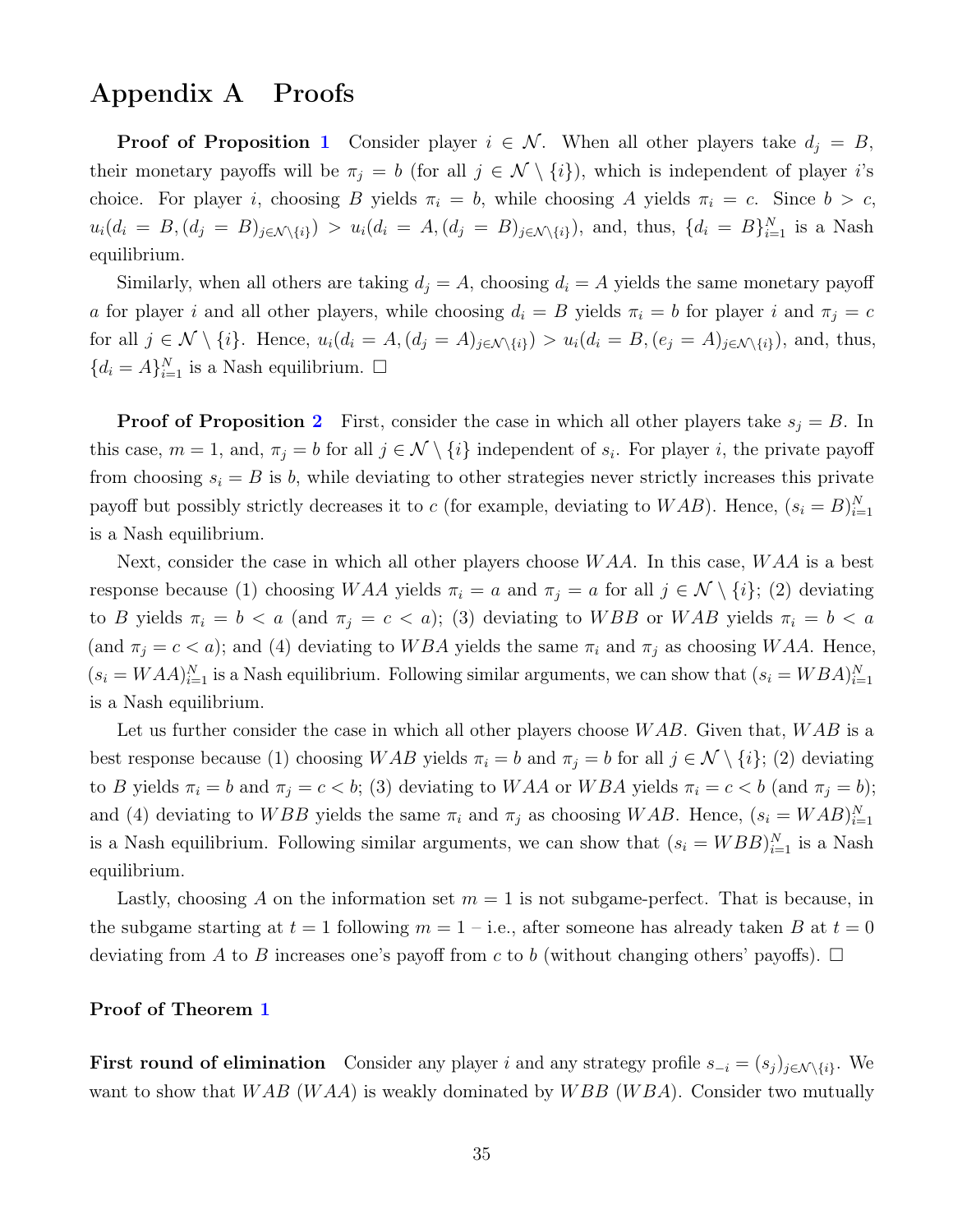# Appendix A Proofs

**Proof of Proposition [1](#page-7-0)** Consider player  $i \in \mathcal{N}$ . When all other players take  $d_j = B$ , their monetary payoffs will be  $\pi_j = b$  (for all  $j \in \mathcal{N} \setminus \{i\}$ ), which is independent of player i's choice. For player i, choosing B yields  $\pi_i = b$ , while choosing A yields  $\pi_i = c$ . Since  $b > c$ ,  $u_i(d_i = B, (d_j = B)_{j \in \mathcal{N} \setminus \{i\}}) > u_i(d_i = A, (d_j = B)_{j \in \mathcal{N} \setminus \{i\}})$ , and, thus,  $\{d_i = B\}_{i=1}^N$  is a Nash equilibrium.

Similarly, when all others are taking  $d_j = A$ , choosing  $d_i = A$  yields the same monetary payoff a for player i and all other players, while choosing  $d_i = B$  yields  $\pi_i = b$  for player i and  $\pi_j = c$ for all  $j \in \mathcal{N} \setminus \{i\}$ . Hence,  $u_i(d_i = A, (d_j = A)_{j \in \mathcal{N} \setminus \{i\}}) > u_i(d_i = B, (e_j = A)_{j \in \mathcal{N} \setminus \{i\}})$ , and, thus,  ${d_i = A}_{i=1}^N$  is a Nash equilibrium.  $\square$ 

**Proof of Proposition [2](#page-8-0)** First, consider the case in which all other players take  $s_i = B$ . In this case,  $m = 1$ , and,  $\pi_j = b$  for all  $j \in \mathcal{N} \setminus \{i\}$  independent of  $s_i$ . For player i, the private payoff from choosing  $s_i = B$  is b, while deviating to other strategies never strictly increases this private payoff but possibly strictly decreases it to c (for example, deviating to  $WAB$ ). Hence,  $(s_i = B)_{i=1}^N$ is a Nash equilibrium.

Next, consider the case in which all other players choose  $WAA$ . In this case,  $WAA$  is a best response because (1) choosing WAA yields  $\pi_i = a$  and  $\pi_j = a$  for all  $j \in \mathcal{N} \setminus \{i\}$ ; (2) deviating to B yields  $\pi_i = b < a$  (and  $\pi_j = c < a$ ); (3) deviating to WBB or WAB yields  $\pi_i = b < a$ (and  $\pi_j = c < a$ ); and (4) deviating to WBA yields the same  $\pi_i$  and  $\pi_j$  as choosing WAA. Hence,  $(s_i = WAA)_{i=1}^N$  is a Nash equilibrium. Following similar arguments, we can show that  $(s_i = WBA)_{i=1}^N$ is a Nash equilibrium.

Let us further consider the case in which all other players choose  $WAB$ . Given that,  $WAB$  is a best response because (1) choosing WAB yields  $\pi_i = b$  and  $\pi_j = b$  for all  $j \in \mathcal{N} \setminus \{i\};$  (2) deviating to B yields  $\pi_i = b$  and  $\pi_j = c < b$ ; (3) deviating to WAA or WBA yields  $\pi_i = c < b$  (and  $\pi_j = b$ ); and (4) deviating to WBB yields the same  $\pi_i$  and  $\pi_j$  as choosing WAB. Hence,  $(s_i = WAB)_{i=1}^N$ is a Nash equilibrium. Following similar arguments, we can show that  $(s_i = WBB)_{i=1}^N$  is a Nash equilibrium.

Lastly, choosing A on the information set  $m = 1$  is not subgame-perfect. That is because, in the subgame starting at  $t = 1$  following  $m = 1 - i.e.,$  after someone has already taken B at  $t = 0$ deviating from A to B increases one's payoff from c to b (without changing others' payoffs).  $\Box$ 

#### Proof of Theorem [1](#page-8-1)

First round of elimination Consider any player i and any strategy profile  $s_{-i} = (s_j)_{j \in \mathcal{N} \setminus \{i\}}$ . We want to show that  $WAB$  (WAA) is weakly dominated by  $WBB$  (WBA). Consider two mutually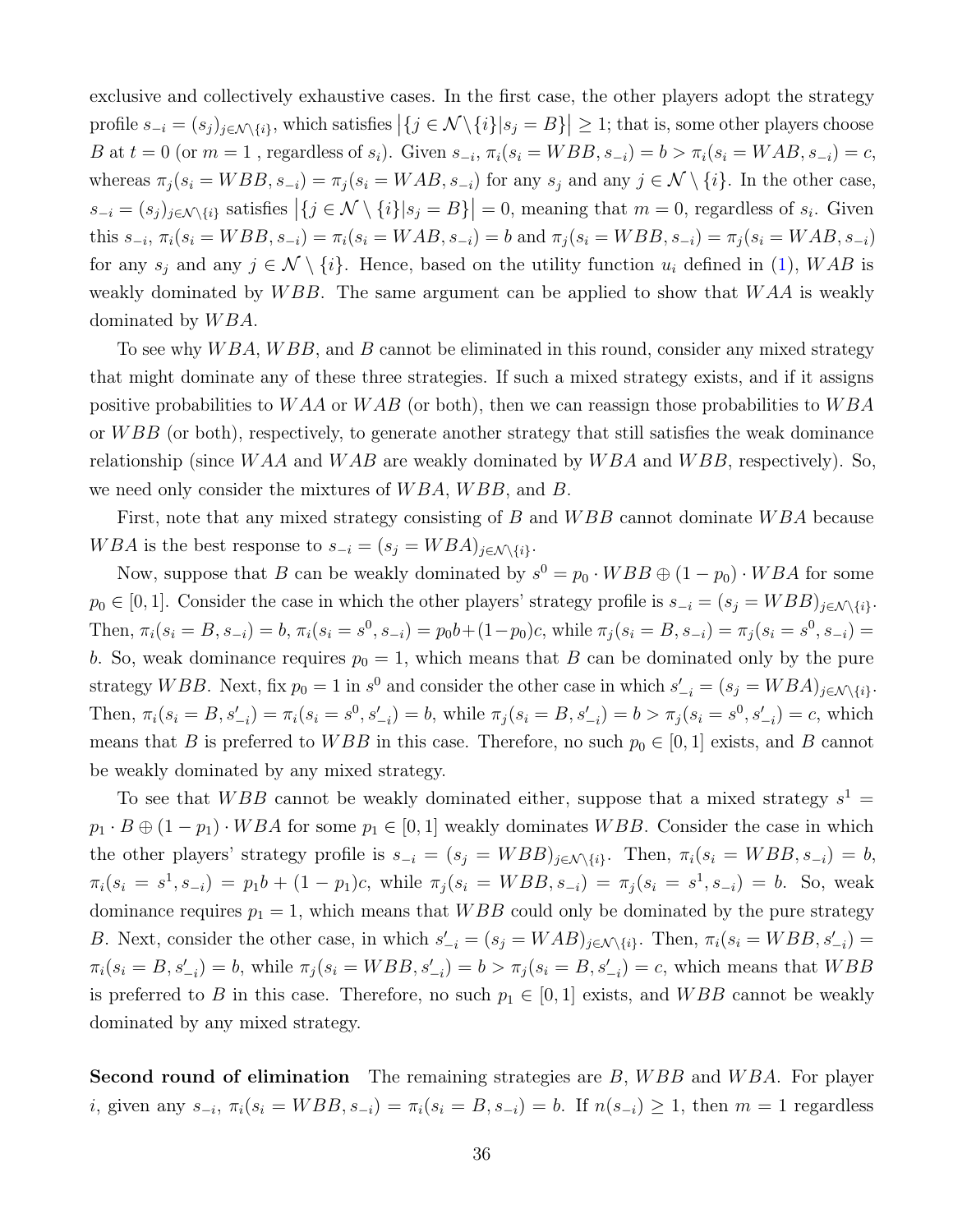exclusive and collectively exhaustive cases. In the first case, the other players adopt the strategy profile  $s_{-i} = (s_j)_{j \in \mathcal{N} \setminus \{i\}}$ , which satisfies  $|\{j \in \mathcal{N} \setminus \{i\}|s_j = B\}| \geq 1$ ; that is, some other players choose B at  $t = 0$  (or  $m = 1$ , regardless of  $s_i$ ). Given  $s_{-i}$ ,  $\pi_i(s_i = WBB, s_{-i}) = b > \pi_i(s_i = WAB, s_{-i}) = c$ , whereas  $\pi_j (s_i = WBB, s_{-i}) = \pi_j (s_i = WAB, s_{-i})$  for any  $s_j$  and any  $j \in \mathcal{N} \setminus \{i\}$ . In the other case,  $s_{-i} = (s_j)_{j \in \mathcal{N} \setminus \{i\}}$  satisfies  $|\{j \in \mathcal{N} \setminus \{i\}|s_j = B\}| = 0$ , meaning that  $m = 0$ , regardless of  $s_i$ . Given this  $s_{-i}$ ,  $\pi_i(s_i = WBB, s_{-i}) = \pi_i(s_i = WAB, s_{-i}) = b$  and  $\pi_j(s_i = WBB, s_{-i}) = \pi_j(s_i = WAB, s_{-i})$ for any  $s_i$  and any  $j \in \mathcal{N} \setminus \{i\}$ . Hence, based on the utility function  $u_i$  defined in [\(1\)](#page-6-2), WAB is weakly dominated by  $WBB$ . The same argument can be applied to show that  $WAA$  is weakly dominated by  $WBA$ .

To see why  $WBA$ ,  $WBB$ , and B cannot be eliminated in this round, consider any mixed strategy that might dominate any of these three strategies. If such a mixed strategy exists, and if it assigns positive probabilities to  $WAA$  or  $WAB$  (or both), then we can reassign those probabilities to  $WBA$ or  $WBB$  (or both), respectively, to generate another strategy that still satisfies the weak dominance relationship (since  $WAA$  and  $WAB$  are weakly dominated by  $WBA$  and  $WBB$ , respectively). So, we need only consider the mixtures of  $WBA$ ,  $WBB$ , and B.

First, note that any mixed strategy consisting of B and WBB cannot dominate WBA because WBA is the best response to  $s_{-i} = (s_i = WBA)_{i \in \mathcal{N} \setminus \{i\}}$ .

Now, suppose that B can be weakly dominated by  $s^0 = p_0 \cdot WBB \oplus (1 - p_0) \cdot WBA$  for some  $p_0 \in [0, 1]$ . Consider the case in which the other players' strategy profile is  $s_{-i} = (s_j = WBB)_{j \in \mathcal{N} \setminus \{i\}}$ . Then,  $\pi_i(s_i = B, s_{-i}) = b$ ,  $\pi_i(s_i = s^0, s_{-i}) = p_0 b + (1 - p_0)c$ , while  $\pi_j(s_i = B, s_{-i}) = \pi_j(s_i = s^0, s_{-i})$ b. So, weak dominance requires  $p_0 = 1$ , which means that B can be dominated only by the pure strategy WBB. Next, fix  $p_0 = 1$  in  $s^0$  and consider the other case in which  $s'_{-i} = (s_j = WBA)_{j \in \mathcal{N} \setminus \{i\}}$ . Then,  $\pi_i(s_i = B, s'_{-i}) = \pi_i(s_i = s^0, s'_{-i}) = b$ , while  $\pi_j(s_i = B, s'_{-i}) = b > \pi_j(s_i = s^0, s'_{-i}) = c$ , which means that B is preferred to WBB in this case. Therefore, no such  $p_0 \in [0, 1]$  exists, and B cannot be weakly dominated by any mixed strategy.

To see that WBB cannot be weakly dominated either, suppose that a mixed strategy  $s^1 =$  $p_1 \cdot B \oplus (1 - p_1) \cdot WBA$  for some  $p_1 \in [0, 1]$  weakly dominates WBB. Consider the case in which the other players' strategy profile is  $s_{-i} = (s_j = WBB)_{j \in \mathcal{N} \setminus \{i\}}$ . Then,  $\pi_i(s_i = WBB, s_{-i}) = b$ ,  $\pi_i(s_i = s^1, s_{-i}) = p_1 b + (1 - p_1)c$ , while  $\pi_j(s_i = WBB, s_{-i}) = \pi_j(s_i = s^1, s_{-i}) = b$ . So, weak dominance requires  $p_1 = 1$ , which means that WBB could only be dominated by the pure strategy B. Next, consider the other case, in which  $s'_{-i} = (s_j = WAB)_{j \in \mathcal{N} \setminus \{i\}}$ . Then,  $\pi_i(s_i = WBB, s'_{-i})$  $\pi_i(s_i = B, s'_{-i}) = b$ , while  $\pi_j(s_i = WBB, s'_{-i}) = b > \pi_j(s_i = B, s'_{-i}) = c$ , which means that  $WBB$ is preferred to B in this case. Therefore, no such  $p_1 \in [0, 1]$  exists, and WBB cannot be weakly dominated by any mixed strategy.

Second round of elimination The remaining strategies are B, WBB and WBA. For player *i*, given any  $s_{-i}$ ,  $\pi_i(s_i = WBB, s_{-i}) = \pi_i(s_i = B, s_{-i}) = b$ . If  $n(s_{-i}) \geq 1$ , then  $m = 1$  regardless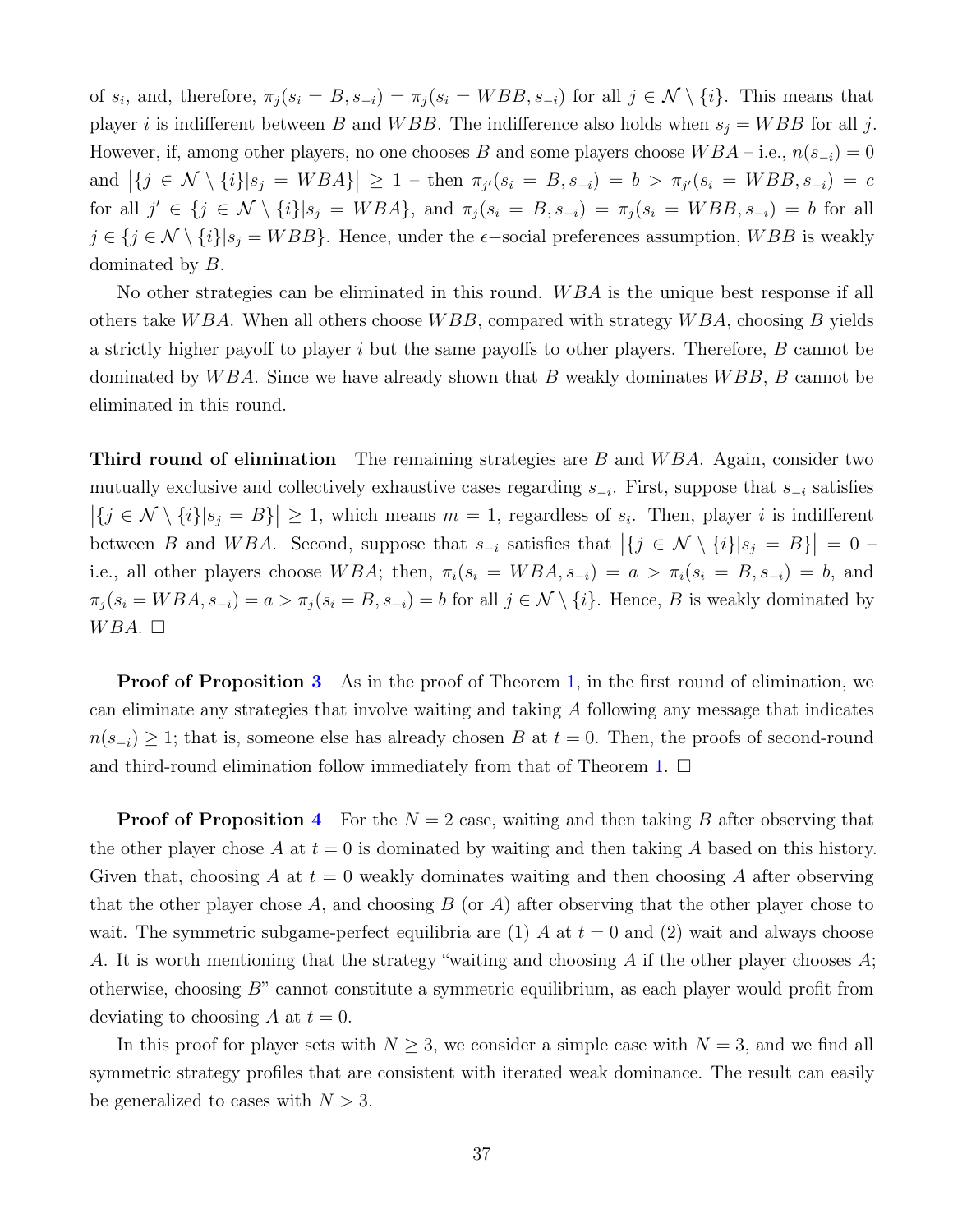of  $s_i$ , and, therefore,  $\pi_j(s_i = B, s_{-i}) = \pi_j(s_i = WBB, s_{-i})$  for all  $j \in \mathcal{N} \setminus \{i\}$ . This means that player i is indifferent between B and WBB. The indifference also holds when  $s_j = WBB$  for all j. However, if, among other players, no one chooses B and some players choose  $WBA - i.e., n(s_{-i}) = 0$ and  $|\{j \in \mathcal{N} \setminus \{i\}|s_j = WBA\}| \geq 1$  – then  $\pi_{j'}(s_i = B, s_{-i}) = b > \pi_{j'}(s_i = WBB, s_{-i}) = c$ for all  $j' \in \{j \in \mathcal{N} \setminus \{i\}|s_j = WBA\}$ , and  $\pi_j(s_i = B, s_{-i}) = \pi_j(s_i = WBB, s_{-i}) = b$  for all  $j \in \{j \in \mathcal{N} \setminus \{i\} | s_j = WBB \}$ . Hence, under the  $\epsilon$ -social preferences assumption,  $WBB$  is weakly dominated by B.

No other strategies can be eliminated in this round. WBA is the unique best response if all others take WBA. When all others choose WBB, compared with strategy WBA, choosing B yields a strictly higher payoff to player i but the same payoffs to other players. Therefore, B cannot be dominated by  $WBA$ . Since we have already shown that B weakly dominates  $WBB$ , B cannot be eliminated in this round.

**Third round of elimination** The remaining strategies are B and WBA. Again, consider two mutually exclusive and collectively exhaustive cases regarding  $s_{-i}$ . First, suppose that  $s_{-i}$  satisfies  $|\{j \in \mathcal{N} \setminus \{i\}|s_j = B\}| \geq 1$ , which means  $m = 1$ , regardless of  $s_i$ . Then, player i is indifferent between B and WBA. Second, suppose that  $s_{-i}$  satisfies that  $|\{j \in \mathcal{N} \setminus \{i\}|s_j = B\}| = 0$ i.e., all other players choose W BA; then,  $\pi_i(s_i = WBA, s_{-i}) = a > \pi_i(s_i = B, s_{-i}) = b$ , and  $\pi_j(s_i = WBA, s_{-i}) = a > \pi_j(s_i = B, s_{-i}) = b$  for all  $j \in \mathcal{N} \setminus \{i\}$ . Hence, B is weakly dominated by  $WBA.$ 

**Proof of Proposition [3](#page-10-2)** As in the proof of Theorem [1,](#page-8-1) in the first round of elimination, we can eliminate any strategies that involve waiting and taking A following any message that indicates  $n(s_{-i}) \geq 1$ ; that is, someone else has already chosen B at  $t = 0$ . Then, the proofs of second-round and third-round elimination follow immediately from that of Theorem [1.](#page-8-1)  $\Box$ 

**Proof of Proposition [4](#page-11-0)** For the  $N = 2$  case, waiting and then taking B after observing that the other player chose A at  $t = 0$  is dominated by waiting and then taking A based on this history. Given that, choosing A at  $t = 0$  weakly dominates waiting and then choosing A after observing that the other player chose A, and choosing  $B$  (or A) after observing that the other player chose to wait. The symmetric subgame-perfect equilibria are (1) A at  $t = 0$  and (2) wait and always choose A. It is worth mentioning that the strategy "waiting and choosing A if the other player chooses  $A$ ; otherwise, choosing B" cannot constitute a symmetric equilibrium, as each player would profit from deviating to choosing A at  $t = 0$ .

In this proof for player sets with  $N \geq 3$ , we consider a simple case with  $N = 3$ , and we find all symmetric strategy profiles that are consistent with iterated weak dominance. The result can easily be generalized to cases with  $N > 3$ .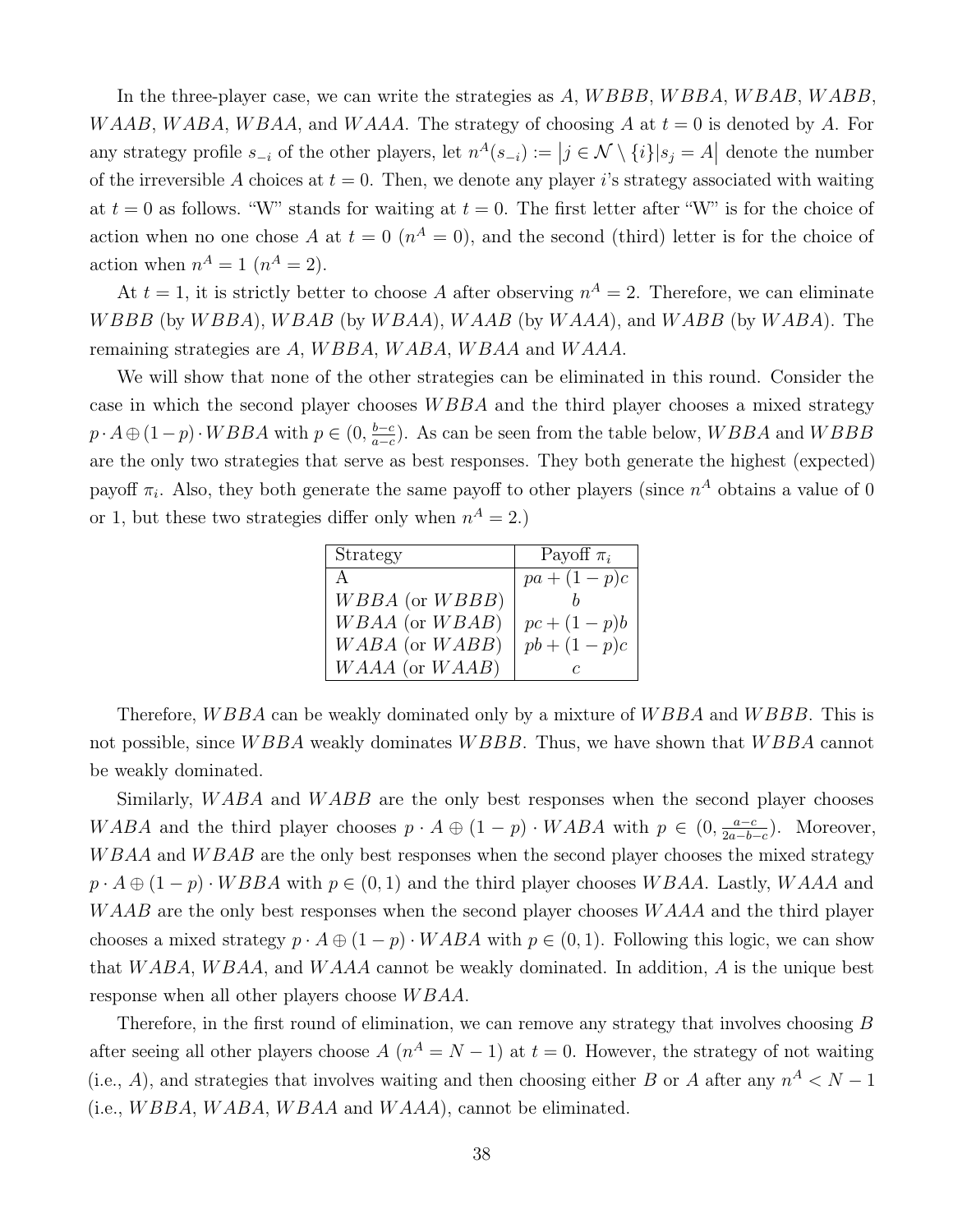In the three-player case, we can write the strategies as  $A, WBBB, WBBA, WBAB, WABB$ WAAB, WABA, WBAA, and WAAA. The strategy of choosing A at  $t = 0$  is denoted by A. For any strategy profile  $s_{-i}$  of the other players, let  $n^A(s_{-i}) := |j \in \mathcal{N} \setminus \{i\}|s_j = A|$  denote the number of the irreversible A choices at  $t = 0$ . Then, we denote any player is strategy associated with waiting at  $t = 0$  as follows. "W" stands for waiting at  $t = 0$ . The first letter after "W" is for the choice of action when no one chose A at  $t = 0$  ( $n<sup>A</sup> = 0$ ), and the second (third) letter is for the choice of action when  $n^A = 1$   $(n^A = 2)$ .

At  $t = 1$ , it is strictly better to choose A after observing  $n^A = 2$ . Therefore, we can eliminate WBBB (by WBBA), WBAB (by WBAA), WAAB (by WAAA), and WABB (by WABA). The remaining strategies are A, WBBA, WABA, WBAA and WAAA.

We will show that none of the other strategies can be eliminated in this round. Consider the case in which the second player chooses W BBA and the third player chooses a mixed strategy  $p \cdot A \oplus (1-p) \cdot WBBA$  with  $p \in (0, \frac{b-c}{a-c})$  $\frac{b-c}{a-c}$ ). As can be seen from the table below,  $WBBA$  and  $WBBB$ are the only two strategies that serve as best responses. They both generate the highest (expected) payoff  $\pi_i$ . Also, they both generate the same payoff to other players (since  $n^A$  obtains a value of 0 or 1, but these two strategies differ only when  $n^A = 2$ .)

| Strategy       | Payoff $\pi_i$ |
|----------------|----------------|
| А              | $pa + (1-p)c$  |
| WBBA (or WBBB) |                |
| WBAA (or WBAB) | $pc + (1-p)b$  |
| WABA (or WABB) | $pb + (1-p)c$  |
| WAAA (or WAAB) |                |

Therefore, *WBBA* can be weakly dominated only by a mixture of *WBBA* and *WBBB*. This is not possible, since WBBA weakly dominates WBBB. Thus, we have shown that WBBA cannot be weakly dominated.

Similarly, WABA and WABB are the only best responses when the second player chooses WABA and the third player chooses  $p \cdot A \oplus (1-p) \cdot WABA$  with  $p \in (0, \frac{a-c}{2a-b})$  $\frac{a-c}{2a-b-c}$ ). Moreover, W BAA and W BAB are the only best responses when the second player chooses the mixed strategy  $p \cdot A \oplus (1-p) \cdot WBBA$  with  $p \in (0,1)$  and the third player chooses WBAA. Lastly, WAAA and WAAB are the only best responses when the second player chooses WAAA and the third player chooses a mixed strategy  $p \cdot A \oplus (1-p) \cdot WABA$  with  $p \in (0,1)$ . Following this logic, we can show that W ABA, W BAA, and W AAA cannot be weakly dominated. In addition, A is the unique best response when all other players choose W BAA.

Therefore, in the first round of elimination, we can remove any strategy that involves choosing B after seeing all other players choose  $A(n^A = N - 1)$  at  $t = 0$ . However, the strategy of not waiting (i.e., A), and strategies that involves waiting and then choosing either B or A after any  $n^A < N - 1$ (i.e.,  $WBBA, WABA, WBAA$  and  $WAAA$ ), cannot be eliminated.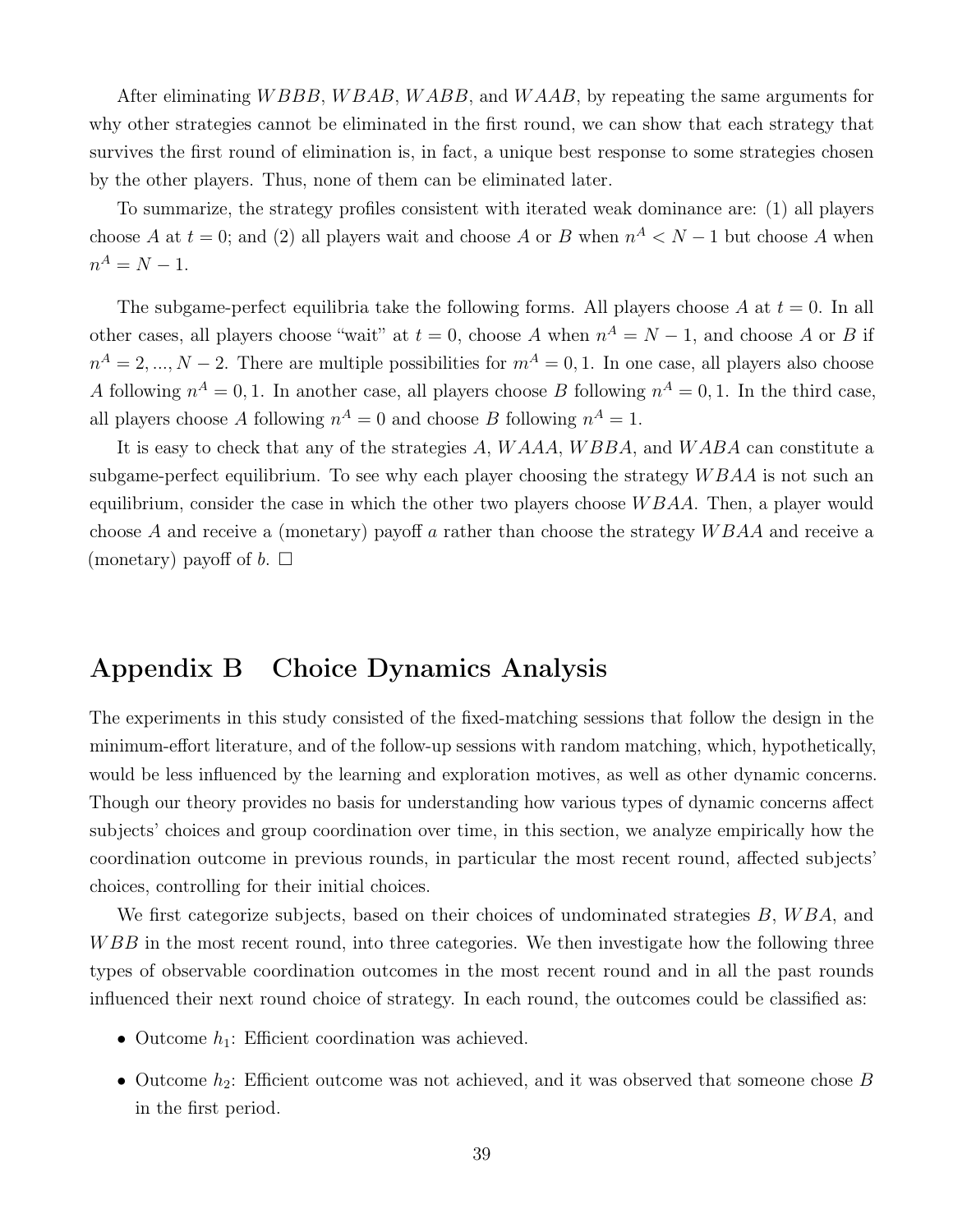After eliminating *WBBB*, *WBAB*, *WABB*, and *WAAB*, by repeating the same arguments for why other strategies cannot be eliminated in the first round, we can show that each strategy that survives the first round of elimination is, in fact, a unique best response to some strategies chosen by the other players. Thus, none of them can be eliminated later.

To summarize, the strategy profiles consistent with iterated weak dominance are: (1) all players choose A at  $t = 0$ ; and (2) all players wait and choose A or B when  $n^A < N - 1$  but choose A when  $n^A = N - 1.$ 

The subgame-perfect equilibria take the following forms. All players choose A at  $t = 0$ . In all other cases, all players choose "wait" at  $t = 0$ , choose A when  $n^A = N - 1$ , and choose A or B if  $n^A = 2, ..., N - 2$ . There are multiple possibilities for  $m^A = 0, 1$ . In one case, all players also choose A following  $n^A = 0, 1$ . In another case, all players choose B following  $n^A = 0, 1$ . In the third case, all players choose A following  $n^A = 0$  and choose B following  $n^A = 1$ .

It is easy to check that any of the strategies A, WAAA, WBBA, and WABA can constitute a subgame-perfect equilibrium. To see why each player choosing the strategy  $W B A A$  is not such an equilibrium, consider the case in which the other two players choose  $WBAA$ . Then, a player would choose A and receive a (monetary) payoff a rather than choose the strategy  $WBAA$  and receive a (monetary) payoff of  $b$ .  $\Box$ 

# <span id="page-39-0"></span>Appendix B Choice Dynamics Analysis

The experiments in this study consisted of the fixed-matching sessions that follow the design in the minimum-effort literature, and of the follow-up sessions with random matching, which, hypothetically, would be less influenced by the learning and exploration motives, as well as other dynamic concerns. Though our theory provides no basis for understanding how various types of dynamic concerns affect subjects' choices and group coordination over time, in this section, we analyze empirically how the coordination outcome in previous rounds, in particular the most recent round, affected subjects' choices, controlling for their initial choices.

We first categorize subjects, based on their choices of undominated strategies  $B, WBA$ , and WBB in the most recent round, into three categories. We then investigate how the following three types of observable coordination outcomes in the most recent round and in all the past rounds influenced their next round choice of strategy. In each round, the outcomes could be classified as:

- Outcome  $h_1$ : Efficient coordination was achieved.
- Outcome  $h_2$ : Efficient outcome was not achieved, and it was observed that someone chose B in the first period.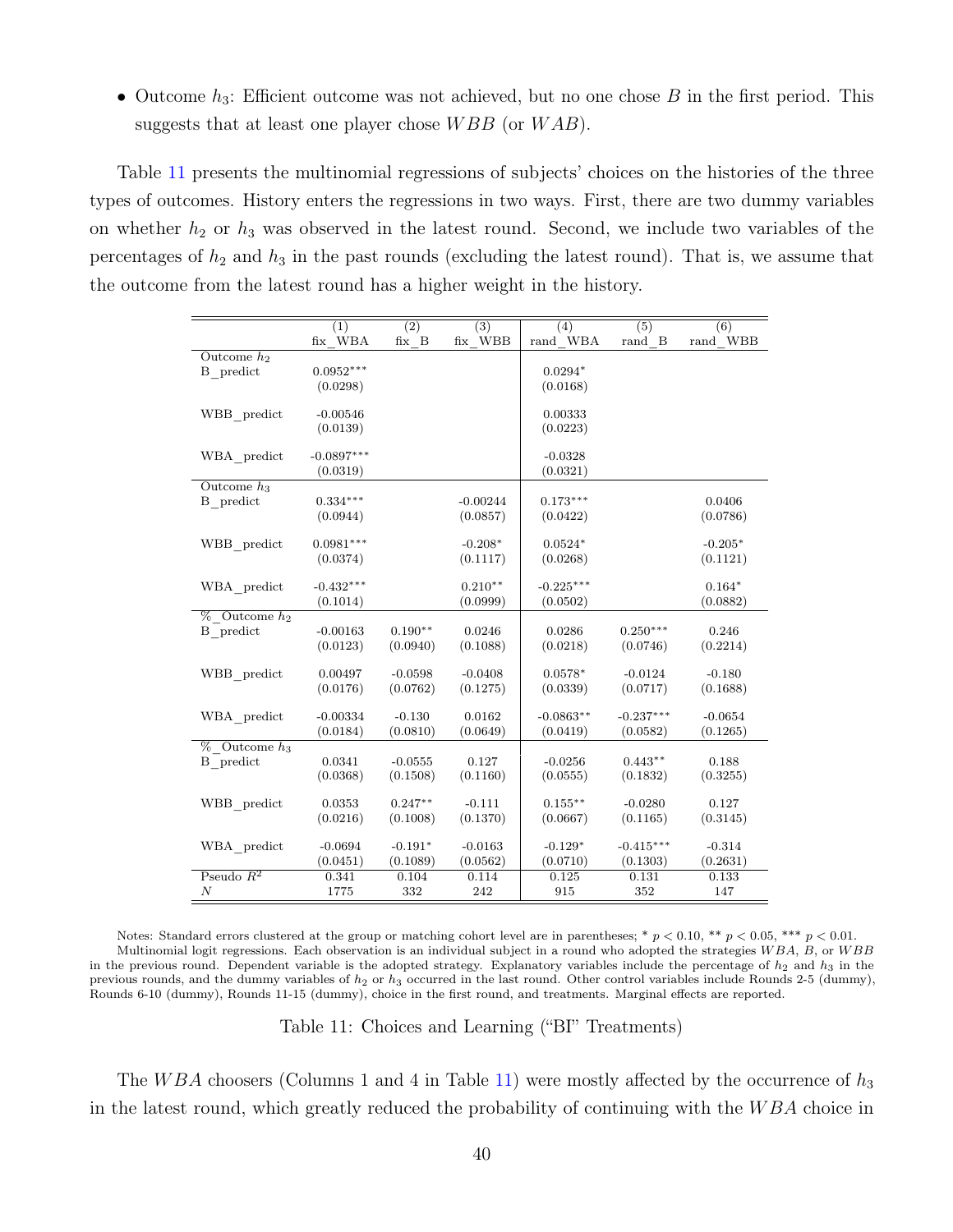• Outcome  $h_3$ : Efficient outcome was not achieved, but no one chose B in the first period. This suggests that at least one player chose  $WBB$  (or  $WAB$ ).

Table [11](#page-40-0) presents the multinomial regressions of subjects' choices on the histories of the three types of outcomes. History enters the regressions in two ways. First, there are two dummy variables on whether  $h_2$  or  $h_3$  was observed in the latest round. Second, we include two variables of the percentages of  $h_2$  and  $h_3$  in the past rounds (excluding the latest round). That is, we assume that the outcome from the latest round has a higher weight in the history.

<span id="page-40-0"></span>

|                   | (1)<br>fix WBA | (2)<br>fix B | $\overline{(3)}$<br>fix WBB | (4)<br>rand WBA | $\overline{(5)}$<br>rand B | $\overline{(6)}$<br>rand WBB |
|-------------------|----------------|--------------|-----------------------------|-----------------|----------------------------|------------------------------|
| Outcome $h_2$     |                |              |                             |                 |                            |                              |
|                   | $0.0952***$    |              |                             |                 |                            |                              |
| B predict         |                |              |                             | $0.0294*$       |                            |                              |
|                   | (0.0298)       |              |                             | (0.0168)        |                            |                              |
| WBB predict       | $-0.00546$     |              |                             | 0.00333         |                            |                              |
|                   | (0.0139)       |              |                             | (0.0223)        |                            |                              |
|                   |                |              |                             |                 |                            |                              |
| WBA predict       | $-0.0897***$   |              |                             | $-0.0328$       |                            |                              |
|                   | (0.0319)       |              |                             | (0.0321)        |                            |                              |
| Outcome $h_3$     |                |              |                             |                 |                            |                              |
| B predict         | $0.334***$     |              | $-0.00244$                  | $0.173***$      |                            | 0.0406                       |
|                   | (0.0944)       |              | (0.0857)                    | (0.0422)        |                            | (0.0786)                     |
|                   |                |              |                             |                 |                            |                              |
| $WBB$ predict     | $0.0981***$    |              | $-0.208*$                   | $0.0524*$       |                            | $-0.205*$                    |
|                   | (0.0374)       |              | (0.1117)                    | (0.0268)        |                            | (0.1121)                     |
|                   |                |              |                             |                 |                            |                              |
| WBA predict       | $-0.432***$    |              | $0.210**$                   | $-0.225***$     |                            | $0.164*$                     |
|                   | (0.1014)       |              | (0.0999)                    | (0.0502)        |                            | (0.0882)                     |
| $%$ Outcome $h_2$ |                |              |                             |                 |                            |                              |
| B predict         | $-0.00163$     | $0.190**$    | 0.0246                      | 0.0286          | $0.250***$                 | 0.246                        |
|                   | (0.0123)       | (0.0940)     | (0.1088)                    | (0.0218)        | (0.0746)                   | (0.2214)                     |
|                   |                |              |                             |                 |                            |                              |
| WBB predict       | 0.00497        | $-0.0598$    | $-0.0408$                   | $0.0578*$       | $-0.0124$                  | $-0.180$                     |
|                   | (0.0176)       | (0.0762)     | (0.1275)                    | (0.0339)        | (0.0717)                   | (0.1688)                     |
|                   |                |              |                             |                 |                            |                              |
| WBA predict       | $-0.00334$     | $-0.130$     | 0.0162                      | $-0.0863**$     | $-0.237***$                | $-0.0654$                    |
|                   | (0.0184)       | (0.0810)     | (0.0649)                    | (0.0419)        | (0.0582)                   | (0.1265)                     |
| $%$ Outcome $h_3$ |                |              |                             |                 |                            |                              |
| B predict         | 0.0341         | $-0.0555$    | 0.127                       | $-0.0256$       | $0.443**$                  | 0.188                        |
|                   | (0.0368)       | (0.1508)     | (0.1160)                    | (0.0555)        | (0.1832)                   | (0.3255)                     |
|                   |                |              |                             |                 |                            |                              |
| WBB_predict       | 0.0353         | $0.247**$    | $-0.111$                    | $0.155***$      | $-0.0280$                  | 0.127                        |
|                   | (0.0216)       | (0.1008)     | (0.1370)                    | (0.0667)        | (0.1165)                   | (0.3145)                     |
| WBA_predict       | $-0.0694$      | $-0.191*$    | $-0.0163$                   | $-0.129*$       | $-0.415***$                | $-0.314$                     |
|                   | (0.0451)       | (0.1089)     | (0.0562)                    | (0.0710)        | (0.1303)                   | (0.2631)                     |
| Pseudo $R^2$      | 0.341          | 0.104        | 0.114                       | 0.125           | 0.131                      | 0.133                        |
| Ν                 | 1775           | 332          | 242                         | 915             | 352                        | 147                          |
|                   |                |              |                             |                 |                            |                              |

Notes: Standard errors clustered at the group or matching cohort level are in parentheses; \*  $p < 0.10$ , \*\*  $p < 0.05$ , \*\*\*  $p < 0.01$ . Multinomial logit regressions. Each observation is an individual subject in a round who adopted the strategies  $WBA$ ,  $B$ , or  $WBB$ in the previous round. Dependent variable is the adopted strategy. Explanatory variables include the percentage of  $h_2$  and  $h_3$  in the previous rounds, and the dummy variables of  $h_2$  or  $h_3$  occurred in the last round. Other control variables include Rounds 2-5 (dummy), Rounds 6-10 (dummy), Rounds 11-15 (dummy), choice in the first round, and treatments. Marginal effects are reported.

Table 11: Choices and Learning ("BI" Treatments)

The WBA choosers (Columns 1 and 4 in Table [11\)](#page-40-0) were mostly affected by the occurrence of  $h_3$ in the latest round, which greatly reduced the probability of continuing with the  $WBA$  choice in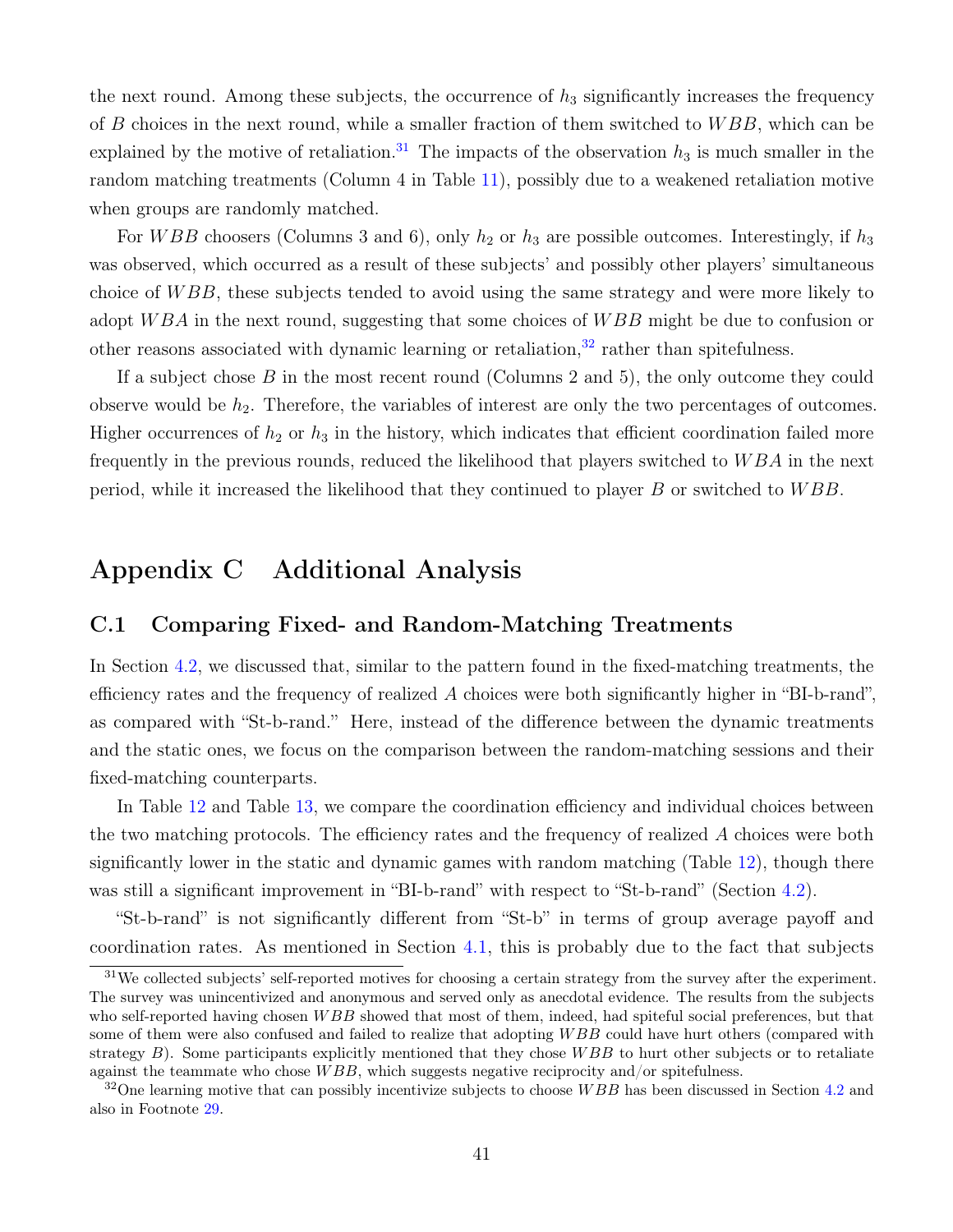the next round. Among these subjects, the occurrence of  $h_3$  significantly increases the frequency of  $B$  choices in the next round, while a smaller fraction of them switched to  $WBB$ , which can be explained by the motive of retaliation.<sup>[31](#page-41-1)</sup> The impacts of the observation  $h_3$  is much smaller in the random matching treatments (Column 4 in Table [11\)](#page-40-0), possibly due to a weakened retaliation motive when groups are randomly matched.

For *WBB* choosers (Columns 3 and 6), only  $h_2$  or  $h_3$  are possible outcomes. Interestingly, if  $h_3$ was observed, which occurred as a result of these subjects' and possibly other players' simultaneous choice of W BB, these subjects tended to avoid using the same strategy and were more likely to adopt WBA in the next round, suggesting that some choices of WBB might be due to confusion or other reasons associated with dynamic learning or retaliation, $32$  rather than spitefulness.

If a subject chose  $B$  in the most recent round (Columns 2 and 5), the only outcome they could observe would be  $h_2$ . Therefore, the variables of interest are only the two percentages of outcomes. Higher occurrences of  $h_2$  or  $h_3$  in the history, which indicates that efficient coordination failed more frequently in the previous rounds, reduced the likelihood that players switched to W BA in the next period, while it increased the likelihood that they continued to player  $B$  or switched to  $WBB$ .

# Appendix C Additional Analysis

#### <span id="page-41-0"></span>C.1 Comparing Fixed- and Random-Matching Treatments

In Section [4.2,](#page-21-1) we discussed that, similar to the pattern found in the fixed-matching treatments, the efficiency rates and the frequency of realized  $A$  choices were both significantly higher in "BI-b-rand", as compared with "St-b-rand." Here, instead of the difference between the dynamic treatments and the static ones, we focus on the comparison between the random-matching sessions and their fixed-matching counterparts.

In Table [12](#page-42-0) and Table [13,](#page-43-1) we compare the coordination efficiency and individual choices between the two matching protocols. The efficiency rates and the frequency of realized A choices were both significantly lower in the static and dynamic games with random matching (Table [12\)](#page-42-0), though there was still a significant improvement in "BI-b-rand" with respect to "St-b-rand" (Section [4.2\)](#page-21-1).

"St-b-rand" is not significantly different from "St-b" in terms of group average payoff and coordination rates. As mentioned in Section [4.1,](#page-19-3) this is probably due to the fact that subjects

<span id="page-41-1"></span><sup>&</sup>lt;sup>31</sup>We collected subjects' self-reported motives for choosing a certain strategy from the survey after the experiment. The survey was unincentivized and anonymous and served only as anecdotal evidence. The results from the subjects who self-reported having chosen  $WBB$  showed that most of them, indeed, had spiteful social preferences, but that some of them were also confused and failed to realize that adopting WBB could have hurt others (compared with strategy  $B$ ). Some participants explicitly mentioned that they chose  $WBB$  to hurt other subjects or to retaliate against the teammate who chose  $WBB$ , which suggests negative reciprocity and/or spitefulness.

<span id="page-41-2"></span> $32$ One learning motive that can possibly incentivize subjects to choose WBB has been discussed in Section [4.2](#page-21-1) and also in Footnote [29.](#page-25-1)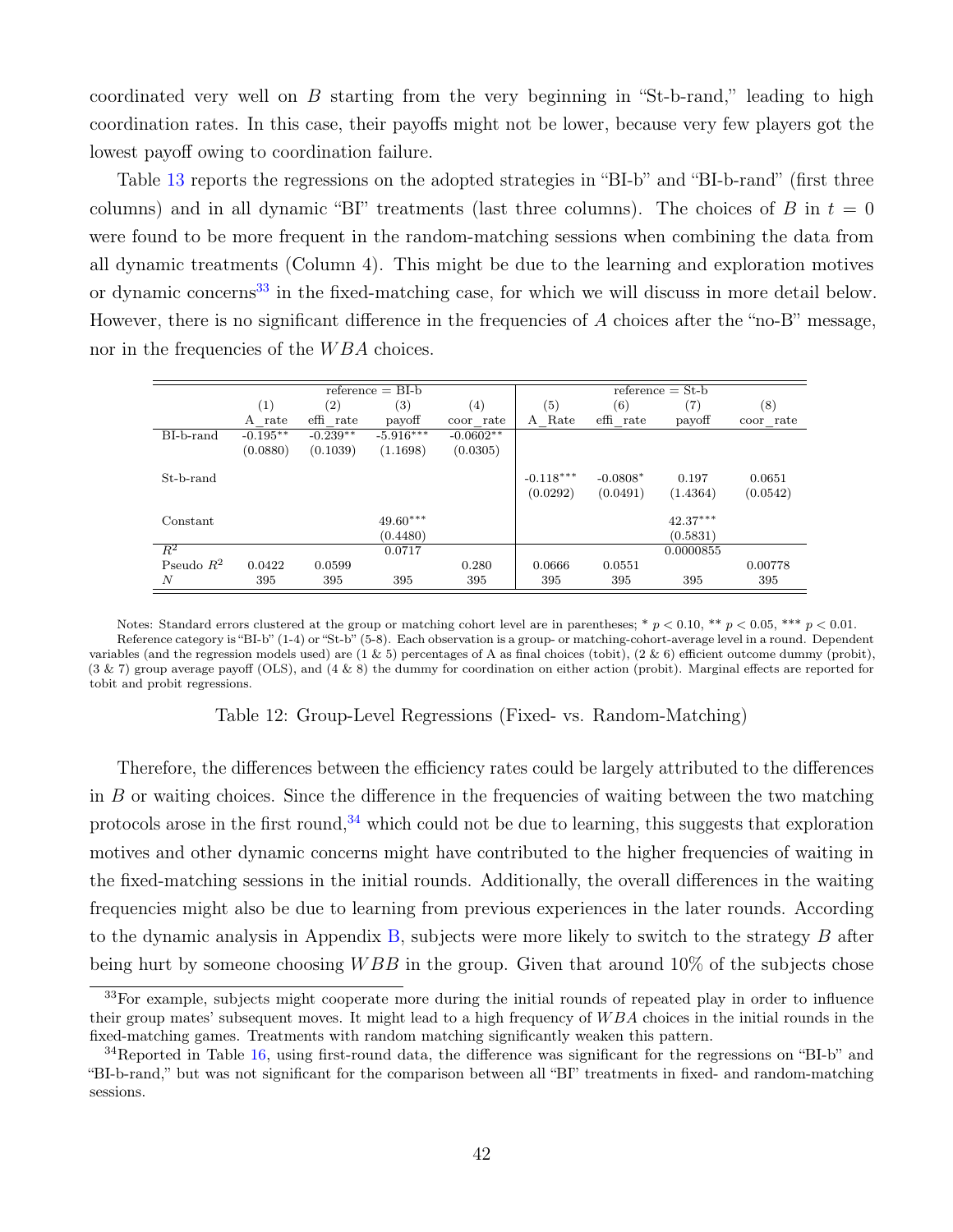coordinated very well on  $B$  starting from the very beginning in "St-b-rand," leading to high coordination rates. In this case, their payoffs might not be lower, because very few players got the lowest payoff owing to coordination failure.

Table [13](#page-43-1) reports the regressions on the adopted strategies in "BI-b" and "BI-b-rand" (first three columns) and in all dynamic "BI" treatments (last three columns). The choices of B in  $t = 0$ were found to be more frequent in the random-matching sessions when combining the data from all dynamic treatments (Column 4). This might be due to the learning and exploration motives or dynamic concerns<sup>[33](#page-42-1)</sup> in the fixed-matching case, for which we will discuss in more detail below. However, there is no significant difference in the frequencies of A choices after the "no-B" message, nor in the frequencies of the WBA choices.

<span id="page-42-0"></span>

|              | $reference = BI-b$ |            |             |             | $reference = St-b$ |            |            |           |
|--------------|--------------------|------------|-------------|-------------|--------------------|------------|------------|-----------|
|              | (1)                | (2)        | (3)         | (4)         | (5)                | (6)        | (7)        | (8)       |
|              | A rate             | effi rate  | payoff      | coor rate   | A Rate             | effi rate  | payoff     | coor rate |
| BI-b-rand    | $-0.195**$         | $-0.239**$ | $-5.916***$ | $-0.0602**$ |                    |            |            |           |
|              | (0.0880)           | (0.1039)   | (1.1698)    | (0.0305)    |                    |            |            |           |
| St-b-rand    |                    |            |             |             | $-0.118***$        | $-0.0808*$ | 0.197      | 0.0651    |
|              |                    |            |             |             | (0.0292)           | (0.0491)   | (1.4364)   | (0.0542)  |
|              |                    |            |             |             |                    |            |            |           |
| Constant     |                    |            | $49.60***$  |             |                    |            | $42.37***$ |           |
|              |                    |            | (0.4480)    |             |                    |            | (0.5831)   |           |
| $R^2$        |                    |            | 0.0717      |             |                    |            | 0.0000855  |           |
| Pseudo $R^2$ | 0.0422             | 0.0599     |             | 0.280       | 0.0666             | 0.0551     |            | 0.00778   |
| N            | 395                | 395        | 395         | 395         | 395                | 395        | 395        | 395       |

Notes: Standard errors clustered at the group or matching cohort level are in parentheses; \*  $p < 0.10$ , \*\*  $p < 0.05$ , \*\*\*  $p < 0.01$ . Reference category is "BI-b" (1-4) or "St-b" (5-8). Each observation is a group- or matching-cohort-average level in a round. Dependent variables (and the regression models used) are  $(1 \& 5)$  percentages of A as final choices (tobit),  $(2 \& 6)$  efficient outcome dummy (probit), (3 & 7) group average payoff (OLS), and (4 & 8) the dummy for coordination on either action (probit). Marginal effects are reported for tobit and probit regressions.

Table 12: Group-Level Regressions (Fixed- vs. Random-Matching)

Therefore, the differences between the efficiency rates could be largely attributed to the differences in B or waiting choices. Since the difference in the frequencies of waiting between the two matching protocols arose in the first round,  $34$  which could not be due to learning, this suggests that exploration motives and other dynamic concerns might have contributed to the higher frequencies of waiting in the fixed-matching sessions in the initial rounds. Additionally, the overall differences in the waiting frequencies might also be due to learning from previous experiences in the later rounds. According to the dynamic analysis in Appendix  $B$ , subjects were more likely to switch to the strategy  $B$  after being hurt by someone choosing  $WBB$  in the group. Given that around 10% of the subjects chose

<span id="page-42-1"></span><sup>33</sup>For example, subjects might cooperate more during the initial rounds of repeated play in order to influence their group mates' subsequent moves. It might lead to a high frequency of W BA choices in the initial rounds in the fixed-matching games. Treatments with random matching significantly weaken this pattern.

<span id="page-42-2"></span><sup>&</sup>lt;sup>34</sup>Reported in Table [16,](#page-44-0) using first-round data, the difference was significant for the regressions on "BI-b" and "BI-b-rand," but was not significant for the comparison between all "BI" treatments in fixed- and random-matching sessions.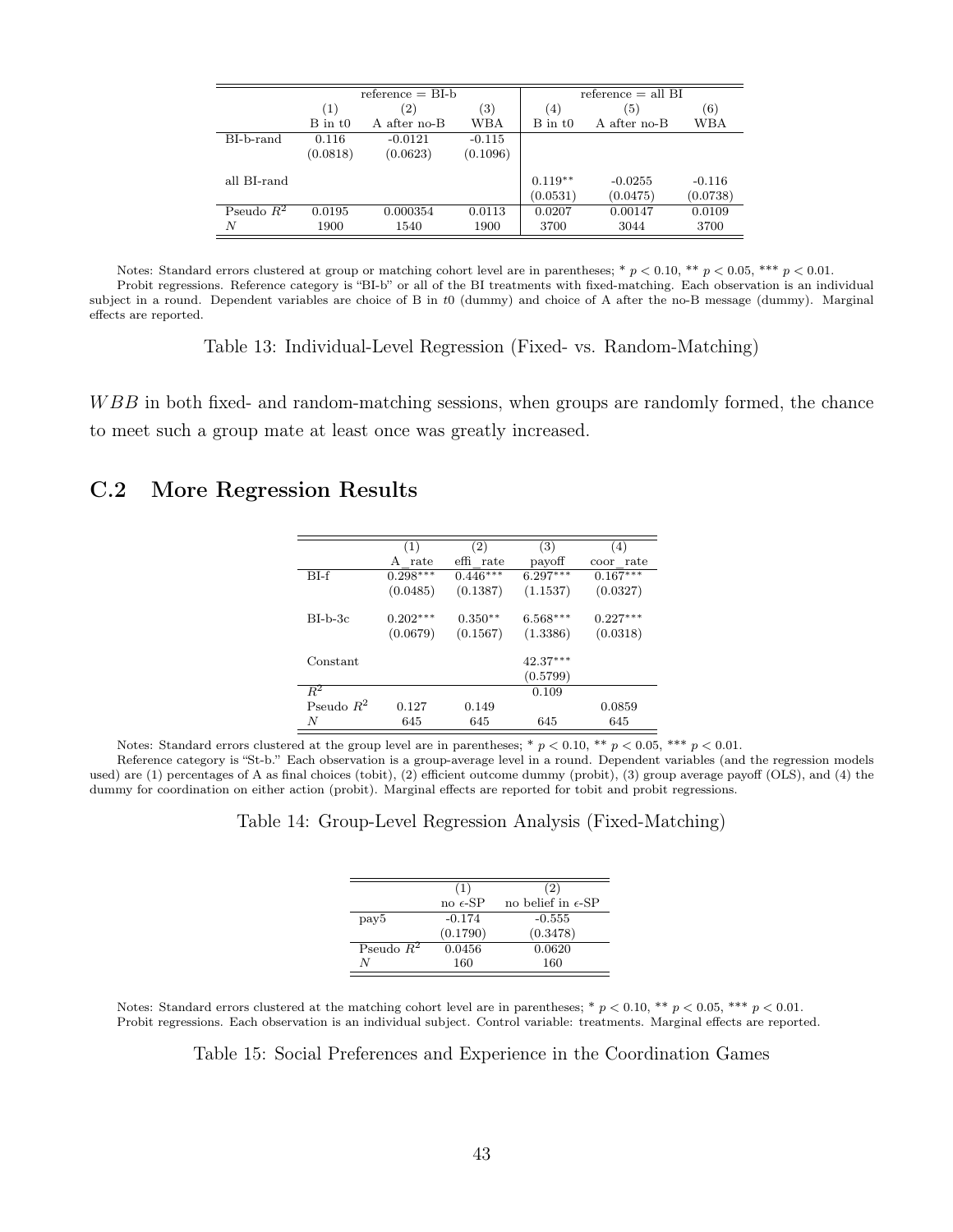<span id="page-43-1"></span>

|              |             | $reference = BI-b$ |                   | reference $=$ all BI  |                       |                      |  |
|--------------|-------------|--------------------|-------------------|-----------------------|-----------------------|----------------------|--|
|              | (1)         | $^{\prime}2)$      | $\left( 3\right)$ | (4)                   | $\left(5\right)$      | (6)                  |  |
|              | $B$ in $t0$ | A after no-B       | WBA               | $B$ in t <sub>0</sub> | A after no-B          | WBA                  |  |
| BI-b-rand    | 0.116       | $-0.0121$          | $-0.115$          |                       |                       |                      |  |
|              | (0.0818)    | (0.0623)           | (0.1096)          |                       |                       |                      |  |
| all BI-rand  |             |                    |                   | $0.119**$<br>(0.0531) | $-0.0255$<br>(0.0475) | $-0.116$<br>(0.0738) |  |
| Pseudo $R^2$ | 0.0195      | 0.000354           | 0.0113            | 0.0207                | 0.00147               | 0.0109               |  |
| Ν            | 1900        | 1540               | 1900              | 3700                  | 3044                  | 3700                 |  |

Notes: Standard errors clustered at group or matching cohort level are in parentheses; \*  $p < 0.10$ , \*\*  $p < 0.05$ , \*\*\*  $p < 0.01$ . Probit regressions. Reference category is "BI-b" or all of the BI treatments with fixed-matching. Each observation is an individual subject in a round. Dependent variables are choice of B in t0 (dummy) and choice of A after the no-B message (dummy). Marginal effects are reported.

Table 13: Individual-Level Regression (Fixed- vs. Random-Matching)

WBB in both fixed- and random-matching sessions, when groups are randomly formed, the chance to meet such a group mate at least once was greatly increased.

### <span id="page-43-0"></span>C.2 More Regression Results

|              | (1)        | (2)        | (3)        | (4)                      |  |
|--------------|------------|------------|------------|--------------------------|--|
|              | rate<br>A  | effi rate  | payoff     | $_\mathrm{rate}$<br>coor |  |
| $BI-f$       | $0.298***$ | $0.446***$ | $6.297***$ | $0.167***$               |  |
|              | (0.0485)   | (0.1387)   | (1.1537)   | (0.0327)                 |  |
| $BI-b-3c$    | $0.202***$ | $0.350**$  | $6.568***$ | $0.227***$               |  |
|              | (0.0679)   | (0.1567)   | (1.3386)   | (0.0318)                 |  |
| Constant     |            |            | $42.37***$ |                          |  |
|              |            |            | (0.5799)   |                          |  |
| $R^2$        |            |            | 0.109      |                          |  |
| Pseudo $R^2$ | 0.127      | 0.149      |            | 0.0859                   |  |
| N            | 645        | 645        | 645        | 645                      |  |

Notes: Standard errors clustered at the group level are in parentheses; \*  $p < 0.10$ , \*\*  $p < 0.05$ , \*\*\*  $p < 0.01$ .

<span id="page-43-2"></span>Reference category is "St-b." Each observation is a group-average level in a round. Dependent variables (and the regression models used) are (1) percentages of A as final choices (tobit), (2) efficient outcome dummy (probit), (3) group average payoff (OLS), and (4) the dummy for coordination on either action (probit). Marginal effects are reported for tobit and probit regressions.

Table 14: Group-Level Regression Analysis (Fixed-Matching)

|                  | (1)               | (2)                         |
|------------------|-------------------|-----------------------------|
|                  | no $\epsilon$ -SP | no belief in $\epsilon$ -SP |
| pay <sub>5</sub> | $-0.174$          | $-0.555$                    |
|                  | (0.1790)          | (0.3478)                    |
| Pseudo $R^2$     | 0.0456            | 0.0620                      |
| N                | 160               | 160                         |

Notes: Standard errors clustered at the matching cohort level are in parentheses; \*  $p < 0.10$ , \*\*  $p < 0.05$ , \*\*  $p < 0.01$ . Probit regressions. Each observation is an individual subject. Control variable: treatments. Marginal effects are reported.

Table 15: Social Preferences and Experience in the Coordination Games